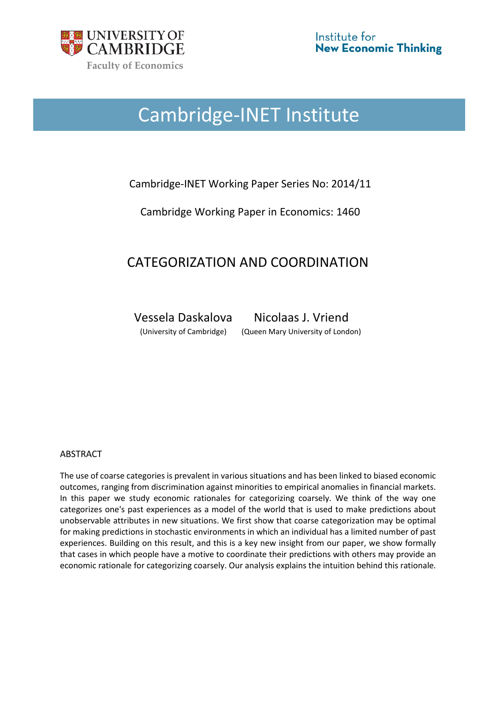

# Cambridge-INET Institute

# Cambridge-INET Working Paper Series No: 2014/11

Cambridge Working Paper in Economics: 1460

# CATEGORIZATION AND COORDINATION

Vessela Daskalova Nicolaas J. Vriend

(University of Cambridge) (Queen Mary University of London)

### ABSTRACT

The use of coarse categories is prevalent in various situations and has been linked to biased economic outcomes, ranging from discrimination against minorities to empirical anomalies in financial markets. In this paper we study economic rationales for categorizing coarsely. We think of the way one categorizes one's past experiences as a model of the world that is used to make predictions about unobservable attributes in new situations. We first show that coarse categorization may be optimal for making predictions in stochastic environments in which an individual has a limited number of past experiences. Building on this result, and this is a key new insight from our paper, we show formally that cases in which people have a motive to coordinate their predictions with others may provide an economic rationale for categorizing coarsely. Our analysis explains the intuition behind this rationale.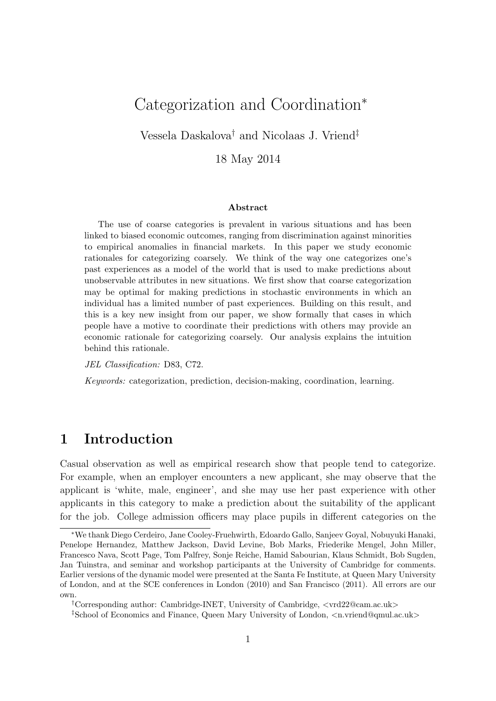# Categorization and Coordination<sup>∗</sup>

Vessela Daskalova† and Nicolaas J. Vriend‡

18 May 2014

#### Abstract

The use of coarse categories is prevalent in various situations and has been linked to biased economic outcomes, ranging from discrimination against minorities to empirical anomalies in financial markets. In this paper we study economic rationales for categorizing coarsely. We think of the way one categorizes one's past experiences as a model of the world that is used to make predictions about unobservable attributes in new situations. We first show that coarse categorization may be optimal for making predictions in stochastic environments in which an individual has a limited number of past experiences. Building on this result, and this is a key new insight from our paper, we show formally that cases in which people have a motive to coordinate their predictions with others may provide an economic rationale for categorizing coarsely. Our analysis explains the intuition behind this rationale.

JEL Classification: D83, C72.

Keywords: categorization, prediction, decision-making, coordination, learning.

# 1 Introduction

Casual observation as well as empirical research show that people tend to categorize. For example, when an employer encounters a new applicant, she may observe that the applicant is 'white, male, engineer', and she may use her past experience with other applicants in this category to make a prediction about the suitability of the applicant for the job. College admission officers may place pupils in different categories on the

<sup>∗</sup>We thank Diego Cerdeiro, Jane Cooley-Fruehwirth, Edoardo Gallo, Sanjeev Goyal, Nobuyuki Hanaki, Penelope Hernandez, Matthew Jackson, David Levine, Bob Marks, Friederike Mengel, John Miller, Francesco Nava, Scott Page, Tom Palfrey, Sonje Reiche, Hamid Sabourian, Klaus Schmidt, Bob Sugden, Jan Tuinstra, and seminar and workshop participants at the University of Cambridge for comments. Earlier versions of the dynamic model were presented at the Santa Fe Institute, at Queen Mary University of London, and at the SCE conferences in London (2010) and San Francisco (2011). All errors are our own.

<sup>†</sup>Corresponding author: Cambridge-INET, University of Cambridge, <vrd22@cam.ac.uk>

<sup>‡</sup>School of Economics and Finance, Queen Mary University of London, <n.vriend@qmul.ac.uk>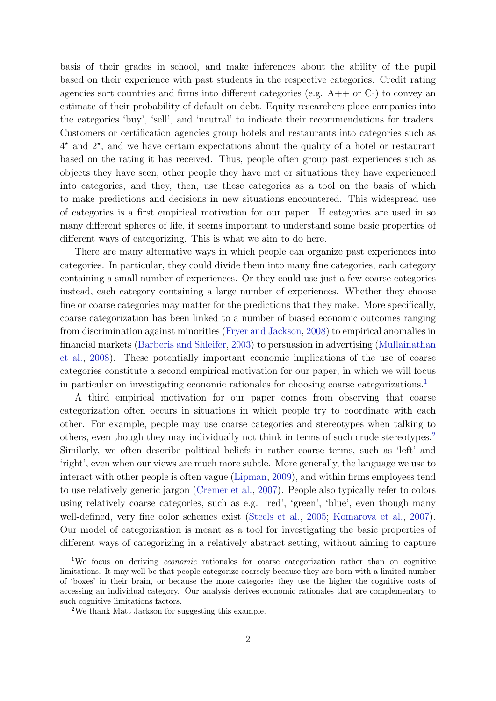basis of their grades in school, and make inferences about the ability of the pupil based on their experience with past students in the respective categories. Credit rating agencies sort countries and firms into different categories (e.g. A++ or C-) to convey an estimate of their probability of default on debt. Equity researchers place companies into the categories 'buy', 'sell', and 'neutral' to indicate their recommendations for traders. Customers or certification agencies group hotels and restaurants into categories such as 4 ? and 2? , and we have certain expectations about the quality of a hotel or restaurant based on the rating it has received. Thus, people often group past experiences such as objects they have seen, other people they have met or situations they have experienced into categories, and they, then, use these categories as a tool on the basis of which to make predictions and decisions in new situations encountered. This widespread use of categories is a first empirical motivation for our paper. If categories are used in so many different spheres of life, it seems important to understand some basic properties of different ways of categorizing. This is what we aim to do here.

There are many alternative ways in which people can organize past experiences into categories. In particular, they could divide them into many fine categories, each category containing a small number of experiences. Or they could use just a few coarse categories instead, each category containing a large number of experiences. Whether they choose fine or coarse categories may matter for the predictions that they make. More specifically, coarse categorization has been linked to a number of biased economic outcomes ranging from discrimination against minorities [\(Fryer and Jackson,](#page-43-0) [2008\)](#page-43-0) to empirical anomalies in financial markets [\(Barberis and Shleifer,](#page-43-1) [2003\)](#page-43-1) to persuasion in advertising [\(Mullainathan](#page-44-0) [et al.,](#page-44-0) [2008\)](#page-44-0). These potentially important economic implications of the use of coarse categories constitute a second empirical motivation for our paper, in which we will focus in particular on investigating economic rationales for choosing coarse categorizations.<sup>[1](#page-2-0)</sup>

A third empirical motivation for our paper comes from observing that coarse categorization often occurs in situations in which people try to coordinate with each other. For example, people may use coarse categories and stereotypes when talking to others, even though they may individually not think in terms of such crude stereotypes.[2](#page-2-1) Similarly, we often describe political beliefs in rather coarse terms, such as 'left' and 'right', even when our views are much more subtle. More generally, the language we use to interact with other people is often vague [\(Lipman,](#page-43-2) [2009\)](#page-43-2), and within firms employees tend to use relatively generic jargon [\(Cremer et al.,](#page-43-3) [2007\)](#page-43-3). People also typically refer to colors using relatively coarse categories, such as e.g. 'red', 'green', 'blue', even though many well-defined, very fine color schemes exist [\(Steels et al.,](#page-45-0) [2005;](#page-45-0) [Komarova et al.,](#page-43-4) [2007\)](#page-43-4). Our model of categorization is meant as a tool for investigating the basic properties of different ways of categorizing in a relatively abstract setting, without aiming to capture

<span id="page-2-0"></span><sup>&</sup>lt;sup>1</sup>We focus on deriving *economic* rationales for coarse categorization rather than on cognitive limitations. It may well be that people categorize coarsely because they are born with a limited number of 'boxes' in their brain, or because the more categories they use the higher the cognitive costs of accessing an individual category. Our analysis derives economic rationales that are complementary to such cognitive limitations factors.

<span id="page-2-1"></span><sup>2</sup>We thank Matt Jackson for suggesting this example.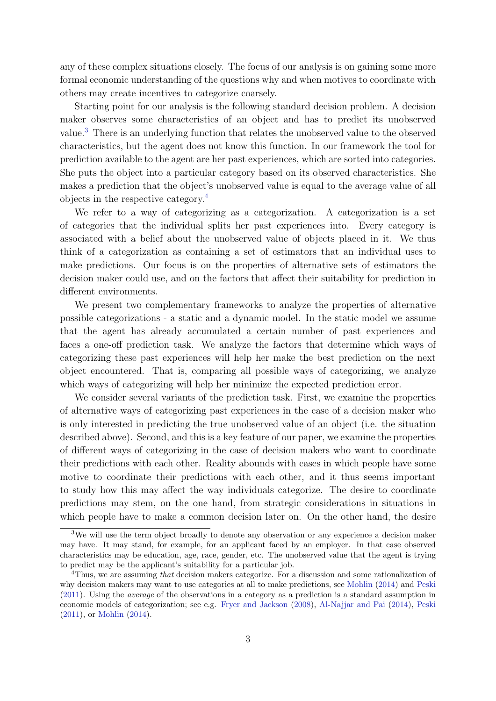any of these complex situations closely. The focus of our analysis is on gaining some more formal economic understanding of the questions why and when motives to coordinate with others may create incentives to categorize coarsely.

Starting point for our analysis is the following standard decision problem. A decision maker observes some characteristics of an object and has to predict its unobserved value.[3](#page-3-0) There is an underlying function that relates the unobserved value to the observed characteristics, but the agent does not know this function. In our framework the tool for prediction available to the agent are her past experiences, which are sorted into categories. She puts the object into a particular category based on its observed characteristics. She makes a prediction that the object's unobserved value is equal to the average value of all objects in the respective category.[4](#page-3-1)

We refer to a way of categorizing as a categorization. A categorization is a set of categories that the individual splits her past experiences into. Every category is associated with a belief about the unobserved value of objects placed in it. We thus think of a categorization as containing a set of estimators that an individual uses to make predictions. Our focus is on the properties of alternative sets of estimators the decision maker could use, and on the factors that affect their suitability for prediction in different environments.

We present two complementary frameworks to analyze the properties of alternative possible categorizations - a static and a dynamic model. In the static model we assume that the agent has already accumulated a certain number of past experiences and faces a one-off prediction task. We analyze the factors that determine which ways of categorizing these past experiences will help her make the best prediction on the next object encountered. That is, comparing all possible ways of categorizing, we analyze which ways of categorizing will help her minimize the expected prediction error.

We consider several variants of the prediction task. First, we examine the properties of alternative ways of categorizing past experiences in the case of a decision maker who is only interested in predicting the true unobserved value of an object (i.e. the situation described above). Second, and this is a key feature of our paper, we examine the properties of different ways of categorizing in the case of decision makers who want to coordinate their predictions with each other. Reality abounds with cases in which people have some motive to coordinate their predictions with each other, and it thus seems important to study how this may affect the way individuals categorize. The desire to coordinate predictions may stem, on the one hand, from strategic considerations in situations in which people have to make a common decision later on. On the other hand, the desire

<span id="page-3-0"></span><sup>&</sup>lt;sup>3</sup>We will use the term object broadly to denote any observation or any experience a decision maker may have. It may stand, for example, for an applicant faced by an employer. In that case observed characteristics may be education, age, race, gender, etc. The unobserved value that the agent is trying to predict may be the applicant's suitability for a particular job.

<span id="page-3-1"></span><sup>&</sup>lt;sup>4</sup>Thus, we are assuming that decision makers categorize. For a discussion and some rationalization of why decision makers may want to use categories at all to make predictions, see [Mohlin](#page-44-1) [\(2014\)](#page-44-1) and [Peski](#page-44-2) [\(2011\)](#page-44-2). Using the average of the observations in a category as a prediction is a standard assumption in economic models of categorization; see e.g. [Fryer and Jackson](#page-43-0) [\(2008\)](#page-43-0), [Al-Najjar and Pai](#page-42-0) [\(2014\)](#page-42-0), [Peski](#page-44-2) [\(2011\)](#page-44-2), or [Mohlin](#page-44-1) [\(2014\)](#page-44-1).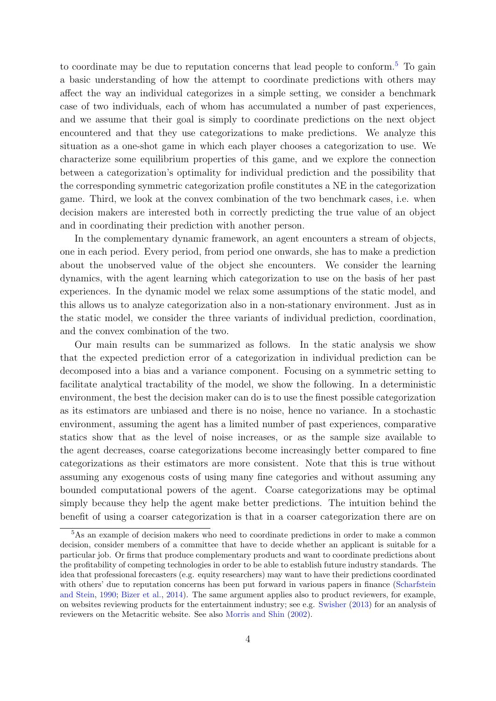to coordinate may be due to reputation concerns that lead people to conform.<sup>[5](#page-4-0)</sup> To gain a basic understanding of how the attempt to coordinate predictions with others may affect the way an individual categorizes in a simple setting, we consider a benchmark case of two individuals, each of whom has accumulated a number of past experiences, and we assume that their goal is simply to coordinate predictions on the next object encountered and that they use categorizations to make predictions. We analyze this situation as a one-shot game in which each player chooses a categorization to use. We characterize some equilibrium properties of this game, and we explore the connection between a categorization's optimality for individual prediction and the possibility that the corresponding symmetric categorization profile constitutes a NE in the categorization game. Third, we look at the convex combination of the two benchmark cases, i.e. when decision makers are interested both in correctly predicting the true value of an object and in coordinating their prediction with another person.

In the complementary dynamic framework, an agent encounters a stream of objects, one in each period. Every period, from period one onwards, she has to make a prediction about the unobserved value of the object she encounters. We consider the learning dynamics, with the agent learning which categorization to use on the basis of her past experiences. In the dynamic model we relax some assumptions of the static model, and this allows us to analyze categorization also in a non-stationary environment. Just as in the static model, we consider the three variants of individual prediction, coordination, and the convex combination of the two.

Our main results can be summarized as follows. In the static analysis we show that the expected prediction error of a categorization in individual prediction can be decomposed into a bias and a variance component. Focusing on a symmetric setting to facilitate analytical tractability of the model, we show the following. In a deterministic environment, the best the decision maker can do is to use the finest possible categorization as its estimators are unbiased and there is no noise, hence no variance. In a stochastic environment, assuming the agent has a limited number of past experiences, comparative statics show that as the level of noise increases, or as the sample size available to the agent decreases, coarse categorizations become increasingly better compared to fine categorizations as their estimators are more consistent. Note that this is true without assuming any exogenous costs of using many fine categories and without assuming any bounded computational powers of the agent. Coarse categorizations may be optimal simply because they help the agent make better predictions. The intuition behind the benefit of using a coarser categorization is that in a coarser categorization there are on

<span id="page-4-0"></span><sup>5</sup>As an example of decision makers who need to coordinate predictions in order to make a common decision, consider members of a committee that have to decide whether an applicant is suitable for a particular job. Or firms that produce complementary products and want to coordinate predictions about the profitability of competing technologies in order to be able to establish future industry standards. The idea that professional forecasters (e.g. equity researchers) may want to have their predictions coordinated with others' due to reputation concerns has been put forward in various papers in finance [\(Scharfstein](#page-44-3) [and Stein,](#page-44-3) [1990;](#page-44-3) [Bizer et al.,](#page-43-5) [2014\)](#page-43-5). The same argument applies also to product reviewers, for example, on websites reviewing products for the entertainment industry; see e.g. [Swisher](#page-45-1) [\(2013\)](#page-45-1) for an analysis of reviewers on the Metacritic website. See also [Morris and Shin](#page-44-4) [\(2002\)](#page-44-4).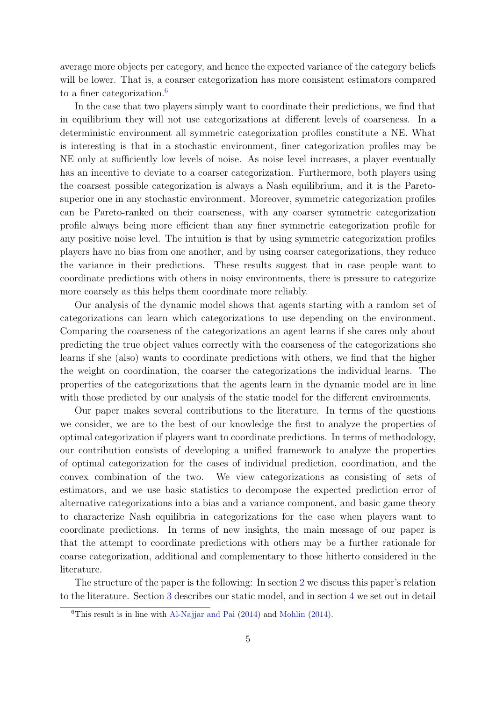average more objects per category, and hence the expected variance of the category beliefs will be lower. That is, a coarser categorization has more consistent estimators compared to a finer categorization.<sup>[6](#page-5-0)</sup>

In the case that two players simply want to coordinate their predictions, we find that in equilibrium they will not use categorizations at different levels of coarseness. In a deterministic environment all symmetric categorization profiles constitute a NE. What is interesting is that in a stochastic environment, finer categorization profiles may be NE only at sufficiently low levels of noise. As noise level increases, a player eventually has an incentive to deviate to a coarser categorization. Furthermore, both players using the coarsest possible categorization is always a Nash equilibrium, and it is the Paretosuperior one in any stochastic environment. Moreover, symmetric categorization profiles can be Pareto-ranked on their coarseness, with any coarser symmetric categorization profile always being more efficient than any finer symmetric categorization profile for any positive noise level. The intuition is that by using symmetric categorization profiles players have no bias from one another, and by using coarser categorizations, they reduce the variance in their predictions. These results suggest that in case people want to coordinate predictions with others in noisy environments, there is pressure to categorize more coarsely as this helps them coordinate more reliably.

Our analysis of the dynamic model shows that agents starting with a random set of categorizations can learn which categorizations to use depending on the environment. Comparing the coarseness of the categorizations an agent learns if she cares only about predicting the true object values correctly with the coarseness of the categorizations she learns if she (also) wants to coordinate predictions with others, we find that the higher the weight on coordination, the coarser the categorizations the individual learns. The properties of the categorizations that the agents learn in the dynamic model are in line with those predicted by our analysis of the static model for the different environments.

Our paper makes several contributions to the literature. In terms of the questions we consider, we are to the best of our knowledge the first to analyze the properties of optimal categorization if players want to coordinate predictions. In terms of methodology, our contribution consists of developing a unified framework to analyze the properties of optimal categorization for the cases of individual prediction, coordination, and the convex combination of the two. We view categorizations as consisting of sets of estimators, and we use basic statistics to decompose the expected prediction error of alternative categorizations into a bias and a variance component, and basic game theory to characterize Nash equilibria in categorizations for the case when players want to coordinate predictions. In terms of new insights, the main message of our paper is that the attempt to coordinate predictions with others may be a further rationale for coarse categorization, additional and complementary to those hitherto considered in the literature.

The structure of the paper is the following: In section [2](#page-6-0) we discuss this paper's relation to the literature. Section [3](#page-8-0) describes our static model, and in section [4](#page-14-0) we set out in detail

<span id="page-5-0"></span> ${}^{6}$ This result is in line with [Al-Najjar and Pai](#page-42-0) [\(2014\)](#page-44-1) and [Mohlin](#page-44-1) (2014).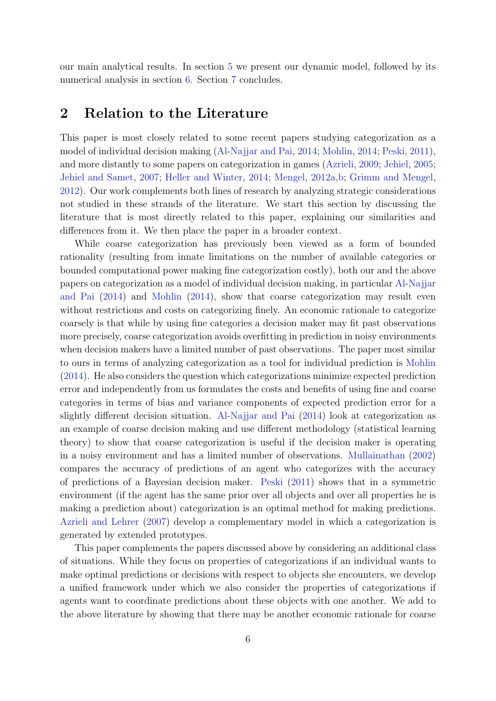<span id="page-6-0"></span>our main analytical results. In section [5](#page-30-0) we present our dynamic model, followed by its numerical analysis in section [6.](#page-35-0) Section [7](#page-41-0) concludes.

# 2 Relation to the Literature

This paper is most closely related to some recent papers studying categorization as a model of individual decision making [\(Al-Najjar and Pai,](#page-42-0) [2014;](#page-42-0) [Mohlin,](#page-44-1) [2014;](#page-44-1) [Peski,](#page-44-2) [2011\)](#page-44-2), and more distantly to some papers on categorization in games [\(Azrieli,](#page-42-1) [2009;](#page-42-1) [Jehiel,](#page-43-6) [2005;](#page-43-6) [Jehiel and Samet,](#page-43-7) [2007;](#page-43-7) [Heller and Winter,](#page-43-8) [2014;](#page-43-8) [Mengel,](#page-44-5) [2012a,](#page-44-5)[b;](#page-44-6) [Grimm and Mengel,](#page-43-9) [2012\)](#page-43-9). Our work complements both lines of research by analyzing strategic considerations not studied in these strands of the literature. We start this section by discussing the literature that is most directly related to this paper, explaining our similarities and differences from it. We then place the paper in a broader context.

While coarse categorization has previously been viewed as a form of bounded rationality (resulting from innate limitations on the number of available categories or bounded computational power making fine categorization costly), both our and the above papers on categorization as a model of individual decision making, in particular [Al-Najjar](#page-42-0) [and Pai](#page-42-0) [\(2014\)](#page-42-0) and [Mohlin](#page-44-1) [\(2014\)](#page-44-1), show that coarse categorization may result even without restrictions and costs on categorizing finely. An economic rationale to categorize coarsely is that while by using fine categories a decision maker may fit past observations more precisely, coarse categorization avoids overfitting in prediction in noisy environments when decision makers have a limited number of past observations. The paper most similar to ours in terms of analyzing categorization as a tool for individual prediction is [Mohlin](#page-44-1) [\(2014\)](#page-44-1). He also considers the question which categorizations minimize expected prediction error and independently from us formulates the costs and benefits of using fine and coarse categories in terms of bias and variance components of expected prediction error for a slightly different decision situation. [Al-Najjar and Pai](#page-42-0) [\(2014\)](#page-42-0) look at categorization as an example of coarse decision making and use different methodology (statistical learning theory) to show that coarse categorization is useful if the decision maker is operating in a noisy environment and has a limited number of observations. [Mullainathan](#page-44-7) [\(2002\)](#page-44-7) compares the accuracy of predictions of an agent who categorizes with the accuracy of predictions of a Bayesian decision maker. [Peski](#page-44-2) [\(2011\)](#page-44-2) shows that in a symmetric environment (if the agent has the same prior over all objects and over all properties he is making a prediction about) categorization is an optimal method for making predictions. [Azrieli and Lehrer](#page-42-2) [\(2007\)](#page-42-2) develop a complementary model in which a categorization is generated by extended prototypes.

This paper complements the papers discussed above by considering an additional class of situations. While they focus on properties of categorizations if an individual wants to make optimal predictions or decisions with respect to objects she encounters, we develop a unified framework under which we also consider the properties of categorizations if agents want to coordinate predictions about these objects with one another. We add to the above literature by showing that there may be another economic rationale for coarse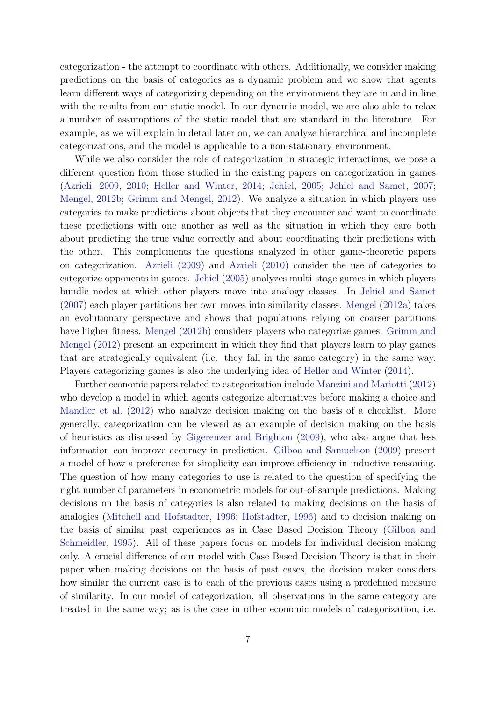categorization - the attempt to coordinate with others. Additionally, we consider making predictions on the basis of categories as a dynamic problem and we show that agents learn different ways of categorizing depending on the environment they are in and in line with the results from our static model. In our dynamic model, we are also able to relax a number of assumptions of the static model that are standard in the literature. For example, as we will explain in detail later on, we can analyze hierarchical and incomplete categorizations, and the model is applicable to a non-stationary environment.

While we also consider the role of categorization in strategic interactions, we pose a different question from those studied in the existing papers on categorization in games [\(Azrieli,](#page-42-1) [2009,](#page-42-1) [2010;](#page-42-3) [Heller and Winter,](#page-43-8) [2014;](#page-43-8) [Jehiel,](#page-43-6) [2005;](#page-43-6) [Jehiel and Samet,](#page-43-7) [2007;](#page-43-7) [Mengel,](#page-44-6) [2012b;](#page-44-6) [Grimm and Mengel,](#page-43-9) [2012\)](#page-43-9). We analyze a situation in which players use categories to make predictions about objects that they encounter and want to coordinate these predictions with one another as well as the situation in which they care both about predicting the true value correctly and about coordinating their predictions with the other. This complements the questions analyzed in other game-theoretic papers on categorization. [Azrieli](#page-42-1) [\(2009\)](#page-42-1) and [Azrieli](#page-42-3) [\(2010\)](#page-42-3) consider the use of categories to categorize opponents in games. [Jehiel](#page-43-6) [\(2005\)](#page-43-6) analyzes multi-stage games in which players bundle nodes at which other players move into analogy classes. In [Jehiel and Samet](#page-43-7) [\(2007\)](#page-43-7) each player partitions her own moves into similarity classes. [Mengel](#page-44-5) [\(2012a\)](#page-44-5) takes an evolutionary perspective and shows that populations relying on coarser partitions have higher fitness. [Mengel](#page-44-6) [\(2012b\)](#page-44-6) considers players who categorize games. [Grimm and](#page-43-9) [Mengel](#page-43-9) [\(2012\)](#page-43-9) present an experiment in which they find that players learn to play games that are strategically equivalent (i.e. they fall in the same category) in the same way. Players categorizing games is also the underlying idea of [Heller and Winter](#page-43-8) [\(2014\)](#page-43-8).

Further economic papers related to categorization include [Manzini and Mariotti](#page-44-8) [\(2012\)](#page-44-8) who develop a model in which agents categorize alternatives before making a choice and [Mandler et al.](#page-43-10) [\(2012\)](#page-43-10) who analyze decision making on the basis of a checklist. More generally, categorization can be viewed as an example of decision making on the basis of heuristics as discussed by [Gigerenzer and Brighton](#page-43-11) [\(2009\)](#page-43-11), who also argue that less information can improve accuracy in prediction. [Gilboa and Samuelson](#page-43-12) [\(2009\)](#page-43-12) present a model of how a preference for simplicity can improve efficiency in inductive reasoning. The question of how many categories to use is related to the question of specifying the right number of parameters in econometric models for out-of-sample predictions. Making decisions on the basis of categories is also related to making decisions on the basis of analogies [\(Mitchell and Hofstadter,](#page-44-9) [1996;](#page-44-9) [Hofstadter,](#page-43-13) [1996\)](#page-43-13) and to decision making on the basis of similar past experiences as in Case Based Decision Theory [\(Gilboa and](#page-43-14) [Schmeidler,](#page-43-14) [1995\)](#page-43-14). All of these papers focus on models for individual decision making only. A crucial difference of our model with Case Based Decision Theory is that in their paper when making decisions on the basis of past cases, the decision maker considers how similar the current case is to each of the previous cases using a predefined measure of similarity. In our model of categorization, all observations in the same category are treated in the same way; as is the case in other economic models of categorization, i.e.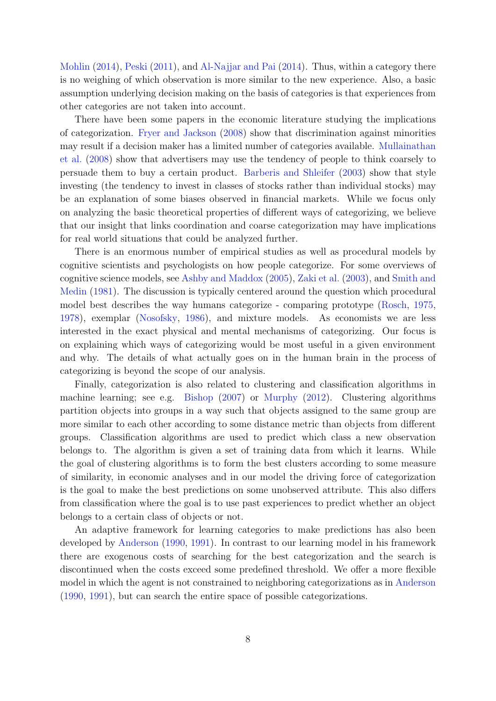[Mohlin](#page-44-1) [\(2014\)](#page-44-1), [Peski](#page-44-2) [\(2011\)](#page-44-2), and [Al-Najjar and Pai](#page-42-0) [\(2014\)](#page-42-0). Thus, within a category there is no weighing of which observation is more similar to the new experience. Also, a basic assumption underlying decision making on the basis of categories is that experiences from other categories are not taken into account.

There have been some papers in the economic literature studying the implications of categorization. [Fryer and Jackson](#page-43-0) [\(2008\)](#page-43-0) show that discrimination against minorities may result if a decision maker has a limited number of categories available. [Mullainathan](#page-44-0) [et al.](#page-44-0) [\(2008\)](#page-44-0) show that advertisers may use the tendency of people to think coarsely to persuade them to buy a certain product. [Barberis and Shleifer](#page-43-1) [\(2003\)](#page-43-1) show that style investing (the tendency to invest in classes of stocks rather than individual stocks) may be an explanation of some biases observed in financial markets. While we focus only on analyzing the basic theoretical properties of different ways of categorizing, we believe that our insight that links coordination and coarse categorization may have implications for real world situations that could be analyzed further.

There is an enormous number of empirical studies as well as procedural models by cognitive scientists and psychologists on how people categorize. For some overviews of cognitive science models, see [Ashby and Maddox](#page-42-4) [\(2005\)](#page-42-4), [Zaki et al.](#page-45-2) [\(2003\)](#page-45-2), and [Smith and](#page-44-10) [Medin](#page-44-10) [\(1981\)](#page-44-10). The discussion is typically centered around the question which procedural model best describes the way humans categorize - comparing prototype [\(Rosch,](#page-44-11) [1975,](#page-44-11) [1978\)](#page-44-12), exemplar [\(Nosofsky,](#page-44-13) [1986\)](#page-44-13), and mixture models. As economists we are less interested in the exact physical and mental mechanisms of categorizing. Our focus is on explaining which ways of categorizing would be most useful in a given environment and why. The details of what actually goes on in the human brain in the process of categorizing is beyond the scope of our analysis.

Finally, categorization is also related to clustering and classification algorithms in machine learning; see e.g. [Bishop](#page-43-15) [\(2007\)](#page-43-15) or [Murphy](#page-44-14) [\(2012\)](#page-44-14). Clustering algorithms partition objects into groups in a way such that objects assigned to the same group are more similar to each other according to some distance metric than objects from different groups. Classification algorithms are used to predict which class a new observation belongs to. The algorithm is given a set of training data from which it learns. While the goal of clustering algorithms is to form the best clusters according to some measure of similarity, in economic analyses and in our model the driving force of categorization is the goal to make the best predictions on some unobserved attribute. This also differs from classification where the goal is to use past experiences to predict whether an object belongs to a certain class of objects or not.

<span id="page-8-0"></span>An adaptive framework for learning categories to make predictions has also been developed by [Anderson](#page-42-5) [\(1990,](#page-42-5) [1991\)](#page-42-6). In contrast to our learning model in his framework there are exogenous costs of searching for the best categorization and the search is discontinued when the costs exceed some predefined threshold. We offer a more flexible model in which the agent is not constrained to neighboring categorizations as in [Anderson](#page-42-5) [\(1990,](#page-42-5) [1991\)](#page-42-6), but can search the entire space of possible categorizations.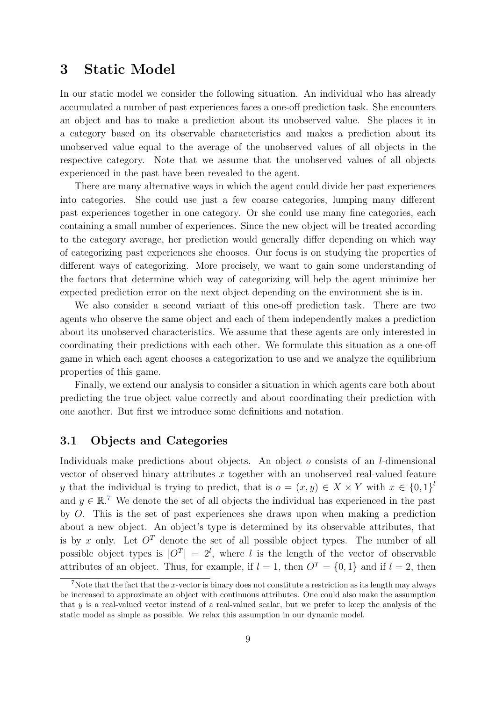# 3 Static Model

In our static model we consider the following situation. An individual who has already accumulated a number of past experiences faces a one-off prediction task. She encounters an object and has to make a prediction about its unobserved value. She places it in a category based on its observable characteristics and makes a prediction about its unobserved value equal to the average of the unobserved values of all objects in the respective category. Note that we assume that the unobserved values of all objects experienced in the past have been revealed to the agent.

There are many alternative ways in which the agent could divide her past experiences into categories. She could use just a few coarse categories, lumping many different past experiences together in one category. Or she could use many fine categories, each containing a small number of experiences. Since the new object will be treated according to the category average, her prediction would generally differ depending on which way of categorizing past experiences she chooses. Our focus is on studying the properties of different ways of categorizing. More precisely, we want to gain some understanding of the factors that determine which way of categorizing will help the agent minimize her expected prediction error on the next object depending on the environment she is in.

We also consider a second variant of this one-off prediction task. There are two agents who observe the same object and each of them independently makes a prediction about its unobserved characteristics. We assume that these agents are only interested in coordinating their predictions with each other. We formulate this situation as a one-off game in which each agent chooses a categorization to use and we analyze the equilibrium properties of this game.

Finally, we extend our analysis to consider a situation in which agents care both about predicting the true object value correctly and about coordinating their prediction with one another. But first we introduce some definitions and notation.

# 3.1 Objects and Categories

Individuals make predictions about objects. An object  $o$  consists of an *l*-dimensional vector of observed binary attributes x together with an unobserved real-valued feature y that the individual is trying to predict, that is  $o = (x, y) \in X \times Y$  with  $x \in \{0, 1\}^l$ and  $y \in \mathbb{R}^7$  $y \in \mathbb{R}^7$ . We denote the set of all objects the individual has experienced in the past by O. This is the set of past experiences she draws upon when making a prediction about a new object. An object's type is determined by its observable attributes, that is by x only. Let  $O<sup>T</sup>$  denote the set of all possible object types. The number of all possible object types is  $|O^T| = 2^l$ , where l is the length of the vector of observable attributes of an object. Thus, for example, if  $l = 1$ , then  $O<sup>T</sup> = \{0, 1\}$  and if  $l = 2$ , then

<span id="page-9-0"></span><sup>&</sup>lt;sup>7</sup>Note that the fact that the x-vector is binary does not constitute a restriction as its length may always be increased to approximate an object with continuous attributes. One could also make the assumption that y is a real-valued vector instead of a real-valued scalar, but we prefer to keep the analysis of the static model as simple as possible. We relax this assumption in our dynamic model.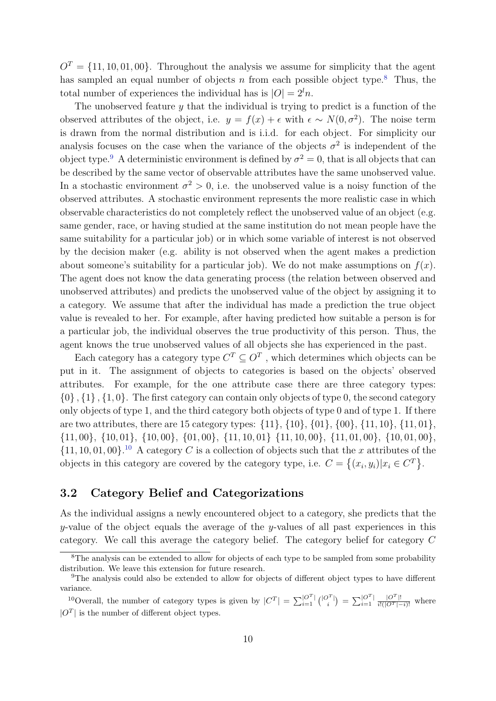$O<sup>T</sup> = \{11, 10, 01, 00\}$ . Throughout the analysis we assume for simplicity that the agent has sampled an equal number of objects n from each possible object type.<sup>[8](#page-10-0)</sup> Thus, the total number of experiences the individual has is  $|O| = 2^l n$ .

The unobserved feature  $\gamma$  that the individual is trying to predict is a function of the observed attributes of the object, i.e.  $y = f(x) + \epsilon$  with  $\epsilon \sim N(0, \sigma^2)$ . The noise term is drawn from the normal distribution and is i.i.d. for each object. For simplicity our analysis focuses on the case when the variance of the objects  $\sigma^2$  is independent of the object type.<sup>[9](#page-10-1)</sup> A deterministic environment is defined by  $\sigma^2 = 0$ , that is all objects that can be described by the same vector of observable attributes have the same unobserved value. In a stochastic environment  $\sigma^2 > 0$ , i.e. the unobserved value is a noisy function of the observed attributes. A stochastic environment represents the more realistic case in which observable characteristics do not completely reflect the unobserved value of an object (e.g. same gender, race, or having studied at the same institution do not mean people have the same suitability for a particular job) or in which some variable of interest is not observed by the decision maker (e.g. ability is not observed when the agent makes a prediction about someone's suitability for a particular job). We do not make assumptions on  $f(x)$ . The agent does not know the data generating process (the relation between observed and unobserved attributes) and predicts the unobserved value of the object by assigning it to a category. We assume that after the individual has made a prediction the true object value is revealed to her. For example, after having predicted how suitable a person is for a particular job, the individual observes the true productivity of this person. Thus, the agent knows the true unobserved values of all objects she has experienced in the past.

Each category has a category type  $C^T \subseteq O^T$ , which determines which objects can be put in it. The assignment of objects to categories is based on the objects' observed attributes. For example, for the one attribute case there are three category types:  $\{0\}, \{1\}, \{1, 0\}.$  The first category can contain only objects of type 0, the second category only objects of type 1, and the third category both objects of type 0 and of type 1. If there are two attributes, there are 15 category types: {11}, {10}, {01}, {00}, {11, 10}, {11, 01},  $\{11, 00\}, \{10, 01\}, \{10, 00\}, \{01, 00\}, \{11, 10, 01\}, \{11, 10, 00\}, \{11, 01, 00\}, \{10, 01, 00\},$  $\{11, 10, 01, 00\}$  $\{11, 10, 01, 00\}$  $\{11, 10, 01, 00\}$ .<sup>10</sup> A category C is a collection of objects such that the x attributes of the objects in this category are covered by the category type, i.e.  $C = \{(x_i, y_i) | x_i \in C^T\}$ .

# 3.2 Category Belief and Categorizations

As the individual assigns a newly encountered object to a category, she predicts that the y-value of the object equals the average of the y-values of all past experiences in this category. We call this average the category belief. The category belief for category C

<span id="page-10-2"></span><sup>10</sup>Overall, the number of category types is given by  $|C^T| = \sum_{i=1}^{|O^T|} {\binom{|O^T|}{i}} = \sum_{i=1}^{|O^T|} \frac{|O^T|}{i!(|O^T|-i)!}$  where  $|O<sup>T</sup>|$  is the number of different object types.

<span id="page-10-0"></span><sup>&</sup>lt;sup>8</sup>The analysis can be extended to allow for objects of each type to be sampled from some probability distribution. We leave this extension for future research.

<span id="page-10-1"></span><sup>9</sup>The analysis could also be extended to allow for objects of different object types to have different variance.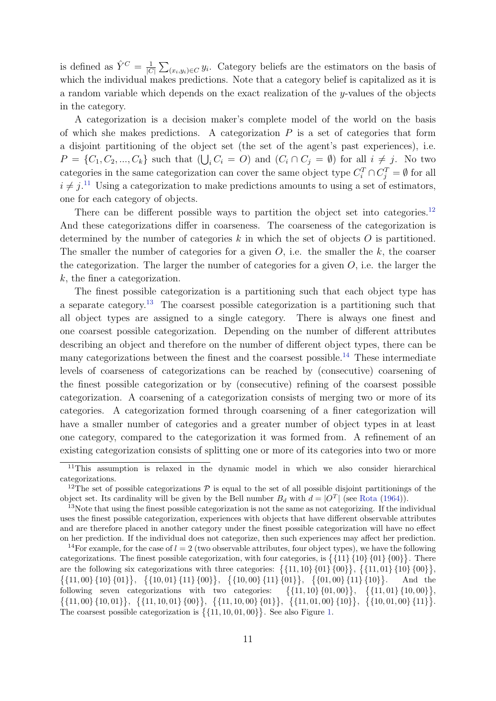is defined as  $\hat{Y}^C = \frac{1}{|C|}$  $\frac{1}{|C|} \sum_{(x_i,y_i)\in C} y_i$ . Category beliefs are the estimators on the basis of which the individual makes predictions. Note that a category belief is capitalized as it is a random variable which depends on the exact realization of the  $y$ -values of the objects in the category.

A categorization is a decision maker's complete model of the world on the basis of which she makes predictions. A categorization  $P$  is a set of categories that form a disjoint partitioning of the object set (the set of the agent's past experiences), i.e.  $P = \{C_1, C_2, ..., C_k\}$  such that  $(\bigcup_i C_i = O)$  and  $(C_i \cap C_j = \emptyset)$  for all  $i \neq j$ . No two categories in the same categorization can cover the same object type  $C_i^T \cap C_j^T = \emptyset$  for all  $i \neq j$ <sup>[11](#page-11-0)</sup> Using a categorization to make predictions amounts to using a set of estimators, one for each category of objects.

There can be different possible ways to partition the object set into categories.<sup>[12](#page-11-1)</sup> And these categorizations differ in coarseness. The coarseness of the categorization is determined by the number of categories  $k$  in which the set of objects  $O$  is partitioned. The smaller the number of categories for a given  $O$ , i.e. the smaller the  $k$ , the coarser the categorization. The larger the number of categories for a given  $O$ , i.e. the larger the k, the finer a categorization.

The finest possible categorization is a partitioning such that each object type has a separate category.<sup>[13](#page-11-2)</sup> The coarsest possible categorization is a partitioning such that all object types are assigned to a single category. There is always one finest and one coarsest possible categorization. Depending on the number of different attributes describing an object and therefore on the number of different object types, there can be many categorizations between the finest and the coarsest possible.<sup>[14](#page-11-3)</sup> These intermediate levels of coarseness of categorizations can be reached by (consecutive) coarsening of the finest possible categorization or by (consecutive) refining of the coarsest possible categorization. A coarsening of a categorization consists of merging two or more of its categories. A categorization formed through coarsening of a finer categorization will have a smaller number of categories and a greater number of object types in at least one category, compared to the categorization it was formed from. A refinement of an existing categorization consists of splitting one or more of its categories into two or more

<span id="page-11-0"></span><sup>&</sup>lt;sup>11</sup>This assumption is relaxed in the dynamic model in which we also consider hierarchical categorizations.

<span id="page-11-1"></span><sup>&</sup>lt;sup>12</sup>The set of possible categorizations  $P$  is equal to the set of all possible disjoint partitionings of the object set. Its cardinality will be given by the Bell number  $B_d$  with  $d = |O^T|$  (see [Rota](#page-44-15) [\(1964\)](#page-44-15)).

<span id="page-11-2"></span><sup>&</sup>lt;sup>13</sup>Note that using the finest possible categorization is not the same as not categorizing. If the individual uses the finest possible categorization, experiences with objects that have different observable attributes and are therefore placed in another category under the finest possible categorization will have no effect on her prediction. If the individual does not categorize, then such experiences may affect her prediction.

<span id="page-11-3"></span><sup>&</sup>lt;sup>14</sup>For example, for the case of  $l = 2$  (two observable attributes, four object types), we have the following categorizations. The finest possible categorization, with four categories, is  $\{\{11\}, \{10\}, \{01\}, \{00\}\}\$ . There are the following six categorizations with three categories:  $\{\{11, 10\}, \{00\}\}, \{\{11, 01\}, \{10\}, \{00\}\},\$  $\{\{11,00\}\ \{10\}\ \{01\}\},\ \{\{10,01\}\ \{11\}\ \{00\}\},\ \{\{10,00\}\ \{11\}\ \{01\}\},\ \{\{01,00\}\ \{11\}\ \{10\}\}\$ . And the following seven categorizations with two categories:  $\{\{11, 10\}, \{01, 00\}\},\$   $\{\{11, 01\}, \{10, 00\}\},\$  $\{\{11,00\}, \{10,01\}\}, \{\{11,10,01\}, \{00\}\}, \{\{11,10,00\}, \{01\}\}, \{\{11,01,00\}, \{10\}\}, \{\{10,01,00\}, \{11\}\}.$ The coarsest possible categorization is  $\{\{11, 10, 01, 00\}\}\.$  See also Figure [1.](#page-13-0)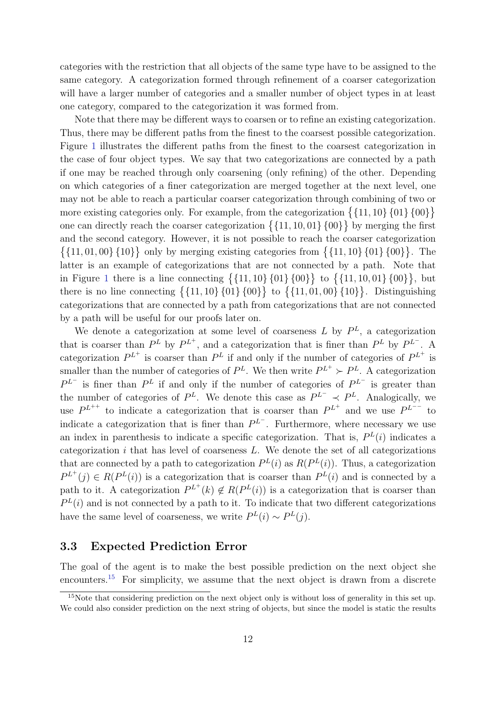categories with the restriction that all objects of the same type have to be assigned to the same category. A categorization formed through refinement of a coarser categorization will have a larger number of categories and a smaller number of object types in at least one category, compared to the categorization it was formed from.

Note that there may be different ways to coarsen or to refine an existing categorization. Thus, there may be different paths from the finest to the coarsest possible categorization. Figure [1](#page-13-0) illustrates the different paths from the finest to the coarsest categorization in the case of four object types. We say that two categorizations are connected by a path if one may be reached through only coarsening (only refining) of the other. Depending on which categories of a finer categorization are merged together at the next level, one may not be able to reach a particular coarser categorization through combining of two or more existing categories only. For example, from the categorization  $\{\{11, 10\}, \{01\}, \{00\}\}\$ one can directly reach the coarser categorization  $\{11, 10, 01\}$  {00}} by merging the first and the second category. However, it is not possible to reach the coarser categorization  $\{\{11, 01, 00\}, \{10\}\}\$  only by merging existing categories from  $\{\{11, 10\}, \{01\}, \{00\}\}\$ . The latter is an example of categorizations that are not connected by a path. Note that in Figure [1](#page-13-0) there is a line connecting  $\{\{11, 10\}, \{01\}, \{00\}\}\$  to  $\{\{11, 10, 01\}, \{00\}\}\$ , but there is no line connecting  $\{\{11, 10\}, \{01\}, \{00\}\}\$  to  $\{\{11, 01, 00\}, \{10\}\}\$ . Distinguishing categorizations that are connected by a path from categorizations that are not connected by a path will be useful for our proofs later on.

We denote a categorization at some level of coarseness L by  $P<sup>L</sup>$ , a categorization that is coarser than  $P^L$  by  $P^{L^+}$ , and a categorization that is finer than  $P^L$  by  $P^{L^-}$ . A categorization  $P^{L^+}$  is coarser than  $P^L$  if and only if the number of categories of  $P^{L^+}$  is smaller than the number of categories of  $P^L$ . We then write  $P^{L^+} \succ P^L$ . A categorization  $P^{L-}$  is finer than  $P^{L}$  if and only if the number of categories of  $P^{L-}$  is greater than the number of categories of  $P^L$ . We denote this case as  $P^{L^-} \prec P^L$ . Analogically, we use  $P^{L^{++}}$  to indicate a categorization that is coarser than  $P^{L^{+}}$  and we use  $P^{L^{--}}$  to indicate a categorization that is finer than  $P^{L^-}$ . Furthermore, where necessary we use an index in parenthesis to indicate a specific categorization. That is,  $P^{L}(i)$  indicates a categorization  $i$  that has level of coarseness  $L$ . We denote the set of all categorizations that are connected by a path to categorization  $P^{L}(i)$  as  $R(P^{L}(i))$ . Thus, a categorization  $P^{L^+}(j) \in R(P^L(i))$  is a categorization that is coarser than  $P^L(i)$  and is connected by a path to it. A categorization  $P^{L^+}(k) \notin R(P^L(i))$  is a categorization that is coarser than  $P^{L}(i)$  and is not connected by a path to it. To indicate that two different categorizations have the same level of coarseness, we write  $P^{L}(i) \sim P^{L}(j)$ .

### 3.3 Expected Prediction Error

The goal of the agent is to make the best possible prediction on the next object she encounters.<sup>[15](#page-12-0)</sup> For simplicity, we assume that the next object is drawn from a discrete

<span id="page-12-0"></span><sup>&</sup>lt;sup>15</sup>Note that considering prediction on the next object only is without loss of generality in this set up. We could also consider prediction on the next string of objects, but since the model is static the results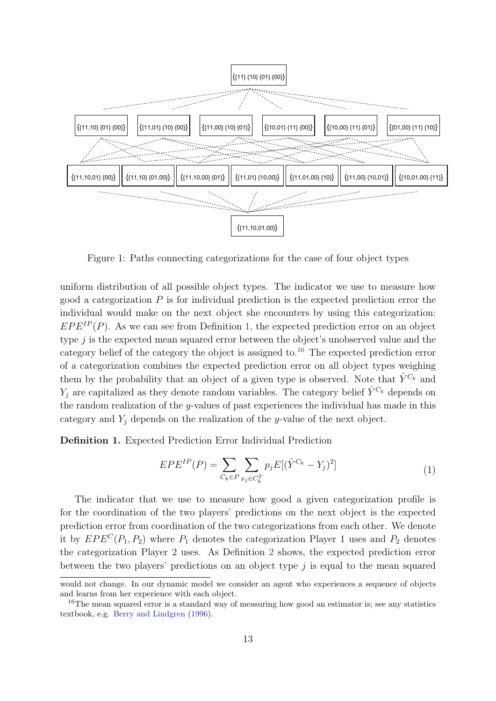

<span id="page-13-0"></span>Figure 1: Paths connecting categorizations for the case of four object types

uniform distribution of all possible object types. The indicator we use to measure how good a categorization  $P$  is for individual prediction is the expected prediction error the individual would make on the next object she encounters by using this categorization:  $EPE^{IP}(P)$ . As we can see from Definition [1,](#page-13-1) the expected prediction error on an object type  $j$  is the expected mean squared error between the object's unobserved value and the category belief of the category the object is assigned to.<sup>[16](#page-13-2)</sup> The expected prediction error of a categorization combines the expected prediction error on all object types weighing them by the probability that an object of a given type is observed. Note that  $\hat{Y}^{C_k}$  and  $Y_j$  are capitalized as they denote random variables. The category belief  $\hat{Y}^{C_k}$  depends on the random realization of the y-values of past experiences the individual has made in this category and  $Y_i$  depends on the realization of the y-value of the next object.

<span id="page-13-1"></span>Definition 1. Expected Prediction Error Individual Prediction

$$
EPE^{IP}(P) = \sum_{C_k \in P} \sum_{x_j \in C_k^T} p_j E[(\hat{Y}^{C_k} - Y_j)^2]
$$
\n(1)

The indicator that we use to measure how good a given categorization profile is for the coordination of the two players' predictions on the next object is the expected prediction error from coordination of the two categorizations from each other. We denote it by  $EPE^{C}(P_1, P_2)$  where  $P_1$  denotes the categorization Player 1 uses and  $P_2$  denotes the categorization Player 2 uses. As Definition [2](#page-14-1) shows, the expected prediction error between the two players' predictions on an object type  $j$  is equal to the mean squared

would not change. In our dynamic model we consider an agent who experiences a sequence of objects and learns from her experience with each object.

<span id="page-13-2"></span><sup>&</sup>lt;sup>16</sup>The mean squared error is a standard way of measuring how good an estimator is; see any statistics textbook, e.g. [Berry and Lindgren](#page-43-16) [\(1996\)](#page-43-16).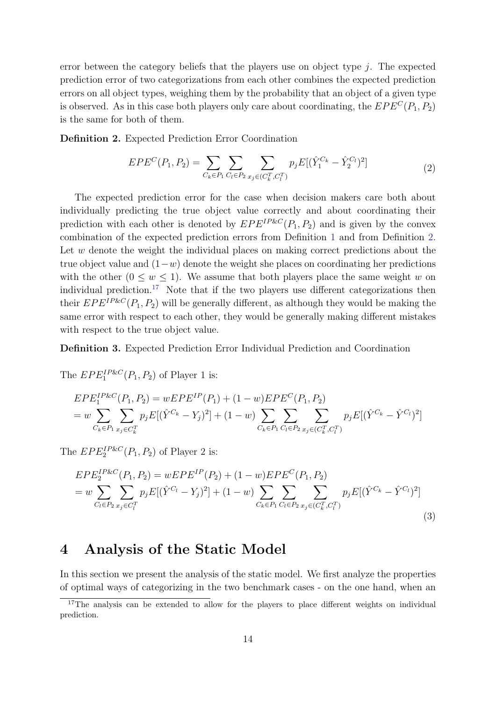error between the category beliefs that the players use on object type  $j$ . The expected prediction error of two categorizations from each other combines the expected prediction errors on all object types, weighing them by the probability that an object of a given type is observed. As in this case both players only care about coordinating, the  $EPE^{C}(P_1, P_2)$ is the same for both of them.

<span id="page-14-1"></span>Definition 2. Expected Prediction Error Coordination

$$
EPE^{C}(P_{1}, P_{2}) = \sum_{C_{k} \in P_{1}} \sum_{C_{l} \in P_{2}} \sum_{x_{j} \in (C_{k}^{T}, C_{l}^{T})} p_{j} E[(\hat{Y}_{1}^{C_{k}} - \hat{Y}_{2}^{C_{l}})^{2}] \tag{2}
$$

The expected prediction error for the case when decision makers care both about individually predicting the true object value correctly and about coordinating their prediction with each other is denoted by  $EPE^{IP\&C}(P_1, P_2)$  and is given by the convex combination of the expected prediction errors from Definition [1](#page-13-1) and from Definition [2.](#page-14-1) Let w denote the weight the individual places on making correct predictions about the true object value and  $(1-w)$  denote the weight she places on coordinating her predictions with the other  $(0 \le w \le 1)$ . We assume that both players place the same weight w on individual prediction.<sup>[17](#page-14-2)</sup> Note that if the two players use different categorizations then their  $EPE^{IP\&C}(P_1, P_2)$  will be generally different, as although they would be making the same error with respect to each other, they would be generally making different mistakes with respect to the true object value.

#### Definition 3. Expected Prediction Error Individual Prediction and Coordination

The  $EPE<sub>1</sub><sup>IP&C</sup>(P<sub>1</sub>, P<sub>2</sub>)$  of Player 1 is:

$$
EPE_{1}^{IP\&C}(P_{1}, P_{2}) = wEPE_{1}^{IP}(P_{1}) + (1 - w)EPE_{2}^{CP}(P_{1}, P_{2})
$$
  
= 
$$
w \sum_{C_{k} \in P_{1}} \sum_{x_{j} \in C_{k}^{T}} p_{j}E[(\hat{Y}^{C_{k}} - Y_{j})^{2}] + (1 - w) \sum_{C_{k} \in P_{1}} \sum_{C_{l} \in P_{2}} \sum_{x_{j} \in (C_{k}^{T}, C_{l}^{T})} p_{j}E[(\hat{Y}^{C_{k}} - \hat{Y}^{C_{l}})^{2}]
$$

The  $EPE_2^{IP\&C}(P_1, P_2)$  of Player 2 is:

$$
EPE_2^{IP\&C}(P_1, P_2) = wEPE_2^{IP}(P_2) + (1 - w)EPE_2^{CP}(P_1, P_2)
$$
  
= 
$$
w \sum_{C_l \in P_2} \sum_{x_j \in C_l^{T}} p_j E[(\hat{Y}^{C_l} - Y_j)^2] + (1 - w) \sum_{C_k \in P_1} \sum_{C_l \in P_2} \sum_{x_j \in (C_k^{T}, C_l^{T})} p_j E[(\hat{Y}^{C_k} - \hat{Y}^{C_l})^2]
$$
(3)

# <span id="page-14-0"></span>4 Analysis of the Static Model

In this section we present the analysis of the static model. We first analyze the properties of optimal ways of categorizing in the two benchmark cases - on the one hand, when an

<span id="page-14-2"></span><sup>&</sup>lt;sup>17</sup>The analysis can be extended to allow for the players to place different weights on individual prediction.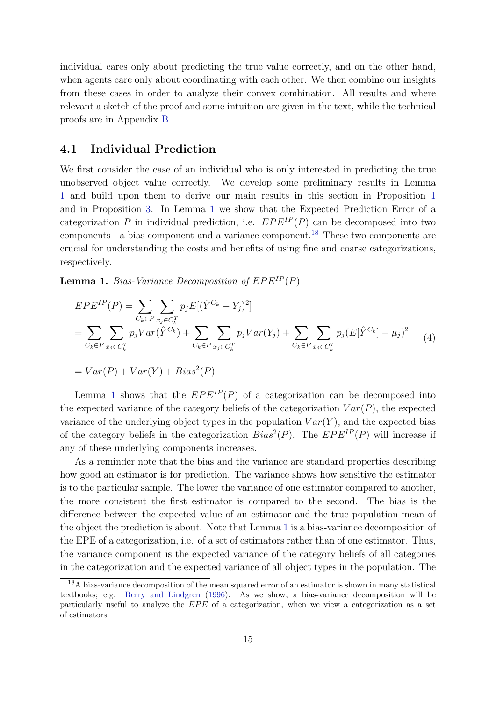individual cares only about predicting the true value correctly, and on the other hand, when agents care only about coordinating with each other. We then combine our insights from these cases in order to analyze their convex combination. All results and where relevant a sketch of the proof and some intuition are given in the text, while the technical proofs are in Appendix [B.](#page-47-0)

### 4.1 Individual Prediction

We first consider the case of an individual who is only interested in predicting the true unobserved object value correctly. We develop some preliminary results in Lemma [1](#page-15-0) and build upon them to derive our main results in this section in Proposition [1](#page-16-0) and in Proposition [3.](#page-19-0) In Lemma [1](#page-15-0) we show that the Expected Prediction Error of a categorization P in individual prediction, i.e.  $EPE^{IP}(P)$  can be decomposed into two components - a bias component and a variance component.[18](#page-15-1) These two components are crucial for understanding the costs and benefits of using fine and coarse categorizations, respectively.

<span id="page-15-0"></span>**Lemma 1.** Bias-Variance Decomposition of  $EPE^{IP}(P)$ 

$$
EPE^{IP}(P) = \sum_{C_k \in P} \sum_{x_j \in C_k^T} p_j E[(\hat{Y}^{C_k} - Y_j)^2]
$$
  
= 
$$
\sum_{C_k \in P} \sum_{x_j \in C_k^T} p_j Var(\hat{Y}^{C_k}) + \sum_{C_k \in P} \sum_{x_j \in C_k^T} p_j Var(Y_j) + \sum_{C_k \in P} \sum_{x_j \in C_k^T} p_j (E[\hat{Y}^{C_k}] - \mu_j)^2
$$
 (4)

$$
= Var(P) + Var(Y) + Bias^2(P)
$$

Lemma [1](#page-15-0) shows that the  $EPE^{IP}(P)$  of a categorization can be decomposed into the expected variance of the category beliefs of the categorization  $Var(P)$ , the expected variance of the underlying object types in the population  $Var(Y)$ , and the expected bias of the category beliefs in the categorization  $Bias^2(P)$ . The  $EPE^{IP}(P)$  will increase if any of these underlying components increases.

As a reminder note that the bias and the variance are standard properties describing how good an estimator is for prediction. The variance shows how sensitive the estimator is to the particular sample. The lower the variance of one estimator compared to another, the more consistent the first estimator is compared to the second. The bias is the difference between the expected value of an estimator and the true population mean of the object the prediction is about. Note that Lemma [1](#page-15-0) is a bias-variance decomposition of the EPE of a categorization, i.e. of a set of estimators rather than of one estimator. Thus, the variance component is the expected variance of the category beliefs of all categories in the categorization and the expected variance of all object types in the population. The

<span id="page-15-1"></span><sup>&</sup>lt;sup>18</sup>A bias-variance decomposition of the mean squared error of an estimator is shown in many statistical textbooks; e.g. [Berry and Lindgren](#page-43-16) [\(1996\)](#page-43-16). As we show, a bias-variance decomposition will be particularly useful to analyze the  $EPE$  of a categorization, when we view a categorization as a set of estimators.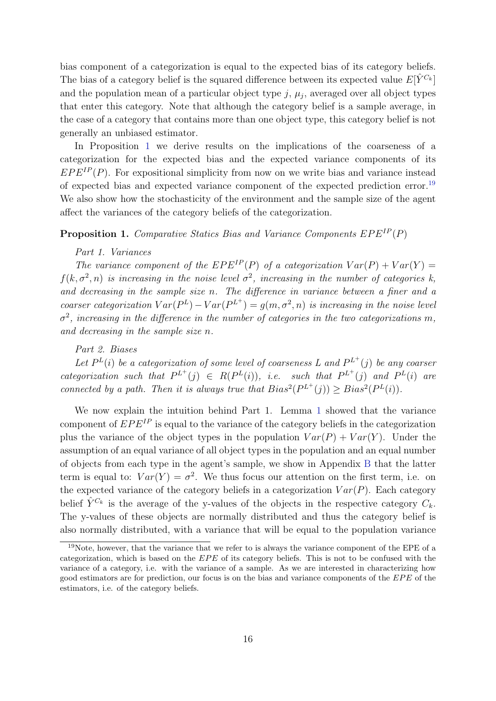bias component of a categorization is equal to the expected bias of its category beliefs. The bias of a category belief is the squared difference between its expected value  $E[\hat{Y}^{C_k}]$ and the population mean of a particular object type  $j, \mu_j$ , averaged over all object types that enter this category. Note that although the category belief is a sample average, in the case of a category that contains more than one object type, this category belief is not generally an unbiased estimator.

In Proposition [1](#page-16-0) we derive results on the implications of the coarseness of a categorization for the expected bias and the expected variance components of its  $EPE^{IP}(P)$ . For expositional simplicity from now on we write bias and variance instead of expected bias and expected variance component of the expected prediction error.[19](#page-16-1) We also show how the stochasticity of the environment and the sample size of the agent affect the variances of the category beliefs of the categorization.

### <span id="page-16-0"></span>**Proposition 1.** Comparative Statics Bias and Variance Components  $EPE^{IP}(P)$

#### Part 1. Variances

The variance component of the  $EPE^{IP}(P)$  of a categorization  $Var(P) + Var(Y) =$  $f(k, \sigma^2, n)$  is increasing in the noise level  $\sigma^2$ , increasing in the number of categories k, and decreasing in the sample size n. The difference in variance between a finer and a coarser categorization  $Var(P^L) - Var(P^{L^+}) = g(m, \sigma^2, n)$  is increasing in the noise level  $\sigma^2$ , increasing in the difference in the number of categories in the two categorizations m, and decreasing in the sample size n.

#### Part 2. Biases

Let  $P^{L}(i)$  be a categorization of some level of coarseness L and  $P^{L+}(j)$  be any coarser categorization such that  $P^{L^+}(j) \in R(P^L(i))$ , i.e. such that  $P^{L^+}(j)$  and  $P^L(i)$  are connected by a path. Then it is always true that  $Bias^2(P^{L^+}(j)) \geq Bias^2(P^{L}(i)).$ 

We now explain the intuition behind Part 1. Lemma [1](#page-15-0) showed that the variance component of  $EPE^{IP}$  is equal to the variance of the category beliefs in the categorization plus the variance of the object types in the population  $Var(P) + Var(Y)$ . Under the assumption of an equal variance of all object types in the population and an equal number of objects from each type in the agent's sample, we show in Appendix [B](#page-47-0) that the latter term is equal to:  $Var(Y) = \sigma^2$ . We thus focus our attention on the first term, i.e. on the expected variance of the category beliefs in a categorization  $Var(P)$ . Each category belief  $\hat{Y}^{C_k}$  is the average of the y-values of the objects in the respective category  $C_k$ . The y-values of these objects are normally distributed and thus the category belief is also normally distributed, with a variance that will be equal to the population variance

<span id="page-16-1"></span><sup>19</sup>Note, however, that the variance that we refer to is always the variance component of the EPE of a categorization, which is based on the EPE of its category beliefs. This is not to be confused with the variance of a category, i.e. with the variance of a sample. As we are interested in characterizing how good estimators are for prediction, our focus is on the bias and variance components of the  $EPE$  of the estimators, i.e. of the category beliefs.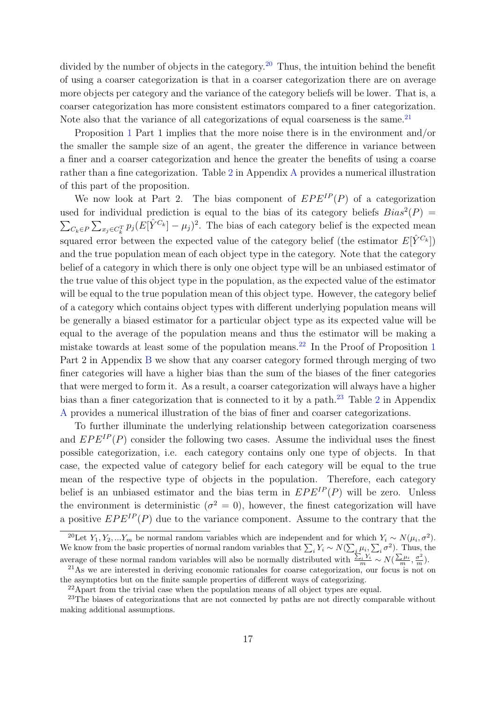divided by the number of objects in the category.<sup>[20](#page-17-0)</sup> Thus, the intuition behind the benefit of using a coarser categorization is that in a coarser categorization there are on average more objects per category and the variance of the category beliefs will be lower. That is, a coarser categorization has more consistent estimators compared to a finer categorization. Note also that the variance of all categorizations of equal coarseness is the same.<sup>[21](#page-17-1)</sup>

Proposition [1](#page-16-0) Part 1 implies that the more noise there is in the environment and/or the smaller the sample size of an agent, the greater the difference in variance between a finer and a coarser categorization and hence the greater the benefits of using a coarse rather than a fine categorization. Table [2](#page-46-0) in Appendix [A](#page-46-1) provides a numerical illustration of this part of the proposition.

We now look at Part 2. The bias component of  $EPE^{IP}(P)$  of a categorization used for individual prediction is equal to the bias of its category beliefs  $Bias^2(P)$  =  $\sum_{C_k \in P} \sum_{x_j \in C_k^T} p_j (E[\hat{Y}^{C_k}] - \mu_j)^2$ . The bias of each category belief is the expected mean squared error between the expected value of the category belief (the estimator  $E[\hat{Y}^{C_k}]$ ) and the true population mean of each object type in the category. Note that the category belief of a category in which there is only one object type will be an unbiased estimator of the true value of this object type in the population, as the expected value of the estimator will be equal to the true population mean of this object type. However, the category belief of a category which contains object types with different underlying population means will be generally a biased estimator for a particular object type as its expected value will be equal to the average of the population means and thus the estimator will be making a mistake towards at least some of the population means.<sup>[22](#page-17-2)</sup> In the Proof of Proposition [1](#page-16-0) Part 2 in Appendix [B](#page-47-0) we show that any coarser category formed through merging of two finer categories will have a higher bias than the sum of the biases of the finer categories that were merged to form it. As a result, a coarser categorization will always have a higher bias than a finer categorization that is connected to it by a path.<sup>[23](#page-17-3)</sup> Table [2](#page-46-0) in Appendix [A](#page-46-1) provides a numerical illustration of the bias of finer and coarser categorizations.

To further illuminate the underlying relationship between categorization coarseness and  $EPE^{IP}(P)$  consider the following two cases. Assume the individual uses the finest possible categorization, i.e. each category contains only one type of objects. In that case, the expected value of category belief for each category will be equal to the true mean of the respective type of objects in the population. Therefore, each category belief is an unbiased estimator and the bias term in  $EPE^{IP}(P)$  will be zero. Unless the environment is deterministic ( $\sigma^2 = 0$ ), however, the finest categorization will have a positive  $EPE^{IP}(P)$  due to the variance component. Assume to the contrary that the

<span id="page-17-0"></span><sup>&</sup>lt;sup>20</sup>Let  $Y_1, Y_2, ... Y_m$  be normal random variables which are independent and for which  $Y_i \sim N(\mu_i, \sigma^2)$ . We know from the basic properties of normal random variables that  $\sum_i Y_i \sim N(\sum_i \mu_i, \sum_i \sigma^2)$ . Thus, the average of these normal random variables will also be normally distributed with  $\frac{\sum_i Y_i}{m} \sim N(\frac{\sum \mu_i}{m}, \frac{\sigma^2}{m})$ .

<span id="page-17-1"></span><sup>&</sup>lt;sup>21</sup>As we are interested in deriving economic rationales for coarse categorization, our focus is not on the asymptotics but on the finite sample properties of different ways of categorizing.

<span id="page-17-3"></span><span id="page-17-2"></span><sup>&</sup>lt;sup>22</sup>Apart from the trivial case when the population means of all object types are equal.

<sup>&</sup>lt;sup>23</sup>The biases of categorizations that are not connected by paths are not directly comparable without making additional assumptions.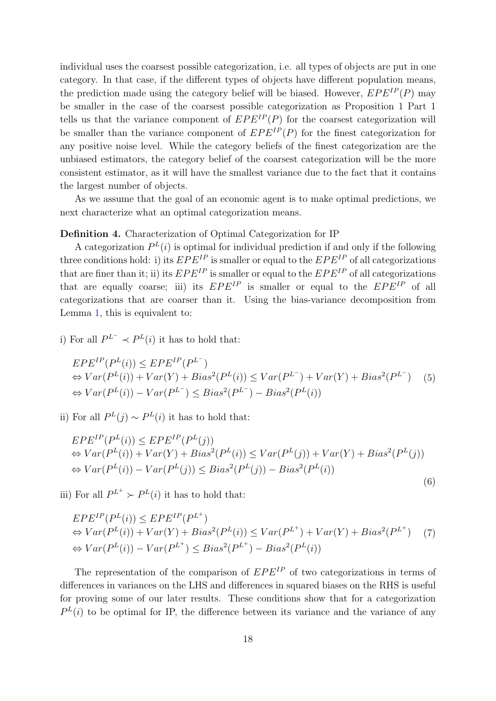individual uses the coarsest possible categorization, i.e. all types of objects are put in one category. In that case, if the different types of objects have different population means, the prediction made using the category belief will be biased. However,  $EPE^{IP}(P)$  may be smaller in the case of the coarsest possible categorization as Proposition 1 Part 1 tells us that the variance component of  $EPE^{IP}(P)$  for the coarsest categorization will be smaller than the variance component of  $EPE^{IP}(P)$  for the finest categorization for any positive noise level. While the category beliefs of the finest categorization are the unbiased estimators, the category belief of the coarsest categorization will be the more consistent estimator, as it will have the smallest variance due to the fact that it contains the largest number of objects.

As we assume that the goal of an economic agent is to make optimal predictions, we next characterize what an optimal categorization means.

#### <span id="page-18-0"></span>Definition 4. Characterization of Optimal Categorization for IP

A categorization  $P^{L}(i)$  is optimal for individual prediction if and only if the following three conditions hold: i) its  $EPE^{IP}$  is smaller or equal to the  $EPE^{IP}$  of all categorizations that are finer than it; ii) its  $EPE^{IP}$  is smaller or equal to the  $EPE^{IP}$  of all categorizations that are equally coarse; iii) its  $EPE^{IP}$  is smaller or equal to the  $EPE^{IP}$  of all categorizations that are coarser than it. Using the bias-variance decomposition from Lemma [1,](#page-15-0) this is equivalent to:

i) For all  $P^{L^-} \prec P^{L}(i)$  it has to hold that:

$$
EPE^{IP}(P^{L}(i)) \le EPE^{IP}(P^{L^{-}})
$$
  
\n
$$
\Leftrightarrow Var(P^{L}(i)) + Var(Y) + Bias^{2}(P^{L}(i)) \le Var(P^{L^{-}}) + Var(Y) + Bias^{2}(P^{L^{-}})
$$
 (5)  
\n
$$
\Leftrightarrow Var(P^{L}(i)) - Var(P^{L^{-}}) \le Bias^{2}(P^{L^{-}}) - Bias^{2}(P^{L}(i))
$$

ii) For all  $P^{L}(j) \sim P^{L}(i)$  it has to hold that:

$$
EPE^{IP}(P^{L}(i)) \le EPE^{IP}(P^{L}(j))
$$
  
\n
$$
\Leftrightarrow Var(P^{L}(i)) + Var(Y) + Bias^{2}(P^{L}(i)) \le Var(P^{L}(j)) + Var(Y) + Bias^{2}(P^{L}(j))
$$
  
\n
$$
\Leftrightarrow Var(P^{L}(i)) - Var(P^{L}(j)) \le Bias^{2}(P^{L}(j)) - Bias^{2}(P^{L}(i))
$$

(6)

iii) For all  $P^{L^+} \succ P^{L}(i)$  it has to hold that:

$$
EPE^{IP}(P^{L}(i)) \le EPE^{IP}(P^{L^{+}})
$$
  
\n
$$
\Leftrightarrow Var(P^{L}(i)) + Var(Y) + Bias^{2}(P^{L}(i)) \le Var(P^{L^{+}}) + Var(Y) + Bias^{2}(P^{L^{+}})
$$
  
\n
$$
\Leftrightarrow Var(P^{L}(i)) - Var(P^{L^{+}}) \le Bias^{2}(P^{L^{+}}) - Bias^{2}(P^{L}(i))
$$
\n(7)

The representation of the comparison of  $EPE^{IP}$  of two categorizations in terms of differences in variances on the LHS and differences in squared biases on the RHS is useful for proving some of our later results. These conditions show that for a categorization  $P^{L}(i)$  to be optimal for IP, the difference between its variance and the variance of any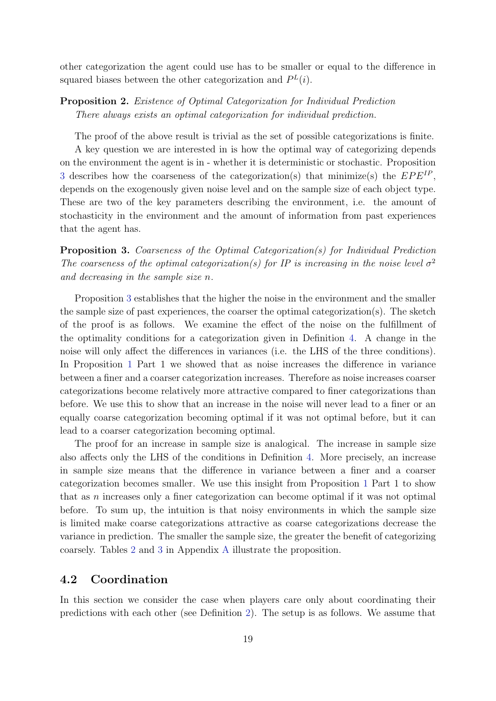other categorization the agent could use has to be smaller or equal to the difference in squared biases between the other categorization and  $P<sup>L</sup>(i)$ .

## <span id="page-19-1"></span>Proposition 2. Existence of Optimal Categorization for Individual Prediction There always exists an optimal categorization for individual prediction.

The proof of the above result is trivial as the set of possible categorizations is finite.

A key question we are interested in is how the optimal way of categorizing depends on the environment the agent is in - whether it is deterministic or stochastic. Proposition [3](#page-19-0) describes how the coarseness of the categorization(s) that minimize(s) the  $EPE^{IP}$ , depends on the exogenously given noise level and on the sample size of each object type. These are two of the key parameters describing the environment, i.e. the amount of stochasticity in the environment and the amount of information from past experiences that the agent has.

<span id="page-19-0"></span>Proposition 3. Coarseness of the Optimal Categorization(s) for Individual Prediction The coarseness of the optimal categorization(s) for IP is increasing in the noise level  $\sigma^2$ and decreasing in the sample size n.

Proposition [3](#page-19-0) establishes that the higher the noise in the environment and the smaller the sample size of past experiences, the coarser the optimal categorization(s). The sketch of the proof is as follows. We examine the effect of the noise on the fulfillment of the optimality conditions for a categorization given in Definition [4.](#page-18-0) A change in the noise will only affect the differences in variances (i.e. the LHS of the three conditions). In Proposition [1](#page-16-0) Part 1 we showed that as noise increases the difference in variance between a finer and a coarser categorization increases. Therefore as noise increases coarser categorizations become relatively more attractive compared to finer categorizations than before. We use this to show that an increase in the noise will never lead to a finer or an equally coarse categorization becoming optimal if it was not optimal before, but it can lead to a coarser categorization becoming optimal.

The proof for an increase in sample size is analogical. The increase in sample size also affects only the LHS of the conditions in Definition [4.](#page-18-0) More precisely, an increase in sample size means that the difference in variance between a finer and a coarser categorization becomes smaller. We use this insight from Proposition [1](#page-16-0) Part 1 to show that as  $n$  increases only a finer categorization can become optimal if it was not optimal before. To sum up, the intuition is that noisy environments in which the sample size is limited make coarse categorizations attractive as coarse categorizations decrease the variance in prediction. The smaller the sample size, the greater the benefit of categorizing coarsely. Tables [2](#page-46-0) and [3](#page-46-2) in Appendix [A](#page-46-1) illustrate the proposition.

# 4.2 Coordination

In this section we consider the case when players care only about coordinating their predictions with each other (see Definition [2\)](#page-14-1). The setup is as follows. We assume that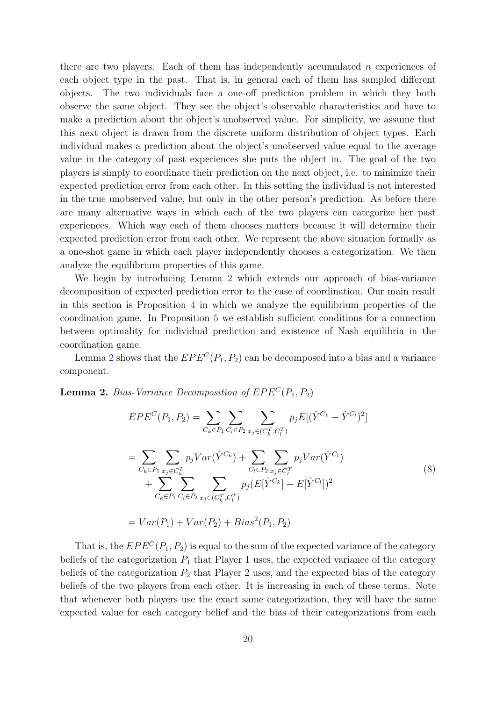there are two players. Each of them has independently accumulated  $n$  experiences of each object type in the past. That is, in general each of them has sampled different objects. The two individuals face a one-off prediction problem in which they both observe the same object. They see the object's observable characteristics and have to make a prediction about the object's unobserved value. For simplicity, we assume that this next object is drawn from the discrete uniform distribution of object types. Each individual makes a prediction about the object's unobserved value equal to the average value in the category of past experiences she puts the object in. The goal of the two players is simply to coordinate their prediction on the next object, i.e. to minimize their expected prediction error from each other. In this setting the individual is not interested in the true unobserved value, but only in the other person's prediction. As before there are many alternative ways in which each of the two players can categorize her past experiences. Which way each of them chooses matters because it will determine their expected prediction error from each other. We represent the above situation formally as a one-shot game in which each player independently chooses a categorization. We then analyze the equilibrium properties of this game.

We begin by introducing Lemma [2](#page-20-0) which extends our approach of bias-variance decomposition of expected prediction error to the case of coordination. Our main result in this section is Proposition [4](#page-22-0) in which we analyze the equilibrium properties of the coordination game. In Proposition [5](#page-24-0) we establish sufficient conditions for a connection between optimality for individual prediction and existence of Nash equilibria in the coordination game.

Lemma [2](#page-20-0) shows that the  $EPE^{C}(P_1, P_2)$  can be decomposed into a bias and a variance component.

<span id="page-20-0"></span>**Lemma 2.** Bias-Variance Decomposition of  $EPE<sup>C</sup>(P<sub>1</sub>, P<sub>2</sub>)$ 

$$
EPE^{C}(P_{1}, P_{2}) = \sum_{C_{k} \in P_{1}} \sum_{C_{l} \in P_{2}} \sum_{x_{j} \in (C_{k}^{T}, C_{l}^{T})} p_{j} E[(\hat{Y}^{C_{k}} - \hat{Y}^{C_{l}})^{2}]
$$
  
\n
$$
= \sum_{C_{k} \in P_{1}} \sum_{x_{j} \in C_{k}^{T}} p_{j} Var(\hat{Y}^{C_{k}}) + \sum_{C_{l} \in P_{2}} \sum_{x_{j} \in C_{l}^{T}} p_{j} Var(\hat{Y}^{C_{l}})
$$
  
\n
$$
+ \sum_{C_{k} \in P_{1}} \sum_{C_{l} \in P_{2}} \sum_{x_{j} \in (C_{k}^{T}, C_{l}^{T})} p_{j} (E[\hat{Y}^{C_{k}}] - E[\hat{Y}^{C_{l}}])^{2}
$$
  
\n
$$
= Var(P_{1}) + Var(P_{2}) + Bias^{2}(P_{1}, P_{2})
$$
\n(8)

That is, the  $EPE^{C}(P_1, P_2)$  is equal to the sum of the expected variance of the category beliefs of the categorization  $P_1$  that Player 1 uses, the expected variance of the category beliefs of the categorization  $P_2$  that Player 2 uses, and the expected bias of the category beliefs of the two players from each other. It is increasing in each of these terms. Note that whenever both players use the exact same categorization, they will have the same expected value for each category belief and the bias of their categorizations from each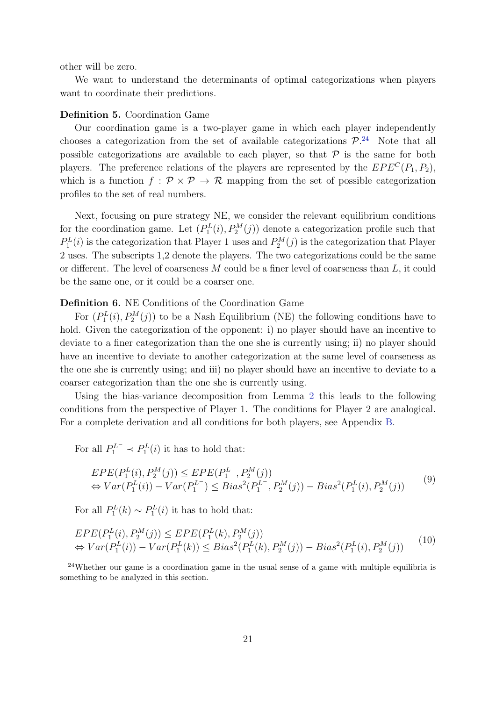other will be zero.

We want to understand the determinants of optimal categorizations when players want to coordinate their predictions.

#### Definition 5. Coordination Game

Our coordination game is a two-player game in which each player independently chooses a categorization from the set of available categorizations  $\mathcal{P}^{24}$  $\mathcal{P}^{24}$  $\mathcal{P}^{24}$ . Note that all possible categorizations are available to each player, so that  $P$  is the same for both players. The preference relations of the players are represented by the  $EPE^{C}(P_1, P_2)$ , which is a function  $f : \mathcal{P} \times \mathcal{P} \to \mathcal{R}$  mapping from the set of possible categorization profiles to the set of real numbers.

Next, focusing on pure strategy NE, we consider the relevant equilibrium conditions for the coordination game. Let  $(P_1^L(i), P_2^M(j))$  denote a categorization profile such that  $P_1^L(i)$  is the categorization that Player 1 uses and  $P_2^M(j)$  is the categorization that Player 2 uses. The subscripts 1,2 denote the players. The two categorizations could be the same or different. The level of coarseness  $M$  could be a finer level of coarseness than  $L$ , it could be the same one, or it could be a coarser one.

#### <span id="page-21-1"></span>Definition 6. NE Conditions of the Coordination Game

For  $(P_1^L(i), P_2^M(j))$  to be a Nash Equilibrium (NE) the following conditions have to hold. Given the categorization of the opponent: i) no player should have an incentive to deviate to a finer categorization than the one she is currently using; ii) no player should have an incentive to deviate to another categorization at the same level of coarseness as the one she is currently using; and iii) no player should have an incentive to deviate to a coarser categorization than the one she is currently using.

Using the bias-variance decomposition from Lemma [2](#page-20-0) this leads to the following conditions from the perspective of Player 1. The conditions for Player 2 are analogical. For a complete derivation and all conditions for both players, see Appendix [B.](#page-47-0)

For all  $P_1^{L^-} \prec P_1^L(i)$  it has to hold that:

$$
EPE(P_1^L(i), P_2^M(j)) \le EPE(P_1^{L^-}, P_2^M(j))
$$
  
\n
$$
\Leftrightarrow Var(P_1^L(i)) - Var(P_1^{L^-}) \le Bias^2(P_1^{L^-}, P_2^M(j)) - Bias^2(P_1^L(i), P_2^M(j))
$$
\n(9)

For all  $P_1^L(k) \sim P_1^L(i)$  it has to hold that:

$$
EPE(P_1^L(i), P_2^M(j)) \le EPE(P_1^L(k), P_2^M(j))
$$
  
\n
$$
\Leftrightarrow Var(P_1^L(i)) - Var(P_1^L(k)) \le Bias^2(P_1^L(k), P_2^M(j)) - Bias^2(P_1^L(i), P_2^M(j))
$$
\n(10)

<span id="page-21-0"></span><sup>&</sup>lt;sup>24</sup>Whether our game is a coordination game in the usual sense of a game with multiple equilibria is something to be analyzed in this section.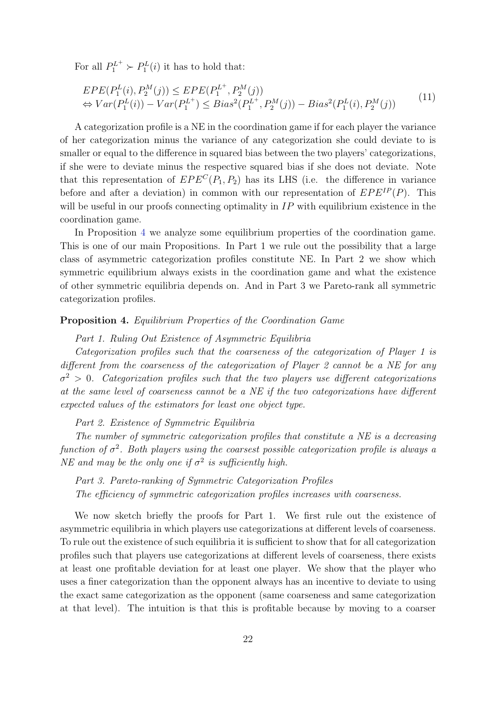For all  $P_1^{L^+} \succ P_1^L(i)$  it has to hold that:

$$
EPE(P_1^L(i), P_2^M(j)) \le EPE(P_1^{L^+}, P_2^M(j))
$$
  
\n
$$
\Leftrightarrow Var(P_1^L(i)) - Var(P_1^{L^+}) \le Bias^2(P_1^{L^+}, P_2^M(j)) - Bias^2(P_1^L(i), P_2^M(j))
$$
\n(11)

A categorization profile is a NE in the coordination game if for each player the variance of her categorization minus the variance of any categorization she could deviate to is smaller or equal to the difference in squared bias between the two players' categorizations, if she were to deviate minus the respective squared bias if she does not deviate. Note that this representation of  $EPE^{C}(P_1, P_2)$  has its LHS (i.e. the difference in variance before and after a deviation) in common with our representation of  $EPE^{IP}(P)$ . This will be useful in our proofs connecting optimality in  $IP$  with equilibrium existence in the coordination game.

In Proposition [4](#page-22-0) we analyze some equilibrium properties of the coordination game. This is one of our main Propositions. In Part 1 we rule out the possibility that a large class of asymmetric categorization profiles constitute NE. In Part 2 we show which symmetric equilibrium always exists in the coordination game and what the existence of other symmetric equilibria depends on. And in Part 3 we Pareto-rank all symmetric categorization profiles.

#### <span id="page-22-0"></span>Proposition 4. Equilibrium Properties of the Coordination Game

#### Part 1. Ruling Out Existence of Asymmetric Equilibria

Categorization profiles such that the coarseness of the categorization of Player 1 is different from the coarseness of the categorization of Player 2 cannot be a NE for any  $\sigma^2 > 0$ . Categorization profiles such that the two players use different categorizations at the same level of coarseness cannot be a NE if the two categorizations have different expected values of the estimators for least one object type.

Part 2. Existence of Symmetric Equilibria

The number of symmetric categorization profiles that constitute a NE is a decreasing function of  $\sigma^2$ . Both players using the coarsest possible categorization profile is always a NE and may be the only one if  $\sigma^2$  is sufficiently high.

Part 3. Pareto-ranking of Symmetric Categorization Profiles The efficiency of symmetric categorization profiles increases with coarseness.

We now sketch briefly the proofs for Part 1. We first rule out the existence of asymmetric equilibria in which players use categorizations at different levels of coarseness. To rule out the existence of such equilibria it is sufficient to show that for all categorization profiles such that players use categorizations at different levels of coarseness, there exists at least one profitable deviation for at least one player. We show that the player who uses a finer categorization than the opponent always has an incentive to deviate to using the exact same categorization as the opponent (same coarseness and same categorization at that level). The intuition is that this is profitable because by moving to a coarser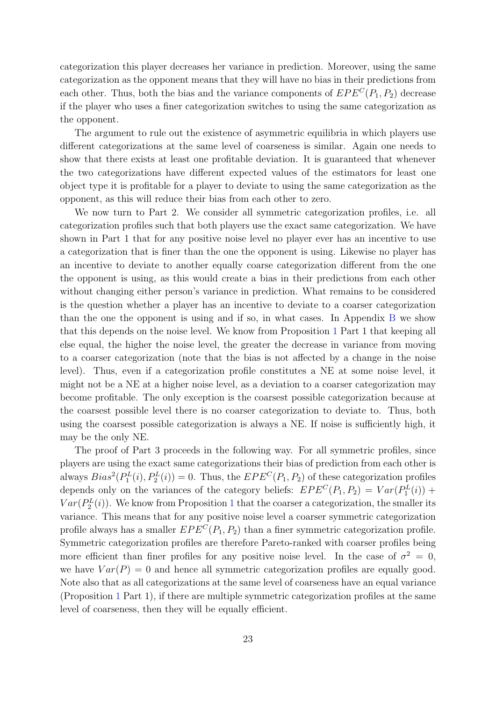categorization this player decreases her variance in prediction. Moreover, using the same categorization as the opponent means that they will have no bias in their predictions from each other. Thus, both the bias and the variance components of  $EPE^{C}(P_1, P_2)$  decrease if the player who uses a finer categorization switches to using the same categorization as the opponent.

The argument to rule out the existence of asymmetric equilibria in which players use different categorizations at the same level of coarseness is similar. Again one needs to show that there exists at least one profitable deviation. It is guaranteed that whenever the two categorizations have different expected values of the estimators for least one object type it is profitable for a player to deviate to using the same categorization as the opponent, as this will reduce their bias from each other to zero.

We now turn to Part 2. We consider all symmetric categorization profiles, i.e. all categorization profiles such that both players use the exact same categorization. We have shown in Part 1 that for any positive noise level no player ever has an incentive to use a categorization that is finer than the one the opponent is using. Likewise no player has an incentive to deviate to another equally coarse categorization different from the one the opponent is using, as this would create a bias in their predictions from each other without changing either person's variance in prediction. What remains to be considered is the question whether a player has an incentive to deviate to a coarser categorization than the one the opponent is using and if so, in what cases. In Appendix [B](#page-47-0) we show that this depends on the noise level. We know from Proposition [1](#page-16-0) Part 1 that keeping all else equal, the higher the noise level, the greater the decrease in variance from moving to a coarser categorization (note that the bias is not affected by a change in the noise level). Thus, even if a categorization profile constitutes a NE at some noise level, it might not be a NE at a higher noise level, as a deviation to a coarser categorization may become profitable. The only exception is the coarsest possible categorization because at the coarsest possible level there is no coarser categorization to deviate to. Thus, both using the coarsest possible categorization is always a NE. If noise is sufficiently high, it may be the only NE.

The proof of Part 3 proceeds in the following way. For all symmetric profiles, since players are using the exact same categorizations their bias of prediction from each other is always  $Bias^2(P_1^L(i), P_2^L(i)) = 0$ . Thus, the  $EPE^C(P_1, P_2)$  of these categorization profiles depends only on the variances of the category beliefs:  $EPE^{C}(P_1, P_2) = Var(P_1^{L}(i)) +$  $Var(P_2^L(i))$ . We know from Proposition [1](#page-16-0) that the coarser a categorization, the smaller its variance. This means that for any positive noise level a coarser symmetric categorization profile always has a smaller  $EPE^{C}(P_1, P_2)$  than a finer symmetric categorization profile. Symmetric categorization profiles are therefore Pareto-ranked with coarser profiles being more efficient than finer profiles for any positive noise level. In the case of  $\sigma^2 = 0$ , we have  $Var(P) = 0$  and hence all symmetric categorization profiles are equally good. Note also that as all categorizations at the same level of coarseness have an equal variance (Proposition [1](#page-16-0) Part 1), if there are multiple symmetric categorization profiles at the same level of coarseness, then they will be equally efficient.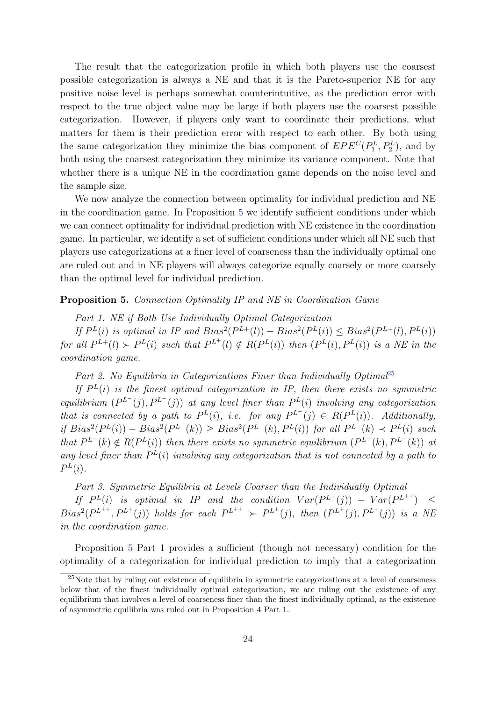The result that the categorization profile in which both players use the coarsest possible categorization is always a NE and that it is the Pareto-superior NE for any positive noise level is perhaps somewhat counterintuitive, as the prediction error with respect to the true object value may be large if both players use the coarsest possible categorization. However, if players only want to coordinate their predictions, what matters for them is their prediction error with respect to each other. By both using the same categorization they minimize the bias component of  $EPE^{C}(P_{1}^{L}, P_{2}^{L})$ , and by both using the coarsest categorization they minimize its variance component. Note that whether there is a unique NE in the coordination game depends on the noise level and the sample size.

We now analyze the connection between optimality for individual prediction and NE in the coordination game. In Proposition [5](#page-24-0) we identify sufficient conditions under which we can connect optimality for individual prediction with NE existence in the coordination game. In particular, we identify a set of sufficient conditions under which all NE such that players use categorizations at a finer level of coarseness than the individually optimal one are ruled out and in NE players will always categorize equally coarsely or more coarsely than the optimal level for individual prediction.

#### <span id="page-24-0"></span>Proposition 5. Connection Optimality IP and NE in Coordination Game

Part 1. NE if Both Use Individually Optimal Categorization If  $P^{L}(i)$  is optimal in IP and  $Bias^{2}(P^{L+}(l)) - Bias^{2}(P^{L}(i)) \leq Bias^{2}(P^{L+}(l), P^{L}(i))$ for all  $P^{L+}(l) \succ P^{L}(i)$  such that  $P^{L+}(l) \notin R(P^{L}(i))$  then  $(P^{L}(i), P^{L}(i))$  is a NE in the coordination game.

Part 2. No Equilibria in Categorizations Finer than Individually Optimal<sup>[25](#page-24-1)</sup>

If  $P<sup>L</sup>(i)$  is the finest optimal categorization in IP, then there exists no symmetric equilibrium  $(P^{L^-}(j), P^{L^-}(j))$  at any level finer than  $P^{L}(i)$  involving any categorization that is connected by a path to  $P^L(i)$ , i.e. for any  $P^{L^-}(j) \in R(P^L(i))$ . Additionally, if  $Bias^2(P^L(i)) - Bias^2(P^{L^-}(k)) \ge Bias^2(P^{L^-}(k), P^L(i))$  for all  $P^{L^-}(k) \prec P^L(i)$  such that  $P^{L^{-}}(k) \notin R(P^{L}(i))$  then there exists no symmetric equilibrium  $(P^{L^{-}}(k), P^{L^{-}}(k))$  at any level finer than  $P^{L}(i)$  involving any categorization that is not connected by a path to  $P^L(i)$ .

Part 3. Symmetric Equilibria at Levels Coarser than the Individually Optimal

If  $P^{L}(i)$  is optimal in IP and the condition  $Var(P^{L^{+}}(j)) - Var(P^{L^{++}}) \leq$  $Bias^2(P^{L^{++}}, P^{L^{+}}(j))$  holds for each  $P^{L^{++}} \succ P^{L^{+}}(j)$ , then  $(P^{L^{+}}(j), P^{L^{+}}(j))$  is a NE in the coordination game.

Proposition [5](#page-24-0) Part 1 provides a sufficient (though not necessary) condition for the optimality of a categorization for individual prediction to imply that a categorization

<span id="page-24-1"></span><sup>25</sup>Note that by ruling out existence of equilibria in symmetric categorizations at a level of coarseness below that of the finest individually optimal categorization, we are ruling out the existence of any equilibrium that involves a level of coarseness finer than the finest individually optimal, as the existence of asymmetric equilibria was ruled out in Proposition 4 Part 1.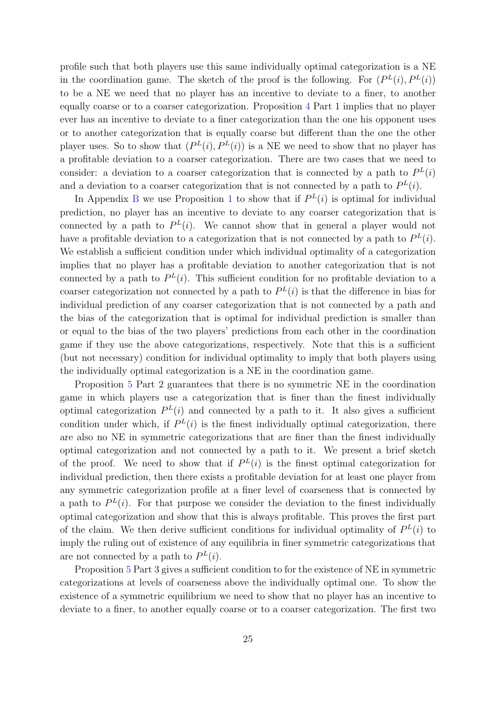profile such that both players use this same individually optimal categorization is a NE in the coordination game. The sketch of the proof is the following. For  $(P^L(i), P^L(i))$ to be a NE we need that no player has an incentive to deviate to a finer, to another equally coarse or to a coarser categorization. Proposition [4](#page-22-0) Part 1 implies that no player ever has an incentive to deviate to a finer categorization than the one his opponent uses or to another categorization that is equally coarse but different than the one the other player uses. So to show that  $(P^{L}(i), P^{L}(i))$  is a NE we need to show that no player has a profitable deviation to a coarser categorization. There are two cases that we need to consider: a deviation to a coarser categorization that is connected by a path to  $P^{L}(i)$ and a deviation to a coarser categorization that is not connected by a path to  $P^{L}(i)$ .

In Appendix [B](#page-47-0) we use Proposition [1](#page-16-0) to show that if  $P^{L}(i)$  is optimal for individual prediction, no player has an incentive to deviate to any coarser categorization that is connected by a path to  $P^{L}(i)$ . We cannot show that in general a player would not have a profitable deviation to a categorization that is not connected by a path to  $P<sup>L</sup>(i)$ . We establish a sufficient condition under which individual optimality of a categorization implies that no player has a profitable deviation to another categorization that is not connected by a path to  $P<sup>L</sup>(i)$ . This sufficient condition for no profitable deviation to a coarser categorization not connected by a path to  $P<sup>L</sup>(i)$  is that the difference in bias for individual prediction of any coarser categorization that is not connected by a path and the bias of the categorization that is optimal for individual prediction is smaller than or equal to the bias of the two players' predictions from each other in the coordination game if they use the above categorizations, respectively. Note that this is a sufficient (but not necessary) condition for individual optimality to imply that both players using the individually optimal categorization is a NE in the coordination game.

Proposition [5](#page-24-0) Part 2 guarantees that there is no symmetric NE in the coordination game in which players use a categorization that is finer than the finest individually optimal categorization  $P^{L}(i)$  and connected by a path to it. It also gives a sufficient condition under which, if  $P^{L}(i)$  is the finest individually optimal categorization, there are also no NE in symmetric categorizations that are finer than the finest individually optimal categorization and not connected by a path to it. We present a brief sketch of the proof. We need to show that if  $P^{L}(i)$  is the finest optimal categorization for individual prediction, then there exists a profitable deviation for at least one player from any symmetric categorization profile at a finer level of coarseness that is connected by a path to  $P^{L}(i)$ . For that purpose we consider the deviation to the finest individually optimal categorization and show that this is always profitable. This proves the first part of the claim. We then derive sufficient conditions for individual optimality of  $P<sup>L</sup>(i)$  to imply the ruling out of existence of any equilibria in finer symmetric categorizations that are not connected by a path to  $P^{L}(i)$ .

Proposition [5](#page-24-0) Part 3 gives a sufficient condition to for the existence of NE in symmetric categorizations at levels of coarseness above the individually optimal one. To show the existence of a symmetric equilibrium we need to show that no player has an incentive to deviate to a finer, to another equally coarse or to a coarser categorization. The first two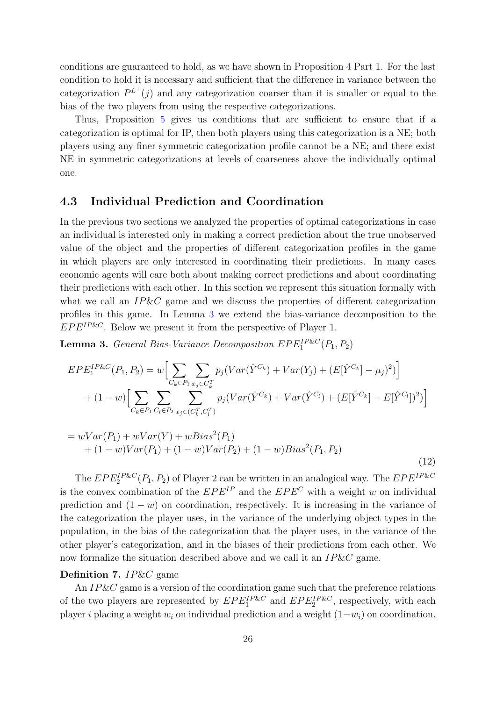conditions are guaranteed to hold, as we have shown in Proposition [4](#page-22-0) Part 1. For the last condition to hold it is necessary and sufficient that the difference in variance between the categorization  $P^{L^+}(j)$  and any categorization coarser than it is smaller or equal to the bias of the two players from using the respective categorizations.

Thus, Proposition [5](#page-24-0) gives us conditions that are sufficient to ensure that if a categorization is optimal for IP, then both players using this categorization is a NE; both players using any finer symmetric categorization profile cannot be a NE; and there exist NE in symmetric categorizations at levels of coarseness above the individually optimal one.

# 4.3 Individual Prediction and Coordination

In the previous two sections we analyzed the properties of optimal categorizations in case an individual is interested only in making a correct prediction about the true unobserved value of the object and the properties of different categorization profiles in the game in which players are only interested in coordinating their predictions. In many cases economic agents will care both about making correct predictions and about coordinating their predictions with each other. In this section we represent this situation formally with what we call an  $IP\&C$  game and we discuss the properties of different categorization profiles in this game. In Lemma [3](#page-26-0) we extend the bias-variance decomposition to the  $EPE^{IP\&C}$ . Below we present it from the perspective of Player 1.

<span id="page-26-0"></span>**Lemma 3.** General Bias-Variance Decomposition  $EPE<sub>1</sub><sup>IP\&C</sup>(P<sub>1</sub>, P<sub>2</sub>)$ 

$$
EPE_{1}^{IP\&C}(P_{1}, P_{2}) = w \Big[ \sum_{C_{k} \in P_{1}} \sum_{x_{j} \in C_{k}^{T}} p_{j}(Var(\hat{Y}^{C_{k}}) + Var(Y_{j}) + (E[\hat{Y}^{C_{k}}] - \mu_{j})^{2}) \Big] + (1 - w) \Big[ \sum_{C_{k} \in P_{1}} \sum_{C_{l} \in P_{2}} \sum_{x_{j} \in (C_{k}^{T}, C_{l}^{T})} p_{j}(Var(\hat{Y}^{C_{k}}) + Var(\hat{Y}^{C_{l}}) + (E[\hat{Y}^{C_{k}}] - E[\hat{Y}^{C_{l}}] )^{2}) \Big]
$$

$$
= wVar(P_1) + wVar(Y) + wBias2(P_1)
$$
  
+ (1 - w)Var(P<sub>1</sub>) + (1 - w)Var(P<sub>2</sub>) + (1 - w)Bias<sup>2</sup>(P<sub>1</sub>, P<sub>2</sub>) (12)

The  $EPE_{2}^{IP\&C}(P_1, P_2)$  of Player 2 can be written in an analogical way. The  $EPE^{IP\&C}$ is the convex combination of the  $EPE^{IP}$  and the  $EPE^{C}$  with a weight w on individual prediction and  $(1 - w)$  on coordination, respectively. It is increasing in the variance of the categorization the player uses, in the variance of the underlying object types in the population, in the bias of the categorization that the player uses, in the variance of the other player's categorization, and in the biases of their predictions from each other. We now formalize the situation described above and we call it an IP&C game.

#### Definition 7. IP&C game

An IP&C game is a version of the coordination game such that the preference relations of the two players are represented by  $EPE<sub>1</sub><sup>IP&C</sup>$  and  $EPE<sub>2</sub><sup>IP&C</sup>$ , respectively, with each player i placing a weight  $w_i$  on individual prediction and a weight  $(1-w_i)$  on coordination.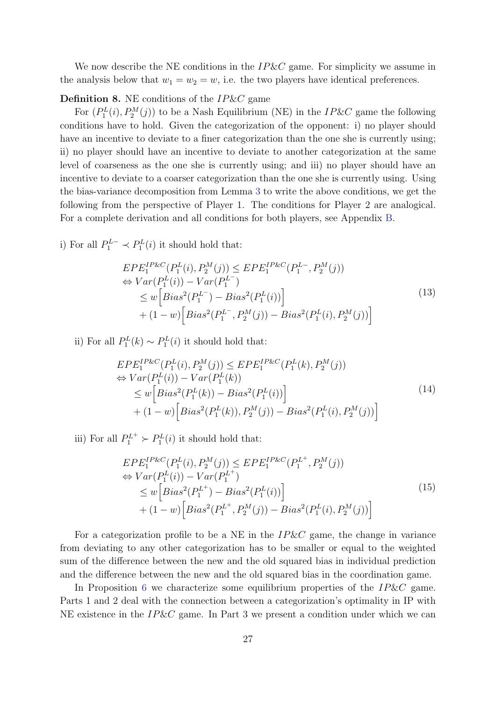We now describe the NE conditions in the  $IP\&C$  game. For simplicity we assume in the analysis below that  $w_1 = w_2 = w$ , i.e. the two players have identical preferences.

### <span id="page-27-0"></span>**Definition 8.** NE conditions of the  $IP\&C$  game

For  $(P_1^L(i), P_2^M(j))$  to be a Nash Equilibrium (NE) in the IP&C game the following conditions have to hold. Given the categorization of the opponent: i) no player should have an incentive to deviate to a finer categorization than the one she is currently using; ii) no player should have an incentive to deviate to another categorization at the same level of coarseness as the one she is currently using; and iii) no player should have an incentive to deviate to a coarser categorization than the one she is currently using. Using the bias-variance decomposition from Lemma [3](#page-26-0) to write the above conditions, we get the following from the perspective of Player 1. The conditions for Player 2 are analogical. For a complete derivation and all conditions for both players, see Appendix [B.](#page-47-0)

i) For all  $P_1^{L-} \prec P_1^L(i)$  it should hold that:

$$
EPE_{1}^{IP\&C}(P_{1}^{L}(i), P_{2}^{M}(j)) \le EPE_{1}^{IP\&C}(P_{1}^{L-}, P_{2}^{M}(j))
$$
  
\n
$$
\Leftrightarrow Var(P_{1}^{L}(i)) - Var(P_{1}^{L-})
$$
  
\n
$$
\le w\Big[Bias^{2}(P_{1}^{L-}) - Bias^{2}(P_{1}^{L}(i))\Big] + (1-w)\Big[Bias^{2}(P_{1}^{L-}, P_{2}^{M}(j)) - Bias^{2}(P_{1}^{L}(i), P_{2}^{M}(j))\Big]
$$
\n(13)

ii) For all  $P_1^L(k) \sim P_1^L(i)$  it should hold that:

$$
EPE_{1}^{IP\&C}(P_{1}^{L}(i), P_{2}^{M}(j)) \leq EPE_{1}^{IP\&C}(P_{1}^{L}(k), P_{2}^{M}(j))
$$
  
\n
$$
\Leftrightarrow Var(P_{1}^{L}(i)) - Var(P_{1}^{L}(k))
$$
  
\n
$$
\leq w \left[ Bias^{2}(P_{1}^{L}(k)) - Bias^{2}(P_{1}^{L}(i)) \right]
$$
  
\n
$$
+ (1 - w) \left[ Bias^{2}(P_{1}^{L}(k)), P_{2}^{M}(j)) - Bias^{2}(P_{1}^{L}(i), P_{2}^{M}(j)) \right]
$$
\n(14)

iii) For all  $P_1^{L^+} \succ P_1^{L}(i)$  it should hold that:

$$
EPE_{1}^{IP\&C}(P_{1}^{L}(i), P_{2}^{M}(j)) \leq EPE_{1}^{IP\&C}(P_{1}^{L^{+}}, P_{2}^{M}(j))
$$
  
\n
$$
\Leftrightarrow Var(P_{1}^{L}(i)) - Var(P_{1}^{L^{+}})
$$
  
\n
$$
\leq w \Big[ Bias^{2}(P_{1}^{L^{+}}) - Bias^{2}(P_{1}^{L}(i)) \Big] + (1 - w) \Big[ Bias^{2}(P_{1}^{L^{+}}, P_{2}^{M}(j)) - Bias^{2}(P_{1}^{L}(i), P_{2}^{M}(j)) \Big]
$$
\n(15)

For a categorization profile to be a NE in the  $IP\&C$  game, the change in variance from deviating to any other categorization has to be smaller or equal to the weighted sum of the difference between the new and the old squared bias in individual prediction and the difference between the new and the old squared bias in the coordination game.

In Proposition [6](#page-28-0) we characterize some equilibrium properties of the  $IP\&C$  game. Parts 1 and 2 deal with the connection between a categorization's optimality in IP with NE existence in the  $IP\&C$  game. In Part 3 we present a condition under which we can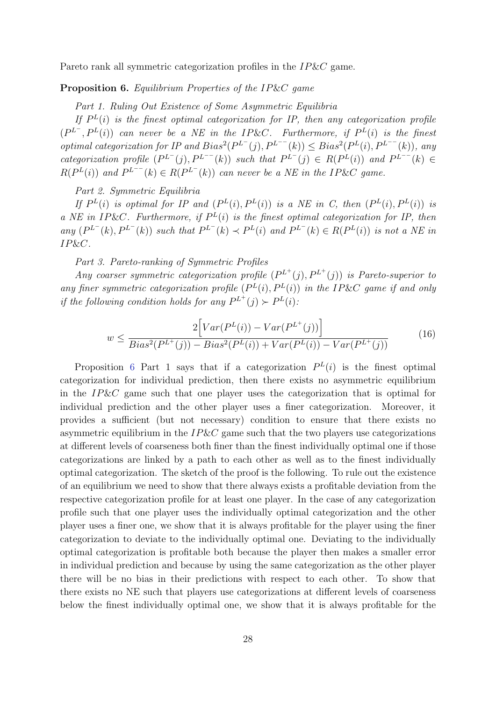<span id="page-28-0"></span>Pareto rank all symmetric categorization profiles in the IP&C game.

### Proposition 6. Equilibrium Properties of the IP&C game

Part 1. Ruling Out Existence of Some Asymmetric Equilibria

If  $P<sup>L</sup>(i)$  is the finest optimal categorization for IP, then any categorization profile  $(P^{L^{-}}, P^{L}(i))$  can never be a NE in the IP&C. Furthermore, if  $P^{L}(i)$  is the finest optimal categorization for IP and  $Bias^2(P^{L^-}(j), P^{L^{--}}(k)) \leq Bias^2(P^{L}(i), P^{L^{--}}(k))$ , any categorization profile  $(P^{L^-}(j), P^{L^{--}}(k))$  such that  $P^{L^-}(j) \in R(P^L(i))$  and  $P^{L^{--}}(k) \in$  $R(P^{L}(i))$  and  $P^{L^{--}}(k) \in R(P^{L^{-}}(k))$  can never be a NE in the IP&C game.

Part 2. Symmetric Equilibria

If  $P^{L}(i)$  is optimal for IP and  $(P^{L}(i), P^{L}(i))$  is a NE in C, then  $(P^{L}(i), P^{L}(i))$  is a NE in IP&C. Furthermore, if  $P^{L}(i)$  is the finest optimal categorization for IP, then any  $(P^{L^-}(k), P^{L^-}(k))$  such that  $P^{L^-}(k) \prec P^{L}(i)$  and  $P^{L^-}(k) \in R(P^{L}(i))$  is not a NE in IP&C.

Part 3. Pareto-ranking of Symmetric Profiles

Any coarser symmetric categorization profile  $(P^{L^+}(j), P^{L^+}(j))$  is Pareto-superior to any finer symmetric categorization profile  $(P^{L}(i), P^{L}(i))$  in the IP&C game if and only if the following condition holds for any  $P^{L^+}(j) \succ P^{L}(i)$ :

$$
w \le \frac{2\Big[Var(P^L(i)) - Var(P^{L^+}(j))\Big]}{Bias^2(P^{L^+}(j)) - Bias^2(P^L(i)) + Var(P^L(i)) - Var(P^{L^+}(j))}
$$
(16)

Proposition [6](#page-28-0) Part 1 says that if a categorization  $P^{L}(i)$  is the finest optimal categorization for individual prediction, then there exists no asymmetric equilibrium in the IP&C game such that one player uses the categorization that is optimal for individual prediction and the other player uses a finer categorization. Moreover, it provides a sufficient (but not necessary) condition to ensure that there exists no asymmetric equilibrium in the  $IP\&C$  game such that the two players use categorizations at different levels of coarseness both finer than the finest individually optimal one if those categorizations are linked by a path to each other as well as to the finest individually optimal categorization. The sketch of the proof is the following. To rule out the existence of an equilibrium we need to show that there always exists a profitable deviation from the respective categorization profile for at least one player. In the case of any categorization profile such that one player uses the individually optimal categorization and the other player uses a finer one, we show that it is always profitable for the player using the finer categorization to deviate to the individually optimal one. Deviating to the individually optimal categorization is profitable both because the player then makes a smaller error in individual prediction and because by using the same categorization as the other player there will be no bias in their predictions with respect to each other. To show that there exists no NE such that players use categorizations at different levels of coarseness below the finest individually optimal one, we show that it is always profitable for the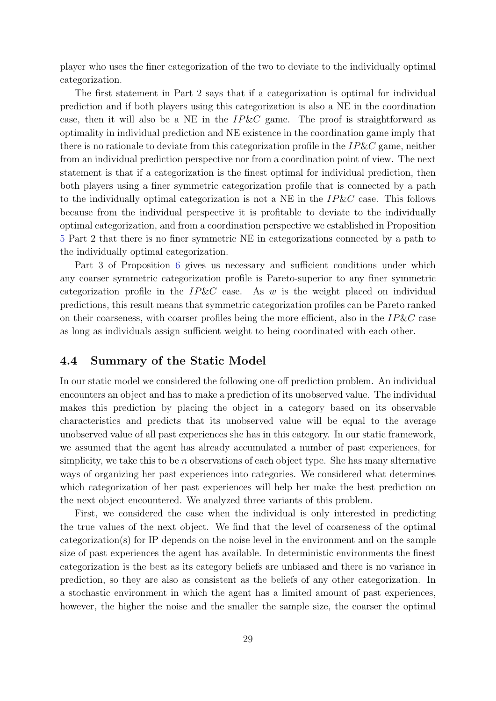player who uses the finer categorization of the two to deviate to the individually optimal categorization.

The first statement in Part 2 says that if a categorization is optimal for individual prediction and if both players using this categorization is also a NE in the coordination case, then it will also be a NE in the  $IP\&C$  game. The proof is straightforward as optimality in individual prediction and NE existence in the coordination game imply that there is no rationale to deviate from this categorization profile in the  $IP\&C$  game, neither from an individual prediction perspective nor from a coordination point of view. The next statement is that if a categorization is the finest optimal for individual prediction, then both players using a finer symmetric categorization profile that is connected by a path to the individually optimal categorization is not a NE in the  $IP\&C$  case. This follows because from the individual perspective it is profitable to deviate to the individually optimal categorization, and from a coordination perspective we established in Proposition [5](#page-24-0) Part 2 that there is no finer symmetric NE in categorizations connected by a path to the individually optimal categorization.

Part 3 of Proposition [6](#page-28-0) gives us necessary and sufficient conditions under which any coarser symmetric categorization profile is Pareto-superior to any finer symmetric categorization profile in the  $IP\&C$  case. As w is the weight placed on individual predictions, this result means that symmetric categorization profiles can be Pareto ranked on their coarseness, with coarser profiles being the more efficient, also in the  $IP\&C$  case as long as individuals assign sufficient weight to being coordinated with each other.

### 4.4 Summary of the Static Model

In our static model we considered the following one-off prediction problem. An individual encounters an object and has to make a prediction of its unobserved value. The individual makes this prediction by placing the object in a category based on its observable characteristics and predicts that its unobserved value will be equal to the average unobserved value of all past experiences she has in this category. In our static framework, we assumed that the agent has already accumulated a number of past experiences, for simplicity, we take this to be  $n$  observations of each object type. She has many alternative ways of organizing her past experiences into categories. We considered what determines which categorization of her past experiences will help her make the best prediction on the next object encountered. We analyzed three variants of this problem.

First, we considered the case when the individual is only interested in predicting the true values of the next object. We find that the level of coarseness of the optimal categorization(s) for IP depends on the noise level in the environment and on the sample size of past experiences the agent has available. In deterministic environments the finest categorization is the best as its category beliefs are unbiased and there is no variance in prediction, so they are also as consistent as the beliefs of any other categorization. In a stochastic environment in which the agent has a limited amount of past experiences, however, the higher the noise and the smaller the sample size, the coarser the optimal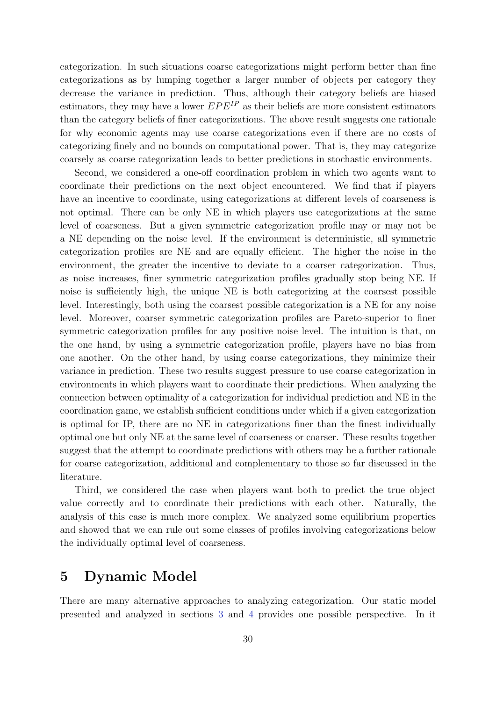categorization. In such situations coarse categorizations might perform better than fine categorizations as by lumping together a larger number of objects per category they decrease the variance in prediction. Thus, although their category beliefs are biased estimators, they may have a lower  $EPE^{IP}$  as their beliefs are more consistent estimators than the category beliefs of finer categorizations. The above result suggests one rationale for why economic agents may use coarse categorizations even if there are no costs of categorizing finely and no bounds on computational power. That is, they may categorize coarsely as coarse categorization leads to better predictions in stochastic environments.

Second, we considered a one-off coordination problem in which two agents want to coordinate their predictions on the next object encountered. We find that if players have an incentive to coordinate, using categorizations at different levels of coarseness is not optimal. There can be only NE in which players use categorizations at the same level of coarseness. But a given symmetric categorization profile may or may not be a NE depending on the noise level. If the environment is deterministic, all symmetric categorization profiles are NE and are equally efficient. The higher the noise in the environment, the greater the incentive to deviate to a coarser categorization. Thus, as noise increases, finer symmetric categorization profiles gradually stop being NE. If noise is sufficiently high, the unique NE is both categorizing at the coarsest possible level. Interestingly, both using the coarsest possible categorization is a NE for any noise level. Moreover, coarser symmetric categorization profiles are Pareto-superior to finer symmetric categorization profiles for any positive noise level. The intuition is that, on the one hand, by using a symmetric categorization profile, players have no bias from one another. On the other hand, by using coarse categorizations, they minimize their variance in prediction. These two results suggest pressure to use coarse categorization in environments in which players want to coordinate their predictions. When analyzing the connection between optimality of a categorization for individual prediction and NE in the coordination game, we establish sufficient conditions under which if a given categorization is optimal for IP, there are no NE in categorizations finer than the finest individually optimal one but only NE at the same level of coarseness or coarser. These results together suggest that the attempt to coordinate predictions with others may be a further rationale for coarse categorization, additional and complementary to those so far discussed in the literature.

Third, we considered the case when players want both to predict the true object value correctly and to coordinate their predictions with each other. Naturally, the analysis of this case is much more complex. We analyzed some equilibrium properties and showed that we can rule out some classes of profiles involving categorizations below the individually optimal level of coarseness.

# <span id="page-30-0"></span>5 Dynamic Model

There are many alternative approaches to analyzing categorization. Our static model presented and analyzed in sections [3](#page-8-0) and [4](#page-14-0) provides one possible perspective. In it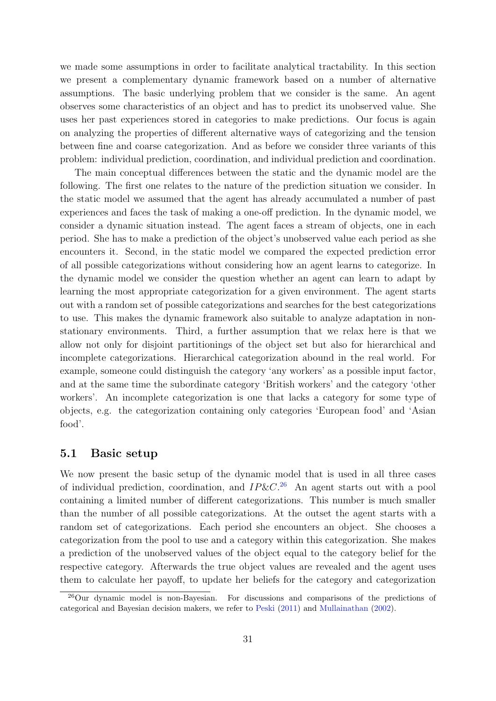we made some assumptions in order to facilitate analytical tractability. In this section we present a complementary dynamic framework based on a number of alternative assumptions. The basic underlying problem that we consider is the same. An agent observes some characteristics of an object and has to predict its unobserved value. She uses her past experiences stored in categories to make predictions. Our focus is again on analyzing the properties of different alternative ways of categorizing and the tension between fine and coarse categorization. And as before we consider three variants of this problem: individual prediction, coordination, and individual prediction and coordination.

The main conceptual differences between the static and the dynamic model are the following. The first one relates to the nature of the prediction situation we consider. In the static model we assumed that the agent has already accumulated a number of past experiences and faces the task of making a one-off prediction. In the dynamic model, we consider a dynamic situation instead. The agent faces a stream of objects, one in each period. She has to make a prediction of the object's unobserved value each period as she encounters it. Second, in the static model we compared the expected prediction error of all possible categorizations without considering how an agent learns to categorize. In the dynamic model we consider the question whether an agent can learn to adapt by learning the most appropriate categorization for a given environment. The agent starts out with a random set of possible categorizations and searches for the best categorizations to use. This makes the dynamic framework also suitable to analyze adaptation in nonstationary environments. Third, a further assumption that we relax here is that we allow not only for disjoint partitionings of the object set but also for hierarchical and incomplete categorizations. Hierarchical categorization abound in the real world. For example, someone could distinguish the category 'any workers' as a possible input factor, and at the same time the subordinate category 'British workers' and the category 'other workers'. An incomplete categorization is one that lacks a category for some type of objects, e.g. the categorization containing only categories 'European food' and 'Asian food'.

### 5.1 Basic setup

We now present the basic setup of the dynamic model that is used in all three cases of individual prediction, coordination, and  $IP\&C.^{26}$  $IP\&C.^{26}$  $IP\&C.^{26}$  An agent starts out with a pool containing a limited number of different categorizations. This number is much smaller than the number of all possible categorizations. At the outset the agent starts with a random set of categorizations. Each period she encounters an object. She chooses a categorization from the pool to use and a category within this categorization. She makes a prediction of the unobserved values of the object equal to the category belief for the respective category. Afterwards the true object values are revealed and the agent uses them to calculate her payoff, to update her beliefs for the category and categorization

<span id="page-31-0"></span><sup>26</sup>Our dynamic model is non-Bayesian. For discussions and comparisons of the predictions of categorical and Bayesian decision makers, we refer to [Peski](#page-44-2) [\(2011\)](#page-44-2) and [Mullainathan](#page-44-7) [\(2002\)](#page-44-7).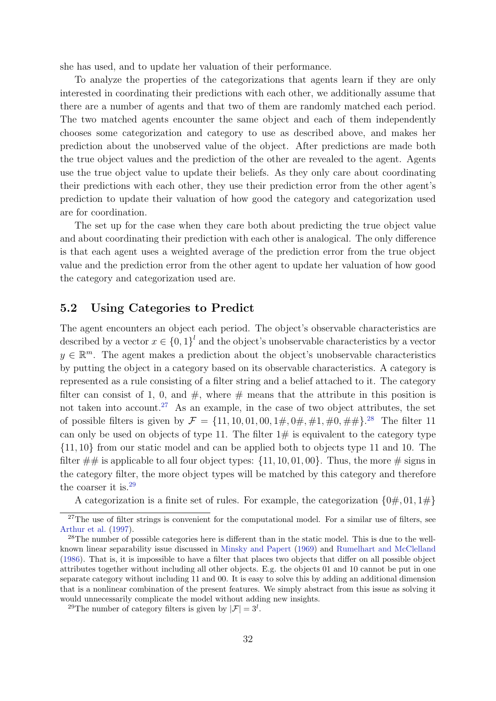she has used, and to update her valuation of their performance.

To analyze the properties of the categorizations that agents learn if they are only interested in coordinating their predictions with each other, we additionally assume that there are a number of agents and that two of them are randomly matched each period. The two matched agents encounter the same object and each of them independently chooses some categorization and category to use as described above, and makes her prediction about the unobserved value of the object. After predictions are made both the true object values and the prediction of the other are revealed to the agent. Agents use the true object value to update their beliefs. As they only care about coordinating their predictions with each other, they use their prediction error from the other agent's prediction to update their valuation of how good the category and categorization used are for coordination.

The set up for the case when they care both about predicting the true object value and about coordinating their prediction with each other is analogical. The only difference is that each agent uses a weighted average of the prediction error from the true object value and the prediction error from the other agent to update her valuation of how good the category and categorization used are.

# 5.2 Using Categories to Predict

The agent encounters an object each period. The object's observable characteristics are described by a vector  $x \in \{0,1\}^l$  and the object's unobservable characteristics by a vector  $y \in \mathbb{R}^m$ . The agent makes a prediction about the object's unobservable characteristics by putting the object in a category based on its observable characteristics. A category is represented as a rule consisting of a filter string and a belief attached to it. The category filter can consist of 1, 0, and  $\#$ , where  $\#$  means that the attribute in this position is not taken into account.<sup>[27](#page-32-0)</sup> As an example, in the case of two object attributes, the set of possible filters is given by  $\mathcal{F} = \{11, 10, 01, 00, 1\#, 0\#, \#1, \#0, \#1\}$ .<sup>[28](#page-32-1)</sup> The filter 11 can only be used on objects of type 11. The filter  $1\#$  is equivalent to the category type {11, 10} from our static model and can be applied both to objects type 11 and 10. The filter  $\#\#$  is applicable to all four object types:  $\{11, 10, 01, 00\}$ . Thus, the more  $\#$  signs in the category filter, the more object types will be matched by this category and therefore the coarser it is.[29](#page-32-2)

A categorization is a finite set of rules. For example, the categorization  $\{0\#,01,1\#\}$ 

<span id="page-32-0"></span> $27$ The use of filter strings is convenient for the computational model. For a similar use of filters, see [Arthur et al.](#page-42-7) [\(1997\)](#page-42-7).

<span id="page-32-1"></span><sup>28</sup>The number of possible categories here is different than in the static model. This is due to the wellknown linear separability issue discussed in [Minsky and Papert](#page-44-16) [\(1969\)](#page-44-16) and [Rumelhart and McClelland](#page-44-17) [\(1986\)](#page-44-17). That is, it is impossible to have a filter that places two objects that differ on all possible object attributes together without including all other objects. E.g. the objects 01 and 10 cannot be put in one separate category without including 11 and 00. It is easy to solve this by adding an additional dimension that is a nonlinear combination of the present features. We simply abstract from this issue as solving it would unnecessarily complicate the model without adding new insights.

<span id="page-32-2"></span><sup>&</sup>lt;sup>29</sup>The number of category filters is given by  $|\mathcal{F}| = 3^l$ .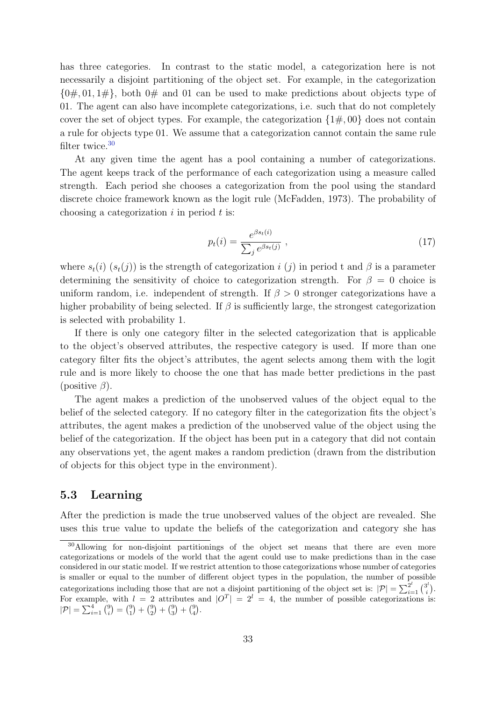has three categories. In contrast to the static model, a categorization here is not necessarily a disjoint partitioning of the object set. For example, in the categorization  $\{0\#,01,1\#\},$  both  $0\#$  and 01 can be used to make predictions about objects type of 01. The agent can also have incomplete categorizations, i.e. such that do not completely cover the set of object types. For example, the categorization  $\{1\#,00\}$  does not contain a rule for objects type 01. We assume that a categorization cannot contain the same rule filter twice.[30](#page-33-0)

At any given time the agent has a pool containing a number of categorizations. The agent keeps track of the performance of each categorization using a measure called strength. Each period she chooses a categorization from the pool using the standard discrete choice framework known as the logit rule (McFadden, 1973). The probability of choosing a categorization  $i$  in period  $t$  is:

$$
p_t(i) = \frac{e^{\beta s_t(i)}}{\sum_j e^{\beta s_t(j)}} , \qquad (17)
$$

where  $s_t(i)$   $(s_t(j))$  is the strength of categorization i (j) in period t and  $\beta$  is a parameter determining the sensitivity of choice to categorization strength. For  $\beta = 0$  choice is uniform random, i.e. independent of strength. If  $\beta > 0$  stronger categorizations have a higher probability of being selected. If  $\beta$  is sufficiently large, the strongest categorization is selected with probability 1.

If there is only one category filter in the selected categorization that is applicable to the object's observed attributes, the respective category is used. If more than one category filter fits the object's attributes, the agent selects among them with the logit rule and is more likely to choose the one that has made better predictions in the past (positive  $\beta$ ).

The agent makes a prediction of the unobserved values of the object equal to the belief of the selected category. If no category filter in the categorization fits the object's attributes, the agent makes a prediction of the unobserved value of the object using the belief of the categorization. If the object has been put in a category that did not contain any observations yet, the agent makes a random prediction (drawn from the distribution of objects for this object type in the environment).

# 5.3 Learning

After the prediction is made the true unobserved values of the object are revealed. She uses this true value to update the beliefs of the categorization and category she has

<span id="page-33-0"></span><sup>30</sup>Allowing for non-disjoint partitionings of the object set means that there are even more categorizations or models of the world that the agent could use to make predictions than in the case considered in our static model. If we restrict attention to those categorizations whose number of categories is smaller or equal to the number of different object types in the population, the number of possible categorizations including those that are not a disjoint partitioning of the object set is:  $|\mathcal{P}| = \sum_{i=1}^{2^l} {3^i \choose i}$  $\binom{3^i}{i}$ . For example, with  $l = 2$  attributes and  $|O^T| = 2^l = 4$ , the number of possible categorizations is:  $|\mathcal{P}| = \sum_{i=1}^{4} {9 \choose i} = {9 \choose 1} + {9 \choose 2} + {9 \choose 3} + {9 \choose 4}.$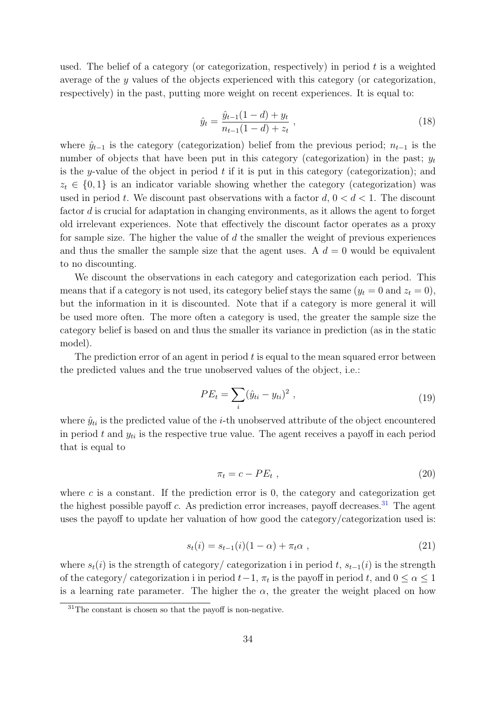used. The belief of a category (or categorization, respectively) in period t is a weighted average of the y values of the objects experienced with this category (or categorization, respectively) in the past, putting more weight on recent experiences. It is equal to:

$$
\hat{y}_t = \frac{\hat{y}_{t-1}(1-d) + y_t}{n_{t-1}(1-d) + z_t},\tag{18}
$$

where  $\hat{y}_{t-1}$  is the category (categorization) belief from the previous period;  $n_{t-1}$  is the number of objects that have been put in this category (categorization) in the past;  $y_t$ is the y-value of the object in period  $t$  if it is put in this category (categorization); and  $z_t \in \{0,1\}$  is an indicator variable showing whether the category (categorization) was used in period t. We discount past observations with a factor  $d, 0 < d < 1$ . The discount factor d is crucial for adaptation in changing environments, as it allows the agent to forget old irrelevant experiences. Note that effectively the discount factor operates as a proxy for sample size. The higher the value of  $d$  the smaller the weight of previous experiences and thus the smaller the sample size that the agent uses. A  $d = 0$  would be equivalent to no discounting.

We discount the observations in each category and categorization each period. This means that if a category is not used, its category belief stays the same  $(y_t = 0 \text{ and } z_t = 0)$ , but the information in it is discounted. Note that if a category is more general it will be used more often. The more often a category is used, the greater the sample size the category belief is based on and thus the smaller its variance in prediction (as in the static model).

The prediction error of an agent in period  $t$  is equal to the mean squared error between the predicted values and the true unobserved values of the object, i.e.:

$$
PE_t = \sum_i (\hat{y}_{ti} - y_{ti})^2 , \qquad (19)
$$

where  $\hat{y}_{ti}$  is the predicted value of the *i*-th unobserved attribute of the object encountered in period t and  $y_{ti}$  is the respective true value. The agent receives a payoff in each period that is equal to

$$
\pi_t = c - PE_t \t\t(20)
$$

where  $c$  is a constant. If the prediction error is 0, the category and categorization get the highest possible payoff c. As prediction error increases, payoff decreases.<sup>[31](#page-34-0)</sup> The agent uses the payoff to update her valuation of how good the category/categorization used is:

$$
s_t(i) = s_{t-1}(i)(1 - \alpha) + \pi_t \alpha \t{21}
$$

where  $s_t(i)$  is the strength of category/ categorization i in period t,  $s_{t-1}(i)$  is the strength of the category/ categorization i in period  $t-1$ ,  $\pi_t$  is the payoff in period t, and  $0 \leq \alpha \leq 1$ is a learning rate parameter. The higher the  $\alpha$ , the greater the weight placed on how

<span id="page-34-0"></span><sup>31</sup>The constant is chosen so that the payoff is non-negative.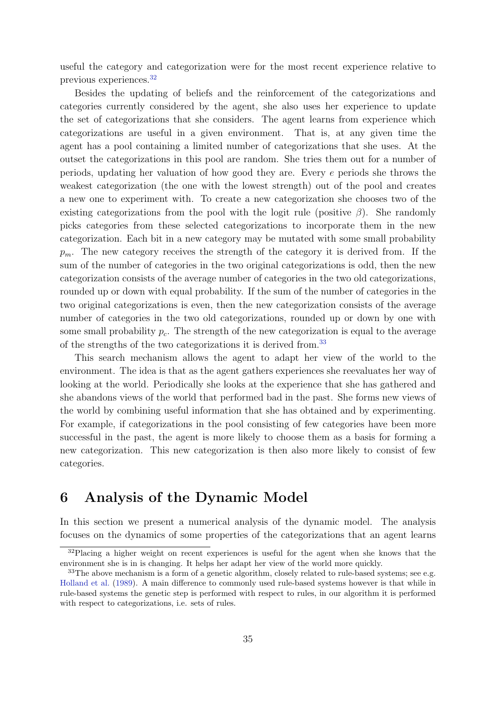useful the category and categorization were for the most recent experience relative to previous experiences.[32](#page-35-1)

Besides the updating of beliefs and the reinforcement of the categorizations and categories currently considered by the agent, she also uses her experience to update the set of categorizations that she considers. The agent learns from experience which categorizations are useful in a given environment. That is, at any given time the agent has a pool containing a limited number of categorizations that she uses. At the outset the categorizations in this pool are random. She tries them out for a number of periods, updating her valuation of how good they are. Every e periods she throws the weakest categorization (the one with the lowest strength) out of the pool and creates a new one to experiment with. To create a new categorization she chooses two of the existing categorizations from the pool with the logit rule (positive  $\beta$ ). She randomly picks categories from these selected categorizations to incorporate them in the new categorization. Each bit in a new category may be mutated with some small probability  $p_m$ . The new category receives the strength of the category it is derived from. If the sum of the number of categories in the two original categorizations is odd, then the new categorization consists of the average number of categories in the two old categorizations, rounded up or down with equal probability. If the sum of the number of categories in the two original categorizations is even, then the new categorization consists of the average number of categories in the two old categorizations, rounded up or down by one with some small probability  $p_c$ . The strength of the new categorization is equal to the average of the strengths of the two categorizations it is derived from.[33](#page-35-2)

This search mechanism allows the agent to adapt her view of the world to the environment. The idea is that as the agent gathers experiences she reevaluates her way of looking at the world. Periodically she looks at the experience that she has gathered and she abandons views of the world that performed bad in the past. She forms new views of the world by combining useful information that she has obtained and by experimenting. For example, if categorizations in the pool consisting of few categories have been more successful in the past, the agent is more likely to choose them as a basis for forming a new categorization. This new categorization is then also more likely to consist of few categories.

# <span id="page-35-0"></span>6 Analysis of the Dynamic Model

In this section we present a numerical analysis of the dynamic model. The analysis focuses on the dynamics of some properties of the categorizations that an agent learns

<span id="page-35-1"></span><sup>&</sup>lt;sup>32</sup>Placing a higher weight on recent experiences is useful for the agent when she knows that the environment she is in is changing. It helps her adapt her view of the world more quickly.

<span id="page-35-2"></span><sup>&</sup>lt;sup>33</sup>The above mechanism is a form of a genetic algorithm, closely related to rule-based systems; see e.g. [Holland et al.](#page-43-17) [\(1989\)](#page-43-17). A main difference to commonly used rule-based systems however is that while in rule-based systems the genetic step is performed with respect to rules, in our algorithm it is performed with respect to categorizations, i.e. sets of rules.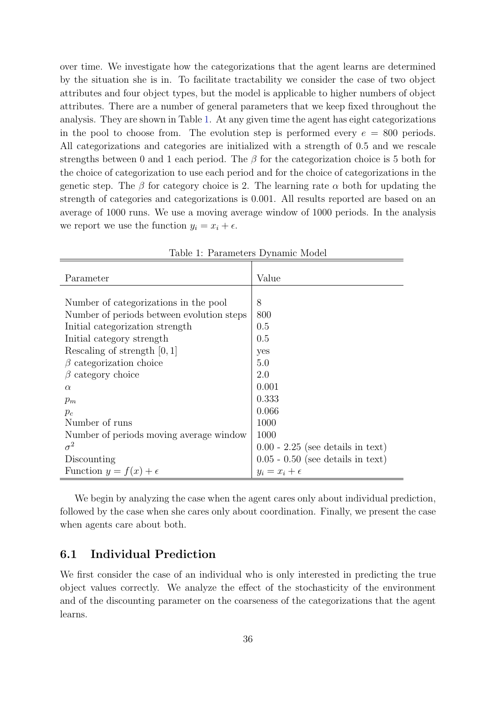over time. We investigate how the categorizations that the agent learns are determined by the situation she is in. To facilitate tractability we consider the case of two object attributes and four object types, but the model is applicable to higher numbers of object attributes. There are a number of general parameters that we keep fixed throughout the analysis. They are shown in Table [1.](#page-36-0) At any given time the agent has eight categorizations in the pool to choose from. The evolution step is performed every  $e = 800$  periods. All categorizations and categories are initialized with a strength of 0.5 and we rescale strengths between 0 and 1 each period. The  $\beta$  for the categorization choice is 5 both for the choice of categorization to use each period and for the choice of categorizations in the genetic step. The  $\beta$  for category choice is 2. The learning rate  $\alpha$  both for updating the strength of categories and categorizations is 0.001. All results reported are based on an average of 1000 runs. We use a moving average window of 1000 periods. In the analysis we report we use the function  $y_i = x_i + \epsilon$ .

| Parameter                                 | Value                               |
|-------------------------------------------|-------------------------------------|
|                                           |                                     |
| Number of categorizations in the pool     | 8                                   |
| Number of periods between evolution steps | 800                                 |
| Initial categorization strength           | 0.5                                 |
| Initial category strength                 | 0.5                                 |
| Rescaling of strength $[0, 1]$            | yes                                 |
| $\beta$ categorization choice             | 5.0                                 |
| category choice<br>B                      | 2.0                                 |
| $\alpha$                                  | 0.001                               |
| $p_m$                                     | 0.333                               |
| $p_c$                                     | 0.066                               |
| Number of runs                            | 1000                                |
| Number of periods moving average window   | 1000                                |
| $\sigma^2$                                | $0.00 - 2.25$ (see details in text) |
| Discounting                               | $0.05 - 0.50$ (see details in text) |
| Function $y = f(x) + \epsilon$            | $y_i = x_i + \epsilon$              |

<span id="page-36-0"></span>Table 1: Parameters Dynamic Model

We begin by analyzing the case when the agent cares only about individual prediction, followed by the case when she cares only about coordination. Finally, we present the case when agents care about both.

# 6.1 Individual Prediction

We first consider the case of an individual who is only interested in predicting the true object values correctly. We analyze the effect of the stochasticity of the environment and of the discounting parameter on the coarseness of the categorizations that the agent learns.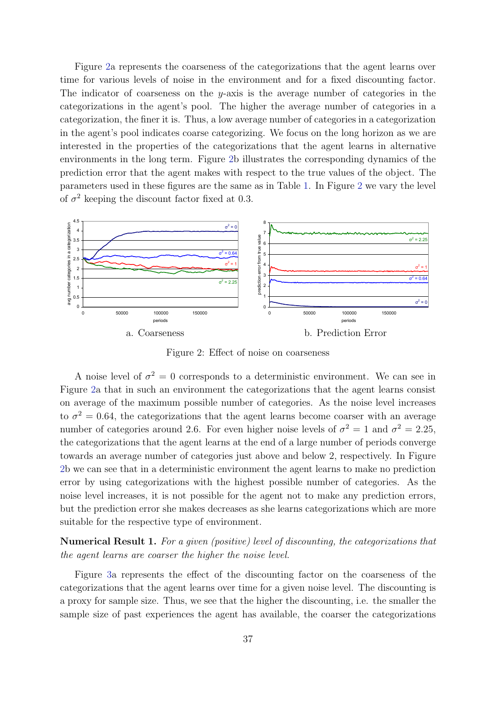Figure [2a](#page-37-0) represents the coarseness of the categorizations that the agent learns over time for various levels of noise in the environment and for a fixed discounting factor. The indicator of coarseness on the y-axis is the average number of categories in the categorizations in the agent's pool. The higher the average number of categories in a categorization, the finer it is. Thus, a low average number of categories in a categorization in the agent's pool indicates coarse categorizing. We focus on the long horizon as we are interested in the properties of the categorizations that the agent learns in alternative environments in the long term. Figure [2b](#page-37-0) illustrates the corresponding dynamics of the prediction error that the agent makes with respect to the true values of the object. The parameters used in these figures are the same as in Table [1.](#page-36-0) In Figure [2](#page-37-0) we vary the level of  $\sigma^2$  keeping the discount factor fixed at 0.3.



<span id="page-37-0"></span>Figure 2: Effect of noise on coarseness

A noise level of  $\sigma^2 = 0$  corresponds to a deterministic environment. We can see in Figure [2a](#page-37-0) that in such an environment the categorizations that the agent learns consist on average of the maximum possible number of categories. As the noise level increases to  $\sigma^2 = 0.64$ , the categorizations that the agent learns become coarser with an average number of categories around 2.6. For even higher noise levels of  $\sigma^2 = 1$  and  $\sigma^2 = 2.25$ , the categorizations that the agent learns at the end of a large number of periods converge towards an average number of categories just above and below 2, respectively. In Figure [2b](#page-37-0) we can see that in a deterministic environment the agent learns to make no prediction error by using categorizations with the highest possible number of categories. As the noise level increases, it is not possible for the agent not to make any prediction errors, but the prediction error she makes decreases as she learns categorizations which are more suitable for the respective type of environment.

<span id="page-37-1"></span>Numerical Result 1. For a given (positive) level of discounting, the categorizations that the agent learns are coarser the higher the noise level.

Figure [3a](#page-38-0) represents the effect of the discounting factor on the coarseness of the categorizations that the agent learns over time for a given noise level. The discounting is a proxy for sample size. Thus, we see that the higher the discounting, i.e. the smaller the sample size of past experiences the agent has available, the coarser the categorizations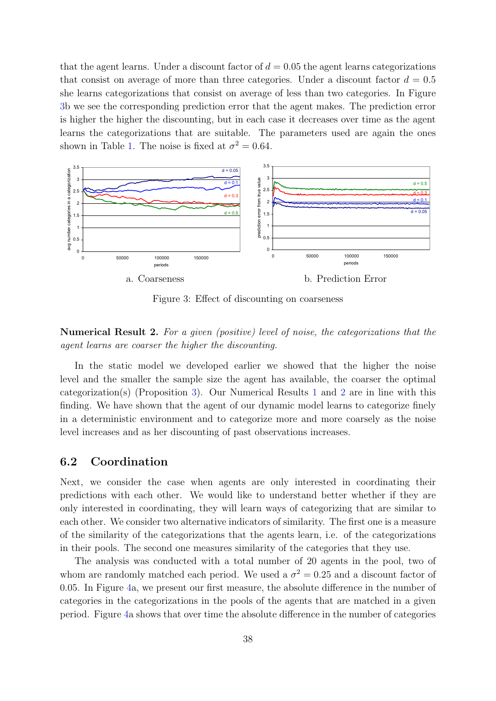that the agent learns. Under a discount factor of  $d = 0.05$  the agent learns categorizations that consist on average of more than three categories. Under a discount factor  $d = 0.5$ she learns categorizations that consist on average of less than two categories. In Figure [3b](#page-38-0) we see the corresponding prediction error that the agent makes. The prediction error is higher the higher the discounting, but in each case it decreases over time as the agent learns the categorizations that are suitable. The parameters used are again the ones shown in Table [1.](#page-36-0) The noise is fixed at  $\sigma^2 = 0.64$ .



<span id="page-38-0"></span>Figure 3: Effect of discounting on coarseness

# <span id="page-38-1"></span>Numerical Result 2. For a given (positive) level of noise, the categorizations that the agent learns are coarser the higher the discounting.

In the static model we developed earlier we showed that the higher the noise level and the smaller the sample size the agent has available, the coarser the optimal categorization(s) (Proposition [3\)](#page-19-0). Our Numerical Results [1](#page-37-1) and [2](#page-38-1) are in line with this finding. We have shown that the agent of our dynamic model learns to categorize finely in a deterministic environment and to categorize more and more coarsely as the noise level increases and as her discounting of past observations increases.

### 6.2 Coordination

Next, we consider the case when agents are only interested in coordinating their predictions with each other. We would like to understand better whether if they are only interested in coordinating, they will learn ways of categorizing that are similar to each other. We consider two alternative indicators of similarity. The first one is a measure of the similarity of the categorizations that the agents learn, i.e. of the categorizations in their pools. The second one measures similarity of the categories that they use.

The analysis was conducted with a total number of 20 agents in the pool, two of whom are randomly matched each period. We used a  $\sigma^2 = 0.25$  and a discount factor of 0.05. In Figure [4a](#page-39-0), we present our first measure, the absolute difference in the number of categories in the categorizations in the pools of the agents that are matched in a given period. Figure [4a](#page-39-0) shows that over time the absolute difference in the number of categories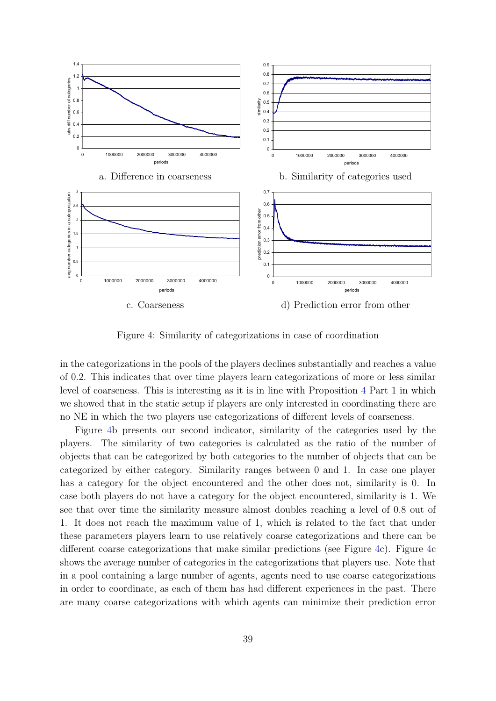

<span id="page-39-0"></span>Figure 4: Similarity of categorizations in case of coordination

in the categorizations in the pools of the players declines substantially and reaches a value of 0.2. This indicates that over time players learn categorizations of more or less similar level of coarseness. This is interesting as it is in line with Proposition [4](#page-22-0) Part 1 in which we showed that in the static setup if players are only interested in coordinating there are no NE in which the two players use categorizations of different levels of coarseness.

Figure [4b](#page-39-0) presents our second indicator, similarity of the categories used by the players. The similarity of two categories is calculated as the ratio of the number of objects that can be categorized by both categories to the number of objects that can be categorized by either category. Similarity ranges between 0 and 1. In case one player has a category for the object encountered and the other does not, similarity is 0. In case both players do not have a category for the object encountered, similarity is 1. We see that over time the similarity measure almost doubles reaching a level of 0.8 out of 1. It does not reach the maximum value of 1, which is related to the fact that under these parameters players learn to use relatively coarse categorizations and there can be different coarse categorizations that make similar predictions (see Figure [4c](#page-39-0)). Figure [4c](#page-39-0) shows the average number of categories in the categorizations that players use. Note that in a pool containing a large number of agents, agents need to use coarse categorizations in order to coordinate, as each of them has had different experiences in the past. There are many coarse categorizations with which agents can minimize their prediction error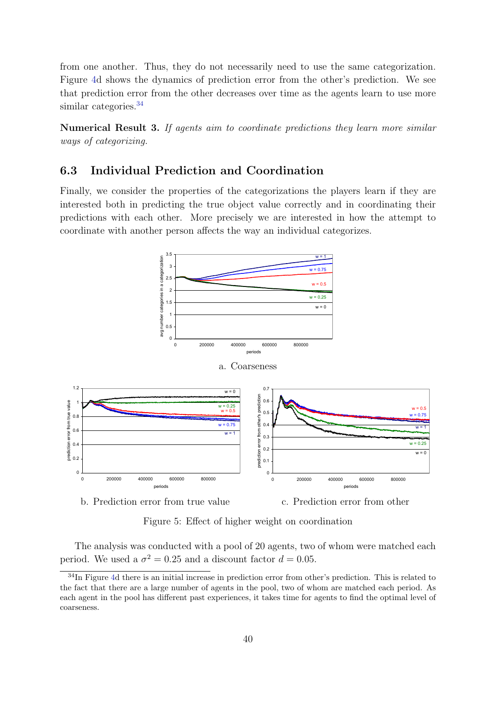from one another. Thus, they do not necessarily need to use the same categorization. Figure [4d](#page-39-0) shows the dynamics of prediction error from the other's prediction. We see that prediction error from the other decreases over time as the agents learn to use more similar categories.<sup>[34](#page-40-0)</sup>

Numerical Result 3. If agents aim to coordinate predictions they learn more similar ways of categorizing.

# 6.3 Individual Prediction and Coordination

Finally, we consider the properties of the categorizations the players learn if they are interested both in predicting the true object value correctly and in coordinating their predictions with each other. More precisely we are interested in how the attempt to coordinate with another person affects the way an individual categorizes.



b. Prediction error from true value c. Prediction error from other

<span id="page-40-1"></span>Figure 5: Effect of higher weight on coordination

The analysis was conducted with a pool of 20 agents, two of whom were matched each period. We used a  $\sigma^2 = 0.25$  and a discount factor  $d = 0.05$ .

<span id="page-40-0"></span><sup>&</sup>lt;sup>34</sup>In Figure [4d](#page-39-0) there is an initial increase in prediction error from other's prediction. This is related to the fact that there are a large number of agents in the pool, two of whom are matched each period. As each agent in the pool has different past experiences, it takes time for agents to find the optimal level of coarseness.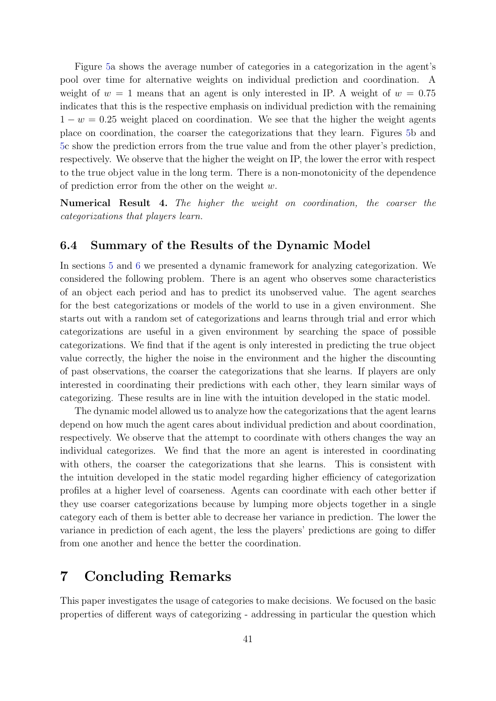Figure [5a](#page-40-1) shows the average number of categories in a categorization in the agent's pool over time for alternative weights on individual prediction and coordination. A weight of  $w = 1$  means that an agent is only interested in IP. A weight of  $w = 0.75$ indicates that this is the respective emphasis on individual prediction with the remaining  $1 - w = 0.25$  weight placed on coordination. We see that the higher the weight agents place on coordination, the coarser the categorizations that they learn. Figures [5b](#page-40-1) and [5c](#page-40-1) show the prediction errors from the true value and from the other player's prediction, respectively. We observe that the higher the weight on IP, the lower the error with respect to the true object value in the long term. There is a non-monotonicity of the dependence of prediction error from the other on the weight  $w$ .

Numerical Result 4. The higher the weight on coordination, the coarser the categorizations that players learn.

### 6.4 Summary of the Results of the Dynamic Model

In sections [5](#page-30-0) and [6](#page-35-0) we presented a dynamic framework for analyzing categorization. We considered the following problem. There is an agent who observes some characteristics of an object each period and has to predict its unobserved value. The agent searches for the best categorizations or models of the world to use in a given environment. She starts out with a random set of categorizations and learns through trial and error which categorizations are useful in a given environment by searching the space of possible categorizations. We find that if the agent is only interested in predicting the true object value correctly, the higher the noise in the environment and the higher the discounting of past observations, the coarser the categorizations that she learns. If players are only interested in coordinating their predictions with each other, they learn similar ways of categorizing. These results are in line with the intuition developed in the static model.

The dynamic model allowed us to analyze how the categorizations that the agent learns depend on how much the agent cares about individual prediction and about coordination, respectively. We observe that the attempt to coordinate with others changes the way an individual categorizes. We find that the more an agent is interested in coordinating with others, the coarser the categorizations that she learns. This is consistent with the intuition developed in the static model regarding higher efficiency of categorization profiles at a higher level of coarseness. Agents can coordinate with each other better if they use coarser categorizations because by lumping more objects together in a single category each of them is better able to decrease her variance in prediction. The lower the variance in prediction of each agent, the less the players' predictions are going to differ from one another and hence the better the coordination.

# <span id="page-41-0"></span>7 Concluding Remarks

This paper investigates the usage of categories to make decisions. We focused on the basic properties of different ways of categorizing - addressing in particular the question which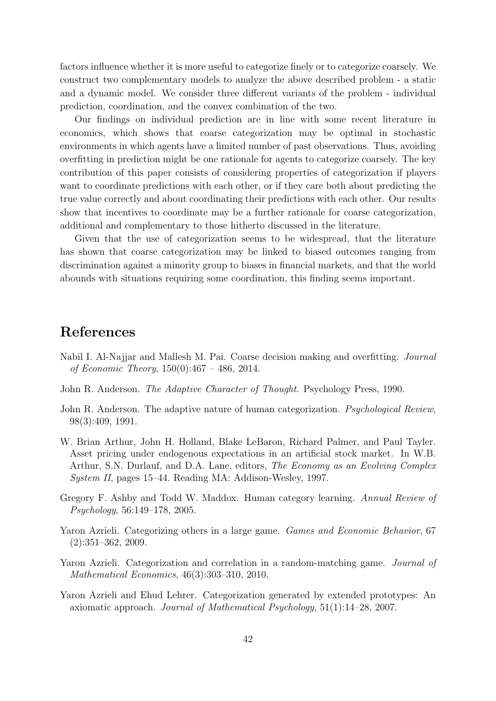factors influence whether it is more useful to categorize finely or to categorize coarsely. We construct two complementary models to analyze the above described problem - a static and a dynamic model. We consider three different variants of the problem - individual prediction, coordination, and the convex combination of the two.

Our findings on individual prediction are in line with some recent literature in economics, which shows that coarse categorization may be optimal in stochastic environments in which agents have a limited number of past observations. Thus, avoiding overfitting in prediction might be one rationale for agents to categorize coarsely. The key contribution of this paper consists of considering properties of categorization if players want to coordinate predictions with each other, or if they care both about predicting the true value correctly and about coordinating their predictions with each other. Our results show that incentives to coordinate may be a further rationale for coarse categorization, additional and complementary to those hitherto discussed in the literature.

Given that the use of categorization seems to be widespread, that the literature has shown that coarse categorization may be linked to biased outcomes ranging from discrimination against a minority group to biases in financial markets, and that the world abounds with situations requiring some coordination, this finding seems important.

# References

- <span id="page-42-0"></span>Nabil I. Al-Najjar and Mallesh M. Pai. Coarse decision making and overfitting. Journal of Economic Theory,  $150(0):467 - 486$ , 2014.
- <span id="page-42-5"></span>John R. Anderson. The Adaptive Character of Thought. Psychology Press, 1990.
- <span id="page-42-6"></span>John R. Anderson. The adaptive nature of human categorization. *Psychological Review*, 98(3):409, 1991.
- <span id="page-42-7"></span>W. Brian Arthur, John H. Holland, Blake LeBaron, Richard Palmer, and Paul Tayler. Asset pricing under endogenous expectations in an artificial stock market. In W.B. Arthur, S.N. Durlauf, and D.A. Lane, editors, The Economy as an Evolving Complex System II, pages 15–44. Reading MA: Addison-Wesley, 1997.
- <span id="page-42-4"></span>Gregory F. Ashby and Todd W. Maddox. Human category learning. Annual Review of Psychology, 56:149–178, 2005.
- <span id="page-42-1"></span>Yaron Azrieli. Categorizing others in a large game. Games and Economic Behavior, 67 (2):351–362, 2009.
- <span id="page-42-3"></span>Yaron Azrieli. Categorization and correlation in a random-matching game. *Journal of* Mathematical Economics, 46(3):303–310, 2010.
- <span id="page-42-2"></span>Yaron Azrieli and Ehud Lehrer. Categorization generated by extended prototypes: An axiomatic approach. Journal of Mathematical Psychology, 51(1):14–28, 2007.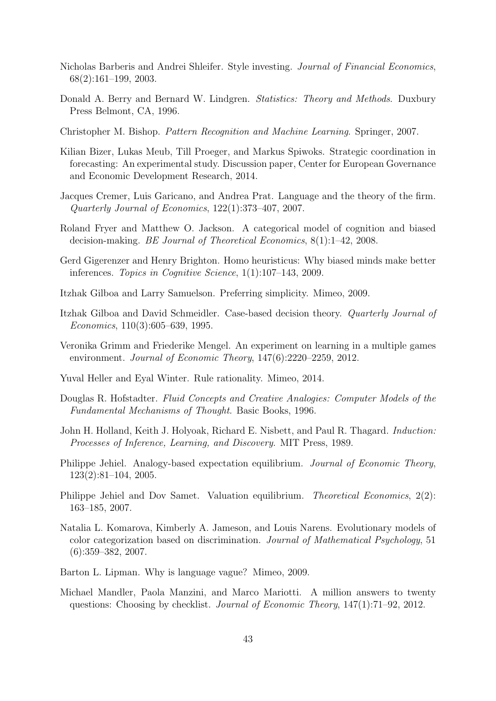- <span id="page-43-1"></span>Nicholas Barberis and Andrei Shleifer. Style investing. Journal of Financial Economics, 68(2):161–199, 2003.
- <span id="page-43-16"></span>Donald A. Berry and Bernard W. Lindgren. Statistics: Theory and Methods. Duxbury Press Belmont, CA, 1996.
- <span id="page-43-15"></span>Christopher M. Bishop. Pattern Recognition and Machine Learning. Springer, 2007.
- <span id="page-43-5"></span>Kilian Bizer, Lukas Meub, Till Proeger, and Markus Spiwoks. Strategic coordination in forecasting: An experimental study. Discussion paper, Center for European Governance and Economic Development Research, 2014.
- <span id="page-43-3"></span>Jacques Cremer, Luis Garicano, and Andrea Prat. Language and the theory of the firm. Quarterly Journal of Economics, 122(1):373–407, 2007.
- <span id="page-43-0"></span>Roland Fryer and Matthew O. Jackson. A categorical model of cognition and biased decision-making. BE Journal of Theoretical Economics, 8(1):1–42, 2008.
- <span id="page-43-11"></span>Gerd Gigerenzer and Henry Brighton. Homo heuristicus: Why biased minds make better inferences. Topics in Cognitive Science, 1(1):107–143, 2009.
- <span id="page-43-12"></span>Itzhak Gilboa and Larry Samuelson. Preferring simplicity. Mimeo, 2009.
- <span id="page-43-14"></span>Itzhak Gilboa and David Schmeidler. Case-based decision theory. Quarterly Journal of Economics, 110(3):605–639, 1995.
- <span id="page-43-9"></span>Veronika Grimm and Friederike Mengel. An experiment on learning in a multiple games environment. Journal of Economic Theory, 147(6):2220–2259, 2012.
- <span id="page-43-8"></span>Yuval Heller and Eyal Winter. Rule rationality. Mimeo, 2014.
- <span id="page-43-13"></span>Douglas R. Hofstadter. Fluid Concepts and Creative Analogies: Computer Models of the Fundamental Mechanisms of Thought. Basic Books, 1996.
- <span id="page-43-17"></span>John H. Holland, Keith J. Holyoak, Richard E. Nisbett, and Paul R. Thagard. *Induction*: Processes of Inference, Learning, and Discovery. MIT Press, 1989.
- <span id="page-43-6"></span>Philippe Jehiel. Analogy-based expectation equilibrium. Journal of Economic Theory, 123(2):81–104, 2005.
- <span id="page-43-7"></span>Philippe Jehiel and Dov Samet. Valuation equilibrium. Theoretical Economics, 2(2): 163–185, 2007.
- <span id="page-43-4"></span>Natalia L. Komarova, Kimberly A. Jameson, and Louis Narens. Evolutionary models of color categorization based on discrimination. Journal of Mathematical Psychology, 51 (6):359–382, 2007.
- <span id="page-43-2"></span>Barton L. Lipman. Why is language vague? Mimeo, 2009.
- <span id="page-43-10"></span>Michael Mandler, Paola Manzini, and Marco Mariotti. A million answers to twenty questions: Choosing by checklist. Journal of Economic Theory, 147(1):71–92, 2012.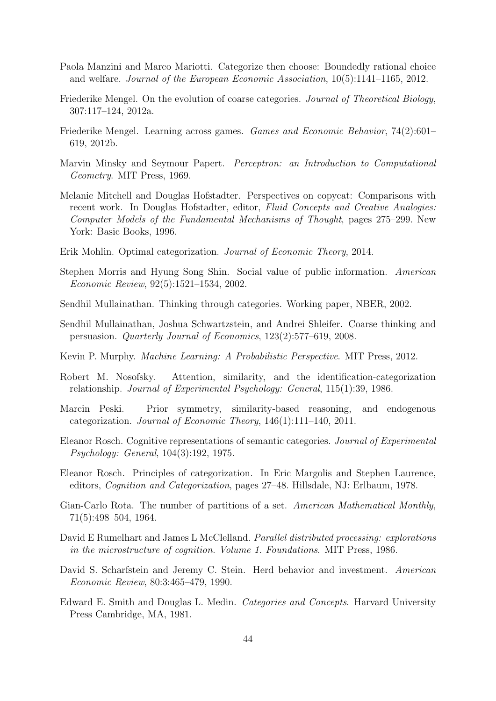- <span id="page-44-8"></span>Paola Manzini and Marco Mariotti. Categorize then choose: Boundedly rational choice and welfare. Journal of the European Economic Association, 10(5):1141–1165, 2012.
- <span id="page-44-5"></span>Friederike Mengel. On the evolution of coarse categories. Journal of Theoretical Biology, 307:117–124, 2012a.
- <span id="page-44-6"></span>Friederike Mengel. Learning across games. Games and Economic Behavior, 74(2):601– 619, 2012b.
- <span id="page-44-16"></span>Marvin Minsky and Seymour Papert. Perceptron: an Introduction to Computational Geometry. MIT Press, 1969.
- <span id="page-44-9"></span>Melanie Mitchell and Douglas Hofstadter. Perspectives on copycat: Comparisons with recent work. In Douglas Hofstadter, editor, Fluid Concepts and Creative Analogies: Computer Models of the Fundamental Mechanisms of Thought, pages 275–299. New York: Basic Books, 1996.
- <span id="page-44-1"></span>Erik Mohlin. Optimal categorization. Journal of Economic Theory, 2014.
- <span id="page-44-4"></span>Stephen Morris and Hyung Song Shin. Social value of public information. American Economic Review, 92(5):1521–1534, 2002.
- <span id="page-44-7"></span>Sendhil Mullainathan. Thinking through categories. Working paper, NBER, 2002.
- <span id="page-44-0"></span>Sendhil Mullainathan, Joshua Schwartzstein, and Andrei Shleifer. Coarse thinking and persuasion. Quarterly Journal of Economics, 123(2):577–619, 2008.
- <span id="page-44-14"></span>Kevin P. Murphy. Machine Learning: A Probabilistic Perspective. MIT Press, 2012.
- <span id="page-44-13"></span>Robert M. Nosofsky. Attention, similarity, and the identification-categorization relationship. Journal of Experimental Psychology: General, 115(1):39, 1986.
- <span id="page-44-2"></span>Marcin Peski. Prior symmetry, similarity-based reasoning, and endogenous categorization. Journal of Economic Theory, 146(1):111–140, 2011.
- <span id="page-44-11"></span>Eleanor Rosch. Cognitive representations of semantic categories. Journal of Experimental Psychology: General, 104(3):192, 1975.
- <span id="page-44-12"></span>Eleanor Rosch. Principles of categorization. In Eric Margolis and Stephen Laurence, editors, Cognition and Categorization, pages 27–48. Hillsdale, NJ: Erlbaum, 1978.
- <span id="page-44-15"></span>Gian-Carlo Rota. The number of partitions of a set. American Mathematical Monthly, 71(5):498–504, 1964.
- <span id="page-44-17"></span>David E Rumelhart and James L McClelland. Parallel distributed processing: explorations in the microstructure of cognition. Volume 1. Foundations. MIT Press, 1986.
- <span id="page-44-3"></span>David S. Scharfstein and Jeremy C. Stein. Herd behavior and investment. American Economic Review, 80:3:465–479, 1990.
- <span id="page-44-10"></span>Edward E. Smith and Douglas L. Medin. Categories and Concepts. Harvard University Press Cambridge, MA, 1981.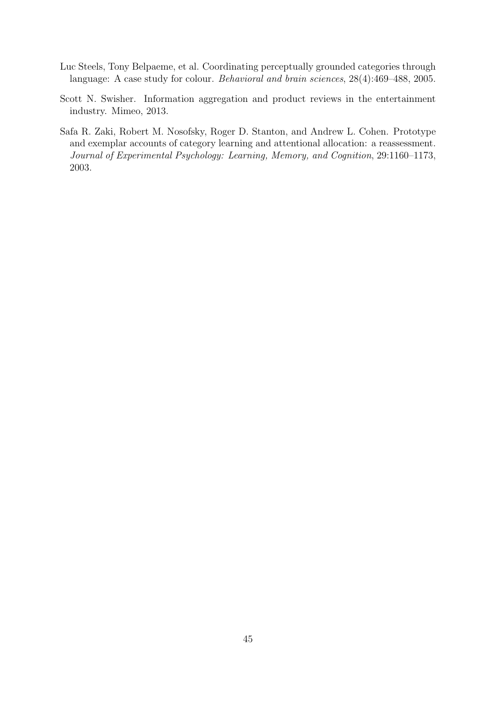- <span id="page-45-0"></span>Luc Steels, Tony Belpaeme, et al. Coordinating perceptually grounded categories through language: A case study for colour. Behavioral and brain sciences, 28(4):469–488, 2005.
- <span id="page-45-1"></span>Scott N. Swisher. Information aggregation and product reviews in the entertainment industry. Mimeo, 2013.
- <span id="page-45-2"></span>Safa R. Zaki, Robert M. Nosofsky, Roger D. Stanton, and Andrew L. Cohen. Prototype and exemplar accounts of category learning and attentional allocation: a reassessment. Journal of Experimental Psychology: Learning, Memory, and Cognition, 29:1160–1173, 2003.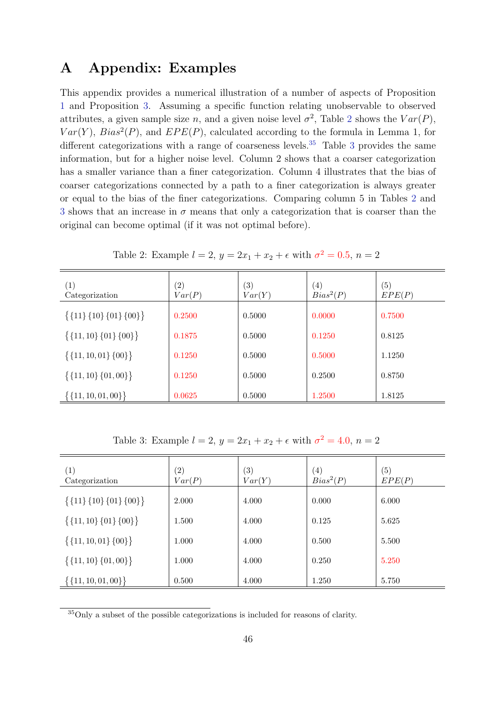# <span id="page-46-1"></span>A Appendix: Examples

This appendix provides a numerical illustration of a number of aspects of Proposition [1](#page-16-0) and Proposition [3.](#page-19-0) Assuming a specific function relating unobservable to observed attributes, a given sample size n, and a given noise level  $\sigma^2$  $\sigma^2$ , Table 2 shows the  $Var(P)$ ,  $Var(Y)$ ,  $Bias^2(P)$ , and  $EPE(P)$ , calculated according to the formula in Lemma 1, for different categorizations with a range of coarseness levels.<sup>[35](#page-46-3)</sup> Table [3](#page-46-2) provides the same information, but for a higher noise level. Column 2 shows that a coarser categorization has a smaller variance than a finer categorization. Column 4 illustrates that the bias of coarser categorizations connected by a path to a finer categorization is always greater or equal to the bias of the finer categorizations. Comparing column 5 in Tables [2](#page-46-0) and [3](#page-46-2) shows that an increase in  $\sigma$  means that only a categorization that is coarser than the original can become optimal (if it was not optimal before).

| $\left( 1\right)$<br>Categorization   | $\left( 2\right)$<br>Var(P) | (3)<br>Var(Y) | $\left( 4\right)$<br>$Bias^2(P)$ | $\left( 5\right)$<br>EPE(P) |
|---------------------------------------|-----------------------------|---------------|----------------------------------|-----------------------------|
| $\{\{11\}\,\{10\}\,\{01\}\,\{00\}\}\$ | 0.2500                      | 0.5000        | 0.0000                           | 0.7500                      |
| $\{ \{11, 10\} \{01\} \{00\} \}$      | 0.1875                      | 0.5000        | 0.1250                           | 0.8125                      |
| $\{\{11, 10, 01\} \{00\}\}\$          | 0.1250                      | 0.5000        | 0.5000                           | 1.1250                      |
| $\{\{11, 10\} \{01, 00\}\}\$          | 0.1250                      | 0.5000        | 0.2500                           | 0.8750                      |
| $\{\{11, 10, 01, 00\}\}\$             | 0.0625                      | 0.5000        | 1.2500                           | 1.8125                      |

<span id="page-46-0"></span>Table 2: Example  $l = 2$ ,  $y = 2x_1 + x_2 + \epsilon$  with  $\sigma^2 = 0.5$ ,  $n = 2$ 

<span id="page-46-2"></span>Table 3: Example  $l = 2$ ,  $y = 2x_1 + x_2 + \epsilon$  with  $\sigma^2 = 4.0$ ,  $n = 2$ 

| (1)<br>Categorization                 | $\left( 2\right)$<br>Var(P) | (3)<br>Var(Y) | $\left( 4\right)$<br>$Bias^2(P)$ | (5)<br>EPE(P) |
|---------------------------------------|-----------------------------|---------------|----------------------------------|---------------|
| $\{\{11\}\,\{10\}\,\{01\}\,\{00\}\}\$ | 2.000                       | 4.000         | 0.000                            | 6.000         |
| $\{\{11, 10\} \{01\} \{00\}\}\$       | 1.500                       | 4.000         | 0.125                            | 5.625         |
| $\{\{11, 10, 01\} \{00\}\}\$          | 1.000                       | 4.000         | 0.500                            | 5.500         |
| $\{\{11, 10\} \{01, 00\}\}\$          | 1.000                       | 4.000         | 0.250                            | 5.250         |
| $\{\{11, 10, 01, 00\}\}\$             | 0.500                       | 4.000         | 1.250                            | 5.750         |

<span id="page-46-3"></span><sup>35</sup>Only a subset of the possible categorizations is included for reasons of clarity.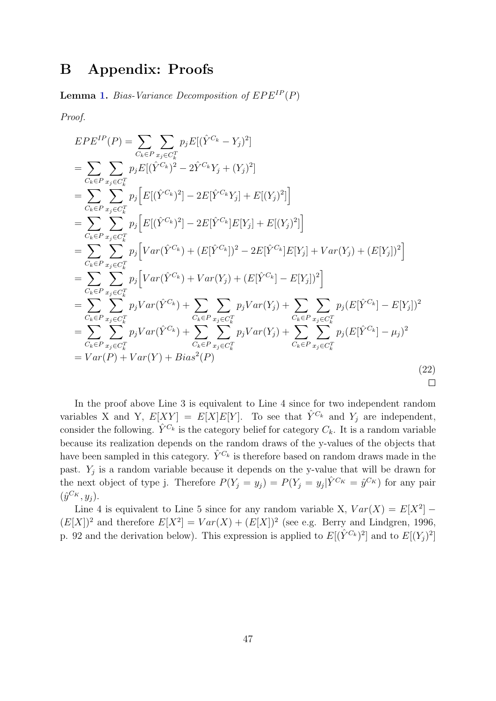# <span id="page-47-0"></span>B Appendix: Proofs

**Lemma [1.](#page-15-0)** Bias-Variance Decomposition of  $EPE^{IP}(P)$ 

Proof.

$$
EPE^{IP}(P) = \sum_{C_k \in P} \sum_{x_j \in C_k^T} p_j E[(\hat{Y}^{C_k} - Y_j)^2]
$$
  
\n
$$
= \sum_{C_k \in P} \sum_{x_j \in C_k^T} p_j E[(\hat{Y}^{C_k})^2 - 2\hat{Y}^{C_k}Y_j + (Y_j)^2]
$$
  
\n
$$
= \sum_{C_k \in P} \sum_{x_j \in C_k^T} p_j [E[(\hat{Y}^{C_k})^2] - 2E[\hat{Y}^{C_k}Y_j] + E[(Y_j)^2]]
$$
  
\n
$$
= \sum_{C_k \in P} \sum_{x_j \in C_k^T} p_j [E[(\hat{Y}^{C_k})^2] - 2E[\hat{Y}^{C_k}]E[Y_j] + E[(Y_j)^2]]
$$
  
\n
$$
= \sum_{C_k \in P} \sum_{x_j \in C_k^T} p_j [Var(\hat{Y}^{C_k}) + (E[\hat{Y}^{C_k}])^2 - 2E[\hat{Y}^{C_k}]E[Y_j] + Var(Y_j) + (E[Y_j])^2]
$$
  
\n
$$
= \sum_{C_k \in P} \sum_{x_j \in C_k^T} p_j Var(\hat{Y}^{C_k}) + Var(Y_j) + (E[\hat{Y}^{C_k}] - E[Y_j])^2
$$
  
\n
$$
= \sum_{C_k \in P} \sum_{x_j \in C_k^T} p_j Var(\hat{Y}^{C_k}) + \sum_{C_k \in P} \sum_{x_j \in C_k^T} p_j Var(Y_j) + \sum_{C_k \in P} \sum_{x_j \in C_k^T} p_j (E[\hat{Y}^{C_k}] - E[Y_j])^2
$$
  
\n
$$
= \sum_{C_k \in P} \sum_{x_j \in C_k^T} p_j Var(\hat{Y}^{C_k}) + \sum_{C_k \in P} \sum_{x_j \in C_k^T} p_j Var(Y_j) + \sum_{C_k \in P} \sum_{x_j \in C_k^T} p_j (E[\hat{Y}^{C_k}] - \mu_j)^2
$$
  
\n
$$
= Var(P) + Var(Y) + Bias^2(P)
$$
 (22)

In the proof above Line 3 is equivalent to Line 4 since for two independent random variables X and Y,  $E[XY] = E[X]E[Y]$ . To see that  $\hat{Y}^{C_k}$  and  $Y_j$  are independent, consider the following.  $\hat{Y}^{C_k}$  is the category belief for category  $C_k$ . It is a random variable because its realization depends on the random draws of the y-values of the objects that have been sampled in this category.  $\hat{Y}^{C_k}$  is therefore based on random draws made in the past.  $Y_j$  is a random variable because it depends on the y-value that will be drawn for the next object of type j. Therefore  $P(Y_j = y_j) = P(Y_j = y_j | \hat{Y}^{C_K} = \hat{y}^{C_K})$  for any pair  $(\hat{y}^{C_K}, y_j).$ 

Line 4 is equivalent to Line 5 since for any random variable X,  $Var(X) = E[X^2]$  –  $(E[X])^2$  and therefore  $E[X^2] = Var(X) + (E[X])^2$  (see e.g. Berry and Lindgren, 1996, p. 92 and the derivation below). This expression is applied to  $E[(\hat{Y}^{C_k})^2]$  and to  $E[(Y_j)^2]$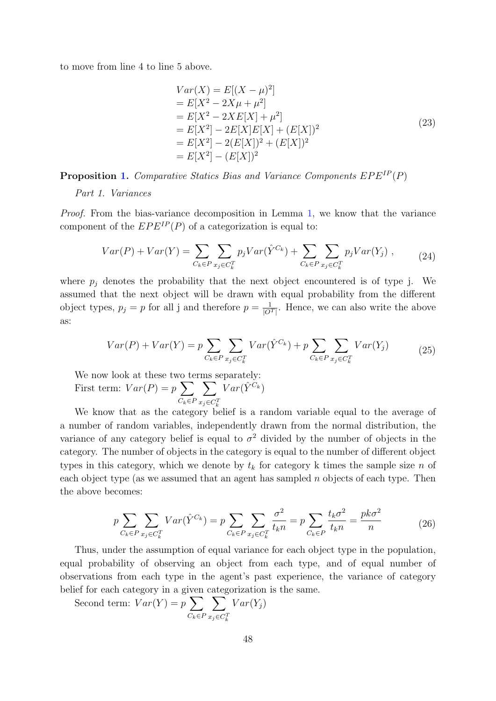to move from line 4 to line 5 above.

$$
Var(X) = E[(X - \mu)^{2}]
$$
  
=  $E[X^{2} - 2X\mu + \mu^{2}]$   
=  $E[X^{2} - 2XE[X] + \mu^{2}]$   
=  $E[X^{2}] - 2E[X]E[X] + (E[X])^{2}$   
=  $E[X^{2}] - 2(E[X])^{2} + (E[X])^{2}$   
=  $E[X^{2}] - (E[X])^{2}$  (23)

**Proposition [1.](#page-16-0)** Comparative Statics Bias and Variance Components  $EPE^{IP}(P)$ 

Part 1. Variances

Proof. From the bias-variance decomposition in Lemma [1,](#page-15-0) we know that the variance component of the  $EPE^{IP}(P)$  of a categorization is equal to:

$$
Var(P) + Var(Y) = \sum_{C_k \in P} \sum_{x_j \in C_k^T} p_j Var(\hat{Y}^{C_k}) + \sum_{C_k \in P} \sum_{x_j \in C_k^T} p_j Var(Y_j) , \qquad (24)
$$

where  $p_j$  denotes the probability that the next object encountered is of type j. We assumed that the next object will be drawn with equal probability from the different object types,  $p_j = p$  for all j and therefore  $p = \frac{1}{|O|}$  $\frac{1}{|O^T|}$ . Hence, we can also write the above as:

$$
Var(P) + Var(Y) = p \sum_{C_k \in P} \sum_{x_j \in C_k^T} Var(\hat{Y}^{C_k}) + p \sum_{C_k \in P} \sum_{x_j \in C_k^T} Var(Y_j)
$$
(25)

We now look at these two terms separately: First term:  $Var(P) = p \sum$  $C_k \in F$  $\sum$  $x_j \in C_k^T$  $Var(\hat{Y}^{C_k})$ 

We know that as the category belief is a random variable equal to the average of a number of random variables, independently drawn from the normal distribution, the variance of any category belief is equal to  $\sigma^2$  divided by the number of objects in the category. The number of objects in the category is equal to the number of different object types in this category, which we denote by  $t_k$  for category k times the sample size n of each object type (as we assumed that an agent has sampled  $n$  objects of each type. Then the above becomes:

$$
p\sum_{C_k \in P} \sum_{x_j \in C_k^T} Var(\hat{Y}^{C_k}) = p\sum_{C_k \in P} \sum_{x_j \in C_k^T} \frac{\sigma^2}{t_k n} = p\sum_{C_k \in P} \frac{t_k \sigma^2}{t_k n} = \frac{pk\sigma^2}{n}
$$
(26)

Thus, under the assumption of equal variance for each object type in the population, equal probability of observing an object from each type, and of equal number of observations from each type in the agent's past experience, the variance of category belief for each category in a given categorization is the same.

Second term:  $Var(Y) = p \sum$  $C_k \in F$  $\sum$  $x_j \in C_k^T$  $Var(Y_j)$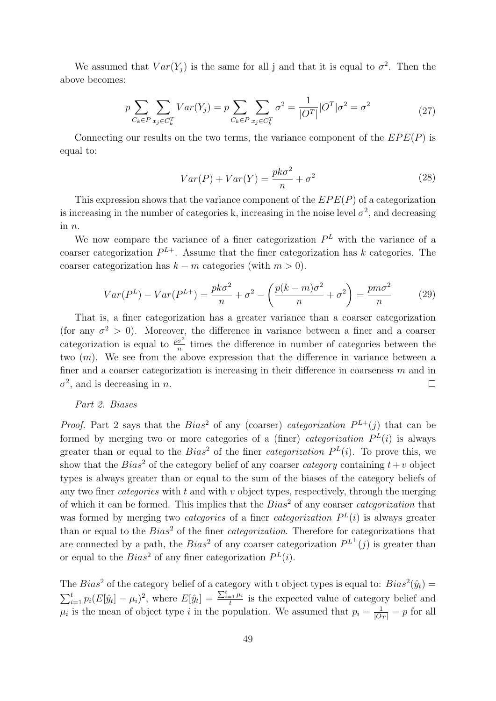We assumed that  $Var(Y_j)$  is the same for all j and that it is equal to  $\sigma^2$ . Then the above becomes:

$$
p \sum_{C_k \in P} \sum_{x_j \in C_k^T} Var(Y_j) = p \sum_{C_k \in P} \sum_{x_j \in C_k^T} \sigma^2 = \frac{1}{|O^T|} |O^T| \sigma^2 = \sigma^2
$$
\n(27)

Connecting our results on the two terms, the variance component of the  $EPE(P)$  is equal to:

$$
Var(P) + Var(Y) = \frac{pk\sigma^2}{n} + \sigma^2
$$
\n(28)

This expression shows that the variance component of the  $EPE(P)$  of a categorization is increasing in the number of categories k, increasing in the noise level  $\sigma^2$ , and decreasing in n.

We now compare the variance of a finer categorization  $P<sup>L</sup>$  with the variance of a coarser categorization  $P^{L+}$ . Assume that the finer categorization has k categories. The coarser categorization has  $k - m$  categories (with  $m > 0$ ).

$$
Var(P^L) - Var(P^{L+}) = \frac{pk\sigma^2}{n} + \sigma^2 - \left(\frac{p(k-m)\sigma^2}{n} + \sigma^2\right) = \frac{pm\sigma^2}{n}
$$
 (29)

That is, a finer categorization has a greater variance than a coarser categorization (for any  $\sigma^2 > 0$ ). Moreover, the difference in variance between a finer and a coarser categorization is equal to  $\frac{p\sigma^2}{n}$  times the difference in number of categories between the two  $(m)$ . We see from the above expression that the difference in variance between a finer and a coarser categorization is increasing in their difference in coarseness  $m$  and in  $\sigma^2$ , and is decreasing in *n*.  $\Box$ 

#### Part 2. Biases

*Proof.* Part 2 says that the  $Bias^2$  of any (coarser) categorization  $P^{L+}(j)$  that can be formed by merging two or more categories of a (finer) *categorization*  $P^{L}(i)$  is always greater than or equal to the  $Bias^2$  of the finer *categorization*  $P^L(i)$ . To prove this, we show that the  $Bias^2$  of the category belief of any coarser *category* containing  $t+v$  object types is always greater than or equal to the sum of the biases of the category beliefs of any two finer *categories* with  $t$  and with  $v$  object types, respectively, through the merging of which it can be formed. This implies that the  $Bias^2$  of any coarser *categorization* that was formed by merging two *categories* of a finer *categorization*  $P<sup>L</sup>(i)$  is always greater than or equal to the  $Bias^2$  of the finer *categorization*. Therefore for categorizations that are connected by a path, the  $Bias^2$  of any coarser categorization  $P^{L^+}(j)$  is greater than or equal to the  $Bias^2$  of any finer categorization  $P<sup>L</sup>(i)$ .

The Bias<sup>2</sup> of the category belief of a category with t object types is equal to:  $Bias^2(\hat{y}_t)$  =  $\sum_{i=1}^{t} p_i (E[\hat{y}_t] - \mu_i)^2$ , where  $E[\hat{y}_t] = \frac{\sum_{i=1}^{t} \mu_i}{t}$  $\frac{t}{t}$  is the expected value of category belief and  $\mu_i$  is the mean of object type i in the population. We assumed that  $p_i = \frac{1}{|O_T|} = p$  for all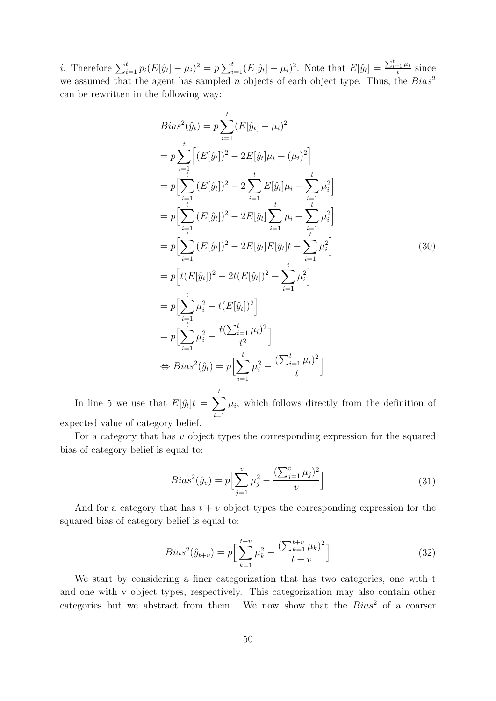*i*. Therefore  $\sum_{i=1}^{t} p_i (E[\hat{y}_t] - \mu_i)^2 = p \sum_{i=1}^{t} (E[\hat{y}_t] - \mu_i)^2$ . Note that  $E[\hat{y}_t] = \frac{\sum_{i=1}^{t} \mu_i}{t}$  $\frac{e^{-1}}{t}$  since we assumed that the agent has sampled n objects of each object type. Thus, the  $Bias^2$ can be rewritten in the following way:

$$
Bias^{2}(\hat{y}_{t}) = p \sum_{i=1}^{t} (E[\hat{y}_{t}] - \mu_{i})^{2}
$$
  
\n
$$
= p \sum_{i=1}^{t} [(E[\hat{y}_{t}])^{2} - 2E[\hat{y}_{t}] \mu_{i} + (\mu_{i})^{2}]
$$
  
\n
$$
= p \Biggl[ \sum_{i=1}^{t} (E[\hat{y}_{t}])^{2} - 2 \sum_{i=1}^{t} E[\hat{y}_{t}] \mu_{i} + \sum_{i=1}^{t} \mu_{i}^{2} \Biggr]
$$
  
\n
$$
= p \Biggl[ \sum_{i=1}^{t} (E[\hat{y}_{t}])^{2} - 2E[\hat{y}_{t}] \sum_{i=1}^{t} \mu_{i} + \sum_{i=1}^{t} \mu_{i}^{2} \Biggr]
$$
  
\n
$$
= p \Biggl[ \sum_{i=1}^{t} (E[\hat{y}_{t}])^{2} - 2E[\hat{y}_{t}] E[\hat{y}_{t}] t + \sum_{i=1}^{t} \mu_{i}^{2} \Biggr]
$$
  
\n
$$
= p \Biggl[ t(E[\hat{y}_{t}])^{2} - 2t(E[\hat{y}_{t}])^{2} + \sum_{i=1}^{t} \mu_{i}^{2} \Biggr]
$$
  
\n
$$
= p \Biggl[ \sum_{i=1}^{t} \mu_{i}^{2} - t(E[\hat{y}_{t}])^{2} \Biggr]
$$
  
\n
$$
= p \Biggl[ \sum_{i=1}^{t} \mu_{i}^{2} - \frac{t(\sum_{i=1}^{t} \mu_{i})^{2}}{t^{2}} \Biggr]
$$
  
\n
$$
\Leftrightarrow Bias^{2}(\hat{y}_{t}) = p \Biggl[ \sum_{i=1}^{t} \mu_{i}^{2} - \frac{(\sum_{i=1}^{t} \mu_{i})^{2}}{t} \Biggr]
$$

In line 5 we use that  $E[\hat{y_t}]t = \sum$ t  $\frac{i=1}{i}$  $\mu_i$ , which follows directly from the definition of expected value of category belief.

For a category that has v object types the corresponding expression for the squared bias of category belief is equal to:

$$
Bias^{2}(\hat{y}_{v}) = p \left[ \sum_{j=1}^{v} \mu_{j}^{2} - \frac{\left( \sum_{j=1}^{v} \mu_{j} \right)^{2}}{v} \right]
$$
(31)

And for a category that has  $t + v$  object types the corresponding expression for the squared bias of category belief is equal to:

$$
Bias^{2}(\hat{y}_{t+v}) = p \Big[ \sum_{k=1}^{t+v} \mu_k^{2} - \frac{\left(\sum_{k=1}^{t+v} \mu_k\right)^{2}}{t+v} \Big] \tag{32}
$$

We start by considering a finer categorization that has two categories, one with t and one with v object types, respectively. This categorization may also contain other categories but we abstract from them. We now show that the  $Bias^2$  of a coarser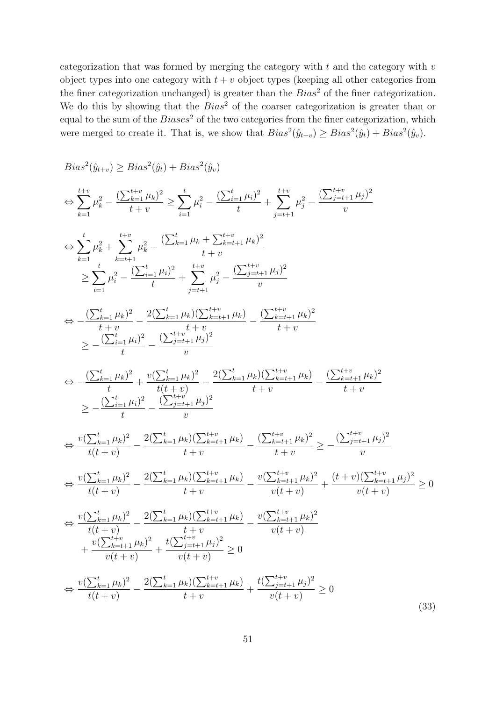categorization that was formed by merging the category with  $t$  and the category with  $v$ object types into one category with  $t + v$  object types (keeping all other categories from the finer categorization unchanged) is greater than the  $Bias^2$  of the finer categorization. We do this by showing that the  $Bias^2$  of the coarser categorization is greater than or equal to the sum of the  $Biases^2$  of the two categories from the finer categorization, which were merged to create it. That is, we show that  $Bias^2(\hat{y}_{t+v}) \geq Bias^2(\hat{y}_t) + Bias^2(\hat{y}_v)$ .

$$
Bias^{2}(\hat{y}_{t+v}) \geq Bias^{2}(\hat{y}_{t}) + Bias^{2}(\hat{y}_{v})
$$
\n
$$
\Leftrightarrow \sum_{k=1}^{t+v} \mu_{k}^{2} - \frac{(\sum_{k=1}^{t+v} \mu_{k})^{2}}{t+v} \geq \sum_{i=1}^{t} \mu_{i}^{2} - \frac{(\sum_{k=1}^{t} \mu_{i})^{2}}{t} + \sum_{j=t+1}^{t+v} \mu_{j}^{2} - \frac{(\sum_{j=t+1}^{t+v} \mu_{j})^{2}}{v}
$$
\n
$$
\Leftrightarrow \sum_{k=1}^{t} \mu_{k}^{2} + \sum_{k=t+1}^{t+v} \mu_{k}^{2} - \frac{(\sum_{k=1}^{t} \mu_{k} + \sum_{k=t+1}^{t+v} \mu_{k})^{2}}{t+v} + \sum_{j=t+1}^{t+v} \mu_{j}^{2} - \frac{(\sum_{j=t+1}^{t+v} \mu_{j})^{2}}{v}
$$
\n
$$
\Leftrightarrow -\frac{(\sum_{k=1}^{t} \mu_{k})^{2}}{t+v} - \frac{2(\sum_{k=1}^{t} \mu_{k})(\sum_{k=t+1}^{t+v} \mu_{k})}{v} - \frac{(\sum_{k=t+1}^{t+v} \mu_{k})^{2}}{t+v}
$$
\n
$$
\geq -\frac{(\sum_{k=1}^{t} \mu_{i})^{2}}{t} - \frac{(\sum_{j=t+1}^{t} \mu_{j})^{2}}{v} - \frac{2(\sum_{k=1}^{t} \mu_{k})(\sum_{k=t+1}^{t+v} \mu_{k})}{v} - \frac{(\sum_{k=t+1}^{t+v} \mu_{k})^{2}}{t+v}
$$
\n
$$
\geq -\frac{(\sum_{k=1}^{t} \mu_{i})^{2}}{t} - \frac{(\sum_{j=t+1}^{t+v} \mu_{j})^{2}}{v} - \frac{2(\sum_{k=1}^{t+v} \mu_{k})(\sum_{k=t+1}^{t+v} \mu_{k})}{v} - \frac{(\sum_{k=t+1}^{t+v} \mu_{k})^{2}}{t+v}
$$
\n
$$
\Leftrightarrow \frac{v(\sum_{k=1}^{t} \mu_{k})^{2}}{t(t+v)} - \frac{2(\sum_{k=1}^{t
$$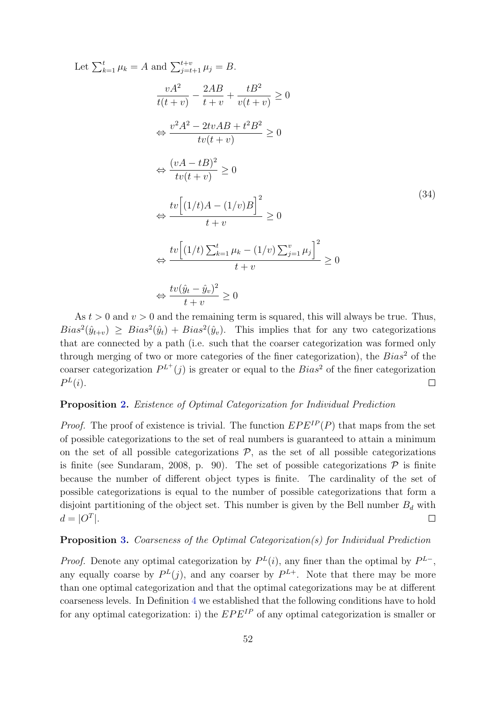Let 
$$
\sum_{k=1}^{t} \mu_k = A \text{ and } \sum_{j=t+1}^{t+v} \mu_j = B.
$$

$$
\frac{vA^2}{t(t+v)} - \frac{2AB}{t+v} + \frac{tB^2}{v(t+v)} \ge 0
$$

$$
\Leftrightarrow \frac{v^2A^2 - 2tvAB + t^2B^2}{tv(t+v)} \ge 0
$$

$$
\Leftrightarrow \frac{(vA - tB)^2}{tv(t+v)} \ge 0
$$

$$
\Leftrightarrow \frac{tv\left[(1/t)A - (1/v)B\right]^2}{t+v} \ge 0
$$

$$
\Leftrightarrow \frac{tv\left[(1/t)\sum_{k=1}^{t} \mu_k - (1/v)\sum_{j=1}^{v} \mu_j\right]^2}{t+v} \ge 0
$$

$$
\Leftrightarrow \frac{tv\left[(1/t)\sum_{k=1}^{t} \mu_k - (1/v)\sum_{j=1}^{v} \mu_j\right]^2}{t+v} \ge 0
$$

As  $t > 0$  and  $v > 0$  and the remaining term is squared, this will always be true. Thus,  $Bias^2(\hat{y}_{t+v}) \geq Bias^2(\hat{y}_t) + Bias^2(\hat{y}_v)$ . This implies that for any two categorizations that are connected by a path (i.e. such that the coarser categorization was formed only through merging of two or more categories of the finer categorization), the  $Bias^2$  of the coarser categorization  $P^{L^+}(j)$  is greater or equal to the  $Bias^2$  of the finer categorization  $P^L(i)$ .  $\Box$ 

#### Proposition [2.](#page-19-1) Existence of Optimal Categorization for Individual Prediction

*Proof.* The proof of existence is trivial. The function  $EPE^{IP}(P)$  that maps from the set of possible categorizations to the set of real numbers is guaranteed to attain a minimum on the set of all possible categorizations  $P$ , as the set of all possible categorizations is finite (see Sundaram, 2008, p. 90). The set of possible categorizations  $P$  is finite because the number of different object types is finite. The cardinality of the set of possible categorizations is equal to the number of possible categorizations that form a disjoint partitioning of the object set. This number is given by the Bell number  $B_d$  with  $d = |O^T|.$  $\Box$ 

#### Proposition [3.](#page-19-0) Coarseness of the Optimal Categorization(s) for Individual Prediction

*Proof.* Denote any optimal categorization by  $P^{L}(i)$ , any finer than the optimal by  $P^{L-}$ , any equally coarse by  $P^{L}(j)$ , and any coarser by  $P^{L+}$ . Note that there may be more than one optimal categorization and that the optimal categorizations may be at different coarseness levels. In Definition [4](#page-18-0) we established that the following conditions have to hold for any optimal categorization: i) the  $EPE^{IP}$  of any optimal categorization is smaller or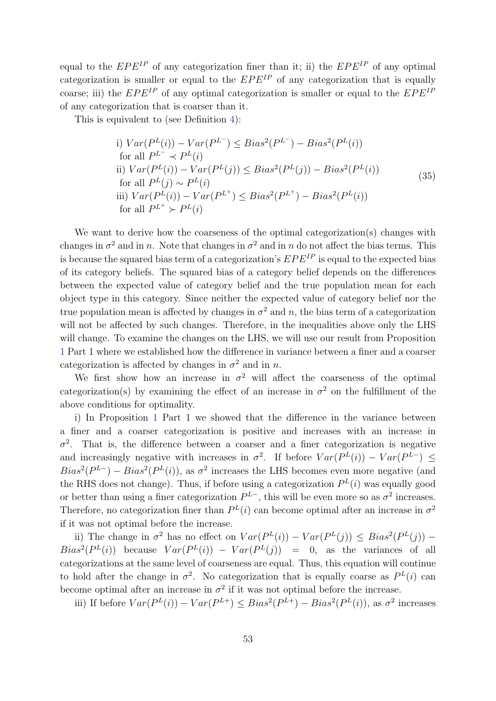equal to the  $EPE^{IP}$  of any categorization finer than it; ii) the  $EPE^{IP}$  of any optimal categorization is smaller or equal to the  $EPE^{IP}$  of any categorization that is equally coarse; iii) the  $EPE^{IP}$  of any optimal categorization is smaller or equal to the  $EPE^{IP}$ of any categorization that is coarser than it.

This is equivalent to (see Definition [4\)](#page-18-0):

i) 
$$
Var(P^L(i)) - Var(P^{L^-}) \leq Bias^2(P^{L^-}) - Bias^2(P^L(i))
$$
\nfor all  $P^{L^-} \prec P^L(i)$ \nii)  $Var(P^L(i)) - Var(P^L(j)) \leq Bias^2(P^L(j)) - Bias^2(P^L(i))$ \nfor all  $P^L(j) \sim P^L(i)$ \niii)  $Var(P^L(i)) - Var(P^{L^+}) \leq Bias^2(P^{L^+}) - Bias^2(P^L(i))$ \nfor all  $P^{L^+} \succ P^L(i)$ \n(35)

We want to derive how the coarseness of the optimal categorization(s) changes with changes in  $\sigma^2$  and in n. Note that changes in  $\sigma^2$  and in n do not affect the bias terms. This is because the squared bias term of a categorization's  $EPE^{IP}$  is equal to the expected bias of its category beliefs. The squared bias of a category belief depends on the differences between the expected value of category belief and the true population mean for each object type in this category. Since neither the expected value of category belief nor the true population mean is affected by changes in  $\sigma^2$  and n, the bias term of a categorization will not be affected by such changes. Therefore, in the inequalities above only the LHS will change. To examine the changes on the LHS, we will use our result from Proposition [1](#page-16-0) Part 1 where we established how the difference in variance between a finer and a coarser categorization is affected by changes in  $\sigma^2$  and in n.

We first show how an increase in  $\sigma^2$  will affect the coarseness of the optimal categorization(s) by examining the effect of an increase in  $\sigma^2$  on the fulfillment of the above conditions for optimality.

i) In Proposition [1](#page-16-0) Part 1 we showed that the difference in the variance between a finer and a coarser categorization is positive and increases with an increase in  $\sigma^2$ . That is, the difference between a coarser and a finer categorization is negative and increasingly negative with increases in  $\sigma^2$ . If before  $Var(P^L(i)) - Var(P^{L-}) \leq$  $Bias^2(P^{L-}) - Bias^2(P^{L}(i))$ , as  $\sigma^2$  increases the LHS becomes even more negative (and the RHS does not change). Thus, if before using a categorization  $P^{L}(i)$  was equally good or better than using a finer categorization  $P^{L-}$ , this will be even more so as  $\sigma^2$  increases. Therefore, no categorization finer than  $P^{L}(i)$  can become optimal after an increase in  $\sigma^{2}$ if it was not optimal before the increase.

ii) The change in  $\sigma^2$  has no effect on  $Var(P^L(i)) - Var(P^L(j)) \leq Bias^2(P^L(j))$  –  $Bias^2(P^L(i))$  because  $Var(P^L(i)) - Var(P^L(j)) = 0$ , as the variances of all categorizations at the same level of coarseness are equal. Thus, this equation will continue to hold after the change in  $\sigma^2$ . No categorization that is equally coarse as  $P^L(i)$  can become optimal after an increase in  $\sigma^2$  if it was not optimal before the increase.

iii) If before  $Var(P^{L}(i)) - Var(P^{L+}) \leq Bias^2(P^{L+}) - Bias^2(P^{L}(i))$ , as  $\sigma^2$  increases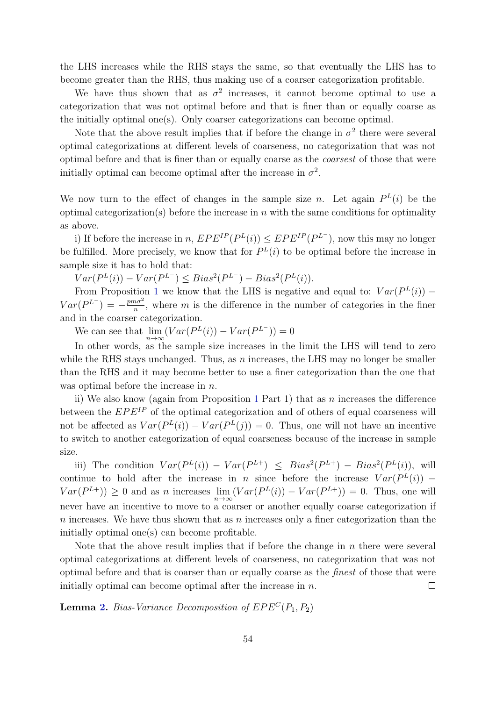the LHS increases while the RHS stays the same, so that eventually the LHS has to become greater than the RHS, thus making use of a coarser categorization profitable.

We have thus shown that as  $\sigma^2$  increases, it cannot become optimal to use a categorization that was not optimal before and that is finer than or equally coarse as the initially optimal one(s). Only coarser categorizations can become optimal.

Note that the above result implies that if before the change in  $\sigma^2$  there were several optimal categorizations at different levels of coarseness, no categorization that was not optimal before and that is finer than or equally coarse as the coarsest of those that were initially optimal can become optimal after the increase in  $\sigma^2$ .

We now turn to the effect of changes in the sample size *n*. Let again  $P^{L}(i)$  be the optimal categorization(s) before the increase in  $n$  with the same conditions for optimality as above.

i) If before the increase in n,  $EPE^{IP}(P^L(i)) \leq EPE^{IP}(P^{L^-})$ , now this may no longer be fulfilled. More precisely, we know that for  $P<sup>L</sup>(i)$  to be optimal before the increase in sample size it has to hold that:

 $Var(P^{L}(i)) - Var(P^{L^{-}}) \leq Bias^2(P^{L^{-}}) - Bias^2(P^{L}(i)).$ 

From Proposition [1](#page-16-0) we know that the LHS is negative and equal to:  $Var(P^{L}(i))$  –  $Var(P^{L^-}) = -\frac{p m \sigma^2}{n}$  $\frac{n\sigma^2}{n}$ , where m is the difference in the number of categories in the finer and in the coarser categorization.

We can see that  $\lim_{n\to\infty} (Var(P^L(i)) - Var(P^{L^-})) = 0$ 

In other words, as the sample size increases in the limit the LHS will tend to zero while the RHS stays unchanged. Thus, as  $n$  increases, the LHS may no longer be smaller than the RHS and it may become better to use a finer categorization than the one that was optimal before the increase in *n*.

ii) We also know (again from Proposition [1](#page-16-0) Part 1) that as  $n$  increases the difference between the  $EPE^{IP}$  of the optimal categorization and of others of equal coarseness will not be affected as  $Var(P^{L}(i)) - Var(P^{L}(j)) = 0$ . Thus, one will not have an incentive to switch to another categorization of equal coarseness because of the increase in sample size.

iii) The condition  $Var(P^L(i)) - Var(P^{L+}) \leq Bias^2(P^{L+}) - Bias^2(P^L(i))$ , will continue to hold after the increase in n since before the increase  $Var(P^L(i))$  –  $Var(P^{L+})) \ge 0$  and as *n* increases  $\lim_{n \to \infty} (Var(P^L(i)) - Var(P^{L+})) = 0$ . Thus, one will never have an incentive to move to a coarser or another equally coarse categorization if n increases. We have thus shown that as n increases only a finer categorization than the initially optimal one(s) can become profitable.

Note that the above result implies that if before the change in  $n$  there were several optimal categorizations at different levels of coarseness, no categorization that was not optimal before and that is coarser than or equally coarse as the finest of those that were initially optimal can become optimal after the increase in  $n$ .  $\Box$ 

**Lemma [2.](#page-20-0)** Bias-Variance Decomposition of  $EPE<sup>C</sup>(P_1, P_2)$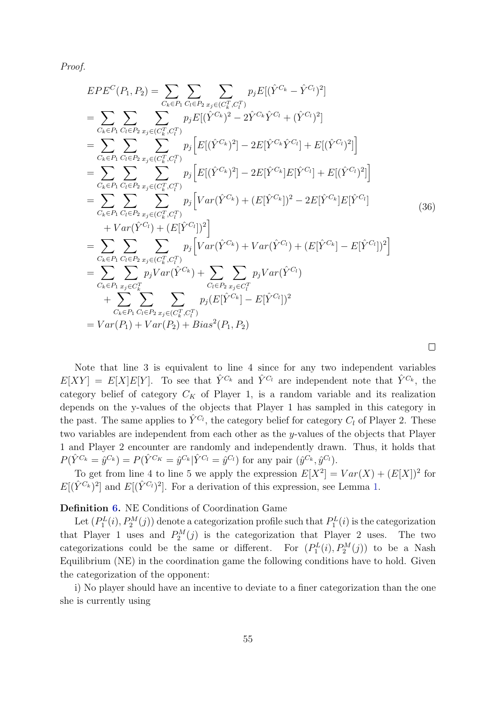Proof.

$$
EPE^{C}(P_{1}, P_{2}) = \sum_{C_{k} \in P_{1}} \sum_{C_{l} \in P_{2}} \sum_{x_{j} \in (C_{k}^{T}, C_{l}^{T})} p_{j}E[(\hat{Y}^{C_{k}} - \hat{Y}^{C_{l}})^{2}]
$$
  
\n
$$
= \sum_{C_{k} \in P_{1}} \sum_{C_{l} \in P_{2}} \sum_{x_{j} \in (C_{k}^{T}, C_{l}^{T})} p_{j}E[(\hat{Y}^{C_{k}})^{2} - 2\hat{Y}^{C_{k}}\hat{Y}^{C_{l}} + (\hat{Y}^{C_{l}})^{2}]
$$
  
\n
$$
= \sum_{C_{k} \in P_{1}} \sum_{C_{l} \in P_{2}} \sum_{x_{j} \in (C_{k}^{T}, C_{l}^{T})} p_{j} [E[(\hat{Y}^{C_{k}})^{2}] - 2E[\hat{Y}^{C_{k}}\hat{Y}^{C_{l}}] + E[(\hat{Y}^{C_{l}})^{2}]]
$$
  
\n
$$
= \sum_{C_{k} \in P_{1}} \sum_{C_{l} \in P_{2}} \sum_{x_{j} \in (C_{k}^{T}, C_{l}^{T})} p_{j} [E[(\hat{Y}^{C_{k}})^{2}] - 2E[\hat{Y}^{C_{k}}]E[\hat{Y}^{C_{l}}] + E[(\hat{Y}^{C_{l}})^{2}]]
$$
  
\n
$$
= \sum_{C_{k} \in P_{1}} \sum_{C_{l} \in P_{2}} \sum_{x_{j} \in (C_{k}^{T}, C_{l}^{T})} p_{j} [Var(\hat{Y}^{C_{k}}) + (E[\hat{Y}^{C_{k}}])^{2} - 2E[\hat{Y}^{C_{k}}]E[\hat{Y}^{C_{l}}]
$$
  
\n
$$
+ Var(\hat{Y}^{C_{l}}) + (E[\hat{Y}^{C_{l}}])^{2}]
$$
  
\n
$$
= \sum_{C_{k} \in P_{1}} \sum_{C_{l} \in P_{2}} \sum_{x_{j} \in (C_{k}^{T}, C_{l}^{T})} p_{j} [Var(\hat{Y}^{C_{k}}) + Var(\hat{Y}^{C_{l}}) + (E[\hat{Y}^{C_{k}}] - E[\hat{Y}^{C_{l
$$

Note that line 3 is equivalent to line 4 since for any two independent variables  $E[XY] = E[X]E[Y]$ . To see that  $\hat{Y}^{C_k}$  and  $\hat{Y}^{C_l}$  are independent note that  $\hat{Y}^{C_k}$ , the category belief of category  $C_K$  of Player 1, is a random variable and its realization depends on the y-values of the objects that Player 1 has sampled in this category in the past. The same applies to  $\hat{Y}^{C_l}$ , the category belief for category  $C_l$  of Player 2. These two variables are independent from each other as the y-values of the objects that Player

 $\Box$ 

# 1 and Player 2 encounter are randomly and independently drawn. Thus, it holds that  $P(\hat{Y}^{C_k} = \hat{y}^{C_k}) = P(\hat{Y}^{C_K} = \hat{y}^{C_k} | \hat{Y}^{C_l} = \hat{y}^{C_l})$  for any pair  $(\hat{y}^{C_k}, \hat{y}^{C_l})$ . To get from line 4 to line 5 we apply the expression  $E[X^2] = Var(X) + (E[X])^2$  for

 $E[(\hat{Y}^{C_k})^2]$  and  $E[(\hat{Y}^{C_l})^2]$ . For a derivation of this expression, see Lemma [1.](#page-15-0)

### Definition [6.](#page-21-1) NE Conditions of Coordination Game

Let  $(P_1^L(i), P_2^M(j))$  denote a categorization profile such that  $P_1^L(i)$  is the categorization that Player 1 uses and  $P_2^M(j)$  is the categorization that Player 2 uses. The two categorizations could be the same or different. For  $(P_1^L(i), P_2^M(j))$  to be a Nash Equilibrium (NE) in the coordination game the following conditions have to hold. Given the categorization of the opponent:

i) No player should have an incentive to deviate to a finer categorization than the one she is currently using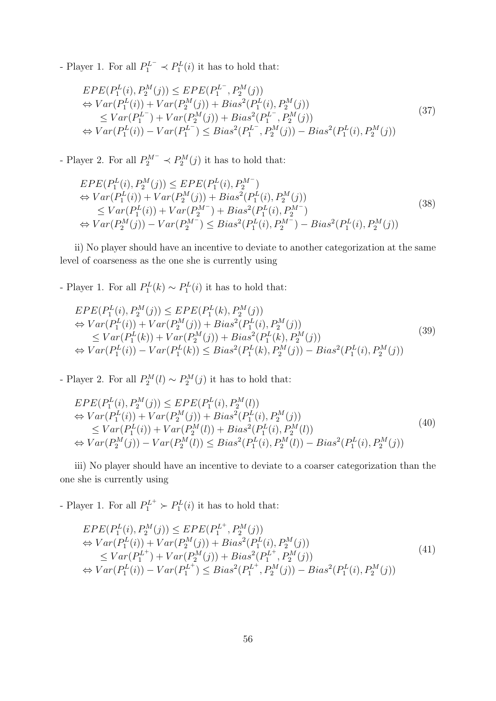- Player 1. For all  $P_1^{L^-} \prec P_1^L(i)$  it has to hold that:

$$
EPE(P_1^L(i), P_2^M(j)) \le EPE(P_1^{L^-}, P_2^M(j))
$$
  
\n
$$
\Leftrightarrow Var(P_1^L(i)) + Var(P_2^M(j)) + Bias^2(P_1^L(i), P_2^M(j))
$$
  
\n
$$
\le Var(P_1^{L^-}) + Var(P_2^M(j)) + Bias^2(P_1^{L^-}, P_2^M(j))
$$
  
\n
$$
\Leftrightarrow Var(P_1^L(i)) - Var(P_1^{L^-}) \le Bias^2(P_1^{L^-}, P_2^M(j)) - Bias^2(P_1^L(i), P_2^M(j))
$$
\n(37)

- Player 2. For all  $P_2^{M^-} \prec P_2^M(j)$  it has to hold that:

$$
EPE(P_1^L(i), P_2^M(j)) \le EPE(P_1^L(i), P_2^M)
$$
  
\n
$$
\Leftrightarrow Var(P_1^L(i)) + Var(P_2^M(j)) + Bias^2(P_1^L(i), P_2^M(j))
$$
  
\n
$$
\le Var(P_1^L(i)) + Var(P_2^M) + Bias^2(P_1^L(i), P_2^M)
$$
  
\n
$$
\Leftrightarrow Var(P_2^M(j)) - Var(P_2^M) \le Bias^2(P_1^L(i), P_2^M) - Bias^2(P_1^L(i), P_2^M(j))
$$
\n(38)

ii) No player should have an incentive to deviate to another categorization at the same level of coarseness as the one she is currently using

- Player 1. For all  $P_1^L(k) \sim P_1^L(i)$  it has to hold that:

$$
EPE(P_1^L(i), P_2^M(j)) \le EPE(P_1^L(k), P_2^M(j))
$$
  
\n
$$
\Leftrightarrow Var(P_1^L(i)) + Var(P_2^M(j)) + Bias^2(P_1^L(i), P_2^M(j))
$$
  
\n
$$
\le Var(P_1^L(k)) + Var(P_2^M(j)) + Bias^2(P_1^L(k), P_2^M(j))
$$
  
\n
$$
\Leftrightarrow Var(P_1^L(i)) - Var(P_1^L(k)) \le Bias^2(P_1^L(k), P_2^M(j)) - Bias^2(P_1^L(i), P_2^M(j))
$$
\n(39)

- Player 2. For all  $P_2^M(l) \sim P_2^M(j)$  it has to hold that:

$$
EPE(P_1^L(i), P_2^M(j)) \le EPE(P_1^L(i), P_2^M(l))
$$
  
\n
$$
\Leftrightarrow Var(P_1^L(i)) + Var(P_2^M(j)) + Bias^2(P_1^L(i), P_2^M(j))
$$
  
\n
$$
\le Var(P_1^L(i)) + Var(P_2^M(l)) + Bias^2(P_1^L(i), P_2^M(l))
$$
  
\n
$$
\Leftrightarrow Var(P_2^M(j)) - Var(P_2^M(l)) \le Bias^2(P_1^L(i), P_2^M(l)) - Bias^2(P_1^L(i), P_2^M(j))
$$
\n(40)

iii) No player should have an incentive to deviate to a coarser categorization than the one she is currently using

- Player 1. For all  $P_1^{L^+} \succ P_1^L(i)$  it has to hold that:

$$
EPE(P_1^L(i), P_2^M(j)) \le EPE(P_1^{L^+}, P_2^M(j))
$$
  
\n
$$
\Leftrightarrow Var(P_1^L(i)) + Var(P_2^M(j)) + Bias^2(P_1^L(i), P_2^M(j))
$$
  
\n
$$
\le Var(P_1^{L^+}) + Var(P_2^M(j)) + Bias^2(P_1^{L^+}, P_2^M(j))
$$
  
\n
$$
\Leftrightarrow Var(P_1^L(i)) - Var(P_1^{L^+}) \le Bias^2(P_1^{L^+}, P_2^M(j)) - Bias^2(P_1^L(i), P_2^M(j))
$$
\n(41)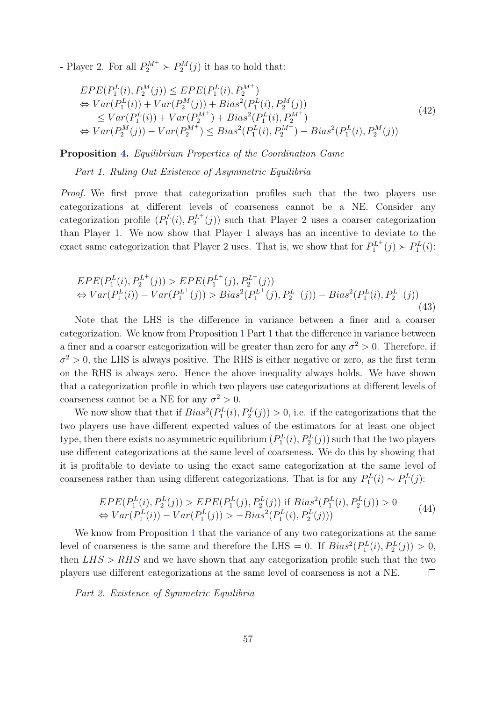- Player 2. For all  $P_2^{M+} \succ P_2^{M}(j)$  it has to hold that:

$$
EPE(P_1^L(i), P_2^M(j)) \le EPE(P_1^L(i), P_2^{M^+})
$$
  
\n
$$
\Leftrightarrow Var(P_1^L(i)) + Var(P_2^M(j)) + Bias^2(P_1^L(i), P_2^M(j))
$$
  
\n
$$
\le Var(P_1^L(i)) + Var(P_2^{M^+}) + Bias^2(P_1^L(i), P_2^{M^+})
$$
  
\n
$$
\Leftrightarrow Var(P_2^M(j)) - Var(P_2^{M^+}) \le Bias^2(P_1^L(i), P_2^{M^+}) - Bias^2(P_1^L(i), P_2^M(j))
$$
\n(42)

Proposition [4.](#page-22-0) Equilibrium Properties of the Coordination Game

Part 1. Ruling Out Existence of Asymmetric Equilibria

Proof. We first prove that categorization profiles such that the two players use categorizations at different levels of coarseness cannot be a NE. Consider any categorization profile  $(P_1^L(i), P_2^{L^+}(j))$  such that Player 2 uses a coarser categorization than Player 1. We now show that Player 1 always has an incentive to deviate to the exact same categorization that Player 2 uses. That is, we show that for  $P_1^{L^+}(j) \succ P_1^{L}(i)$ :

$$
EPE(P_1^L(i), P_2^{L^+}(j)) > EPE(P_1^{L^+}(j), P_2^{L^+}(j))
$$
  
\n
$$
\Leftrightarrow Var(P_1^L(i)) - Var(P_1^{L^+}(j)) > Bias^2(P_1^{L^+}(j), P_2^{L^+}(j)) - Bias^2(P_1^L(i), P_2^{L^+}(j))
$$
\n(43)

Note that the LHS is the difference in variance between a finer and a coarser categorization. We know from Proposition [1](#page-16-0) Part 1 that the difference in variance between a finer and a coarser categorization will be greater than zero for any  $\sigma^2 > 0$ . Therefore, if  $\sigma^2 > 0$ , the LHS is always positive. The RHS is either negative or zero, as the first term on the RHS is always zero. Hence the above inequality always holds. We have shown that a categorization profile in which two players use categorizations at different levels of coarseness cannot be a NE for any  $\sigma^2 > 0$ .

We now show that that if  $Bias^2(P_1^L(i), P_2^L(j)) > 0$ , i.e. if the categorizations that the two players use have different expected values of the estimators for at least one object type, then there exists no asymmetric equilibrium  $(P_1^L(i), P_2^L(j))$  such that the two players use different categorizations at the same level of coarseness. We do this by showing that it is profitable to deviate to using the exact same categorization at the same level of coarseness rather than using different categorizations. That is for any  $P_1^L(i) \sim P_1^L(j)$ :

$$
EPE(P_1^L(i), P_2^L(j)) > EPE(P_1^L(j), P_2^L(j)) \text{ if } Bias^2(P_1^L(i), P_2^L(j)) > 0
$$
  
\n
$$
\Leftrightarrow Var(P_1^L(i)) - Var(P_1^L(j)) > -Bias^2(P_1^L(i), P_2^L(j)))
$$
\n(44)

We know from Proposition [1](#page-16-0) that the variance of any two categorizations at the same level of coarseness is the same and therefore the LHS = 0. If  $Bias^2(P_1^L(i), P_2^L(j)) > 0$ , then  $LHS > RHS$  and we have shown that any categorization profile such that the two players use different categorizations at the same level of coarseness is not a NE.  $\Box$ 

Part 2. Existence of Symmetric Equilibria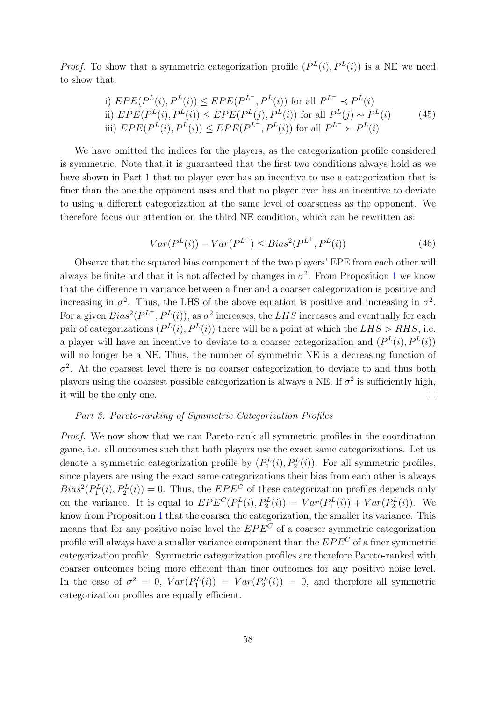*Proof.* To show that a symmetric categorization profile  $(P^{L}(i), P^{L}(i))$  is a NE we need to show that:

i) 
$$
EPE(P^{L}(i), P^{L}(i)) \le EPE(P^{L^{-}}, P^{L}(i))
$$
 for all  $P^{L^{-}} \prec P^{L}(i)$   
ii)  $EPE(P^{L}(i), P^{L}(i)) \le EPE(P^{L}(j), P^{L}(i))$  for all  $P^{L}(j) \sim P^{L}(i)$   
iii)  $EPE(P^{L}(i), P^{L}(i)) \le EPE(P^{L^{+}}, P^{L}(i))$  for all  $P^{L^{+}} \succ P^{L}(i)$  (45)

We have omitted the indices for the players, as the categorization profile considered is symmetric. Note that it is guaranteed that the first two conditions always hold as we have shown in Part 1 that no player ever has an incentive to use a categorization that is finer than the one the opponent uses and that no player ever has an incentive to deviate to using a different categorization at the same level of coarseness as the opponent. We therefore focus our attention on the third NE condition, which can be rewritten as:

$$
Var(P^{L}(i)) - Var(P^{L^{+}}) \le Bias^2(P^{L^{+}}, P^{L}(i))
$$
\n(46)

Observe that the squared bias component of the two players' EPE from each other will always be finite and that it is not affected by changes in  $\sigma^2$ . From Proposition [1](#page-16-0) we know that the difference in variance between a finer and a coarser categorization is positive and increasing in  $\sigma^2$ . Thus, the LHS of the above equation is positive and increasing in  $\sigma^2$ . For a given  $Bias^2(P^{L^+}, P^L(i))$ , as  $\sigma^2$  increases, the LHS increases and eventually for each pair of categorizations  $(P^{L}(i), P^{L}(i))$  there will be a point at which the  $LHS > RHS$ , i.e. a player will have an incentive to deviate to a coarser categorization and  $(P^{L}(i), P^{L}(i))$ will no longer be a NE. Thus, the number of symmetric NE is a decreasing function of  $\sigma^2$ . At the coarsest level there is no coarser categorization to deviate to and thus both players using the coarsest possible categorization is always a NE. If  $\sigma^2$  is sufficiently high, it will be the only one.  $\Box$ 

#### Part 3. Pareto-ranking of Symmetric Categorization Profiles

Proof. We now show that we can Pareto-rank all symmetric profiles in the coordination game, i.e. all outcomes such that both players use the exact same categorizations. Let us denote a symmetric categorization profile by  $(P_1^L(i), P_2^L(i))$ . For all symmetric profiles, since players are using the exact same categorizations their bias from each other is always  $Bias^2(P_1^L(i), P_2^L(i)) = 0$ . Thus, the  $EPE^C$  of these categorization profiles depends only on the variance. It is equal to  $EPE^{C}(P_1^L(i), P_2^L(i)) = Var(P_1^L(i)) + Var(P_2^L(i))$ . We know from Proposition [1](#page-16-0) that the coarser the categorization, the smaller its variance. This means that for any positive noise level the  $EPE<sup>C</sup>$  of a coarser symmetric categorization profile will always have a smaller variance component than the  $EPE<sup>C</sup>$  of a finer symmetric categorization profile. Symmetric categorization profiles are therefore Pareto-ranked with coarser outcomes being more efficient than finer outcomes for any positive noise level. In the case of  $\sigma^2 = 0$ ,  $Var(P_1^L(i)) = Var(P_2^L(i)) = 0$ , and therefore all symmetric categorization profiles are equally efficient.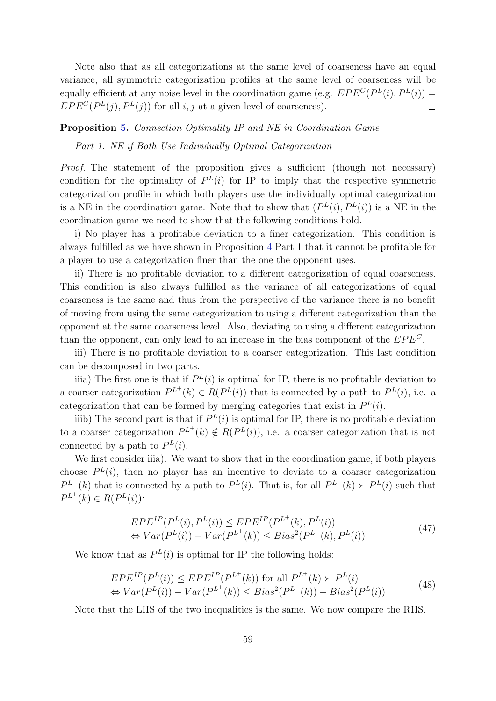Note also that as all categorizations at the same level of coarseness have an equal variance, all symmetric categorization profiles at the same level of coarseness will be equally efficient at any noise level in the coordination game (e.g.  $EPE^{C}(P^{L}(i), P^{L}(i)) =$  $EPE^{C}(P^{L}(j), P^{L}(j))$  for all i, j at a given level of coarseness).  $\Box$ 

#### Proposition [5.](#page-24-0) Connection Optimality IP and NE in Coordination Game

Part 1. NE if Both Use Individually Optimal Categorization

Proof. The statement of the proposition gives a sufficient (though not necessary) condition for the optimality of  $P^{L}(i)$  for IP to imply that the respective symmetric categorization profile in which both players use the individually optimal categorization is a NE in the coordination game. Note that to show that  $(P^{L}(i), P^{L}(i))$  is a NE in the coordination game we need to show that the following conditions hold.

i) No player has a profitable deviation to a finer categorization. This condition is always fulfilled as we have shown in Proposition [4](#page-22-0) Part 1 that it cannot be profitable for a player to use a categorization finer than the one the opponent uses.

ii) There is no profitable deviation to a different categorization of equal coarseness. This condition is also always fulfilled as the variance of all categorizations of equal coarseness is the same and thus from the perspective of the variance there is no benefit of moving from using the same categorization to using a different categorization than the opponent at the same coarseness level. Also, deviating to using a different categorization than the opponent, can only lead to an increase in the bias component of the  $EPE<sup>C</sup>$ .

iii) There is no profitable deviation to a coarser categorization. This last condition can be decomposed in two parts.

iiia) The first one is that if  $P^{L}(i)$  is optimal for IP, there is no profitable deviation to a coarser categorization  $P^{L^+}(k) \in R(P^L(i))$  that is connected by a path to  $P^L(i)$ , i.e. a categorization that can be formed by merging categories that exist in  $P^{L}(i)$ .

iiib) The second part is that if  $P^{L}(i)$  is optimal for IP, there is no profitable deviation to a coarser categorization  $P^{L^+}(k) \notin R(P^L(i))$ , i.e. a coarser categorization that is not connected by a path to  $P^{L}(i)$ .

We first consider iiia). We want to show that in the coordination game, if both players choose  $P<sup>L</sup>(i)$ , then no player has an incentive to deviate to a coarser categorization  $P^{L+}(k)$  that is connected by a path to  $P^{L}(i)$ . That is, for all  $P^{L+}(k) \succ P^{L}(i)$  such that  $P^{L^+}(k) \in R(P^L(i))$ :

$$
EPE^{IP}(P^{L}(i), P^{L}(i)) \le EPE^{IP}(P^{L^{+}}(k), P^{L}(i))
$$
  
\n
$$
\Leftrightarrow Var(P^{L}(i)) - Var(P^{L^{+}}(k)) \le Bias^{2}(P^{L^{+}}(k), P^{L}(i))
$$
\n(47)

We know that as  $P^{L}(i)$  is optimal for IP the following holds:

$$
EPE^{IP}(P^{L}(i)) \le EPE^{IP}(P^{L^{+}}(k)) \text{ for all } P^{L^{+}}(k) \succ P^{L}(i)
$$
  
\n
$$
\Leftrightarrow Var(P^{L}(i)) - Var(P^{L^{+}}(k)) \le Bias^{2}(P^{L^{+}}(k)) - Bias^{2}(P^{L}(i))
$$
\n(48)

Note that the LHS of the two inequalities is the same. We now compare the RHS.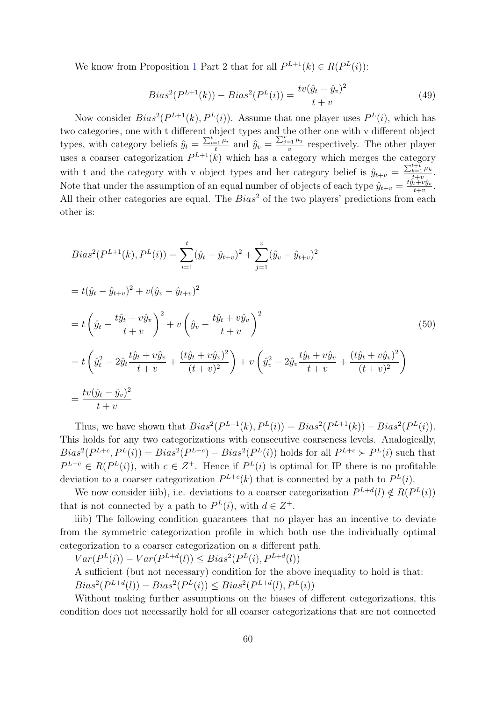We know from Proposition [1](#page-16-0) Part 2 that for all  $P^{L+1}(k) \in R(P^L(i))$ :

$$
Bias^2(P^{L+1}(k)) - Bias^2(P^L(i)) = \frac{tv(\hat{y}_t - \hat{y}_v)^2}{t+v}
$$
\n(49)

Now consider  $Bias^2(P^{L+1}(k), P^{L}(i))$ . Assume that one player uses  $P^{L}(i)$ , which has two categories, one with t different object types and the other one with v different object types, with category beliefs  $\hat{y}_t = \frac{\sum_{i=1}^t \mu_i}{t}$  $\frac{e^{-\frac{j}{2} \mu_i}}{t}$  and  $\hat{y}_v = \frac{\sum_{j=1}^v \mu_j}{v}$  $\frac{e^{-1} \mu_j}{v}$  respectively. The other player uses a coarser categorization  $P^{L+1}(k)$  which has a category which merges the category with t and the category with v object types and her category belief is  $\hat{y}_{t+v} = \frac{\sum_{k=1}^{t+v} \mu_k}{t+v}$  $\frac{k=1}{t+v}$ . Note that under the assumption of an equal number of objects of each type  $\hat{y}_{t+v} = \frac{t\hat{y}_t+v\hat{y}_v}{t+v}$  $\frac{t+vy_v}{t+v}.$ All their other categories are equal. The  $Bias^2$  of the two players' predictions from each other is:

$$
Bias^{2}(P^{L+1}(k), P^{L}(i)) = \sum_{i=1}^{t} (\hat{y}_{t} - \hat{y}_{t+v})^{2} + \sum_{j=1}^{v} (\hat{y}_{v} - \hat{y}_{t+v})^{2}
$$
  
=  $t(\hat{y}_{t} - \hat{y}_{t+v})^{2} + v(\hat{y}_{v} - \hat{y}_{t+v})^{2}$   
=  $t\left(\hat{y}_{t} - \frac{t\hat{y}_{t} + v\hat{y}_{v}}{t+v}\right)^{2} + v\left(\hat{y}_{v} - \frac{t\hat{y}_{t} + v\hat{y}_{v}}{t+v}\right)^{2}$  (50)  
=  $t\left(\hat{y}_{t}^{2} - 2\hat{y}_{t}\frac{t\hat{y}_{t} + v\hat{y}_{v}}{t+v} + \frac{(t\hat{y}_{t} + v\hat{y}_{v})^{2}}{(t+v)^{2}}\right) + v\left(\hat{y}_{v}^{2} - 2\hat{y}_{v}\frac{t\hat{y}_{t} + v\hat{y}_{v}}{t+v} + \frac{(t\hat{y}_{t} + v\hat{y}_{v})^{2}}{(t+v)^{2}}\right)$   
=  $\frac{tv(\hat{y}_{t} - \hat{y}_{v})^{2}}{t+v}$ 

Thus, we have shown that  $Bias^2(P^{L+1}(k), P^{L}(i)) = Bias^2(P^{L+1}(k)) - Bias^2(P^{L}(i)).$ This holds for any two categorizations with consecutive coarseness levels. Analogically,  $Bias^2(P^{L+c}, P^{L}(i)) = Bias^2(P^{L+c}) - Bias^2(P^{L}(i))$  holds for all  $P^{L+c} \succ P^{L}(i)$  such that  $P^{L+c} \in R(P^L(i))$ , with  $c \in \mathbb{Z}^+$ . Hence if  $P^L(i)$  is optimal for IP there is no profitable deviation to a coarser categorization  $P^{L+c}(k)$  that is connected by a path to  $P^{L}(i)$ .

We now consider iiib), i.e. deviations to a coarser categorization  $P^{L+d}(l) \notin R(P^L(i))$ that is not connected by a path to  $P^{L}(i)$ , with  $d \in Z^{+}$ .

iiib) The following condition guarantees that no player has an incentive to deviate from the symmetric categorization profile in which both use the individually optimal categorization to a coarser categorization on a different path.

 $Var(P^{L}(i)) - Var(P^{L+d}(l)) \leq Bias^2(P^{L}(i), P^{L+d}(l))$ 

A sufficient (but not necessary) condition for the above inequality to hold is that:  $Bias^2(P^{L+d}(l)) - Bias^2(P^{L}(i)) \leq Bias^2(P^{L+d}(l), P^{L}(i))$ 

Without making further assumptions on the biases of different categorizations, this condition does not necessarily hold for all coarser categorizations that are not connected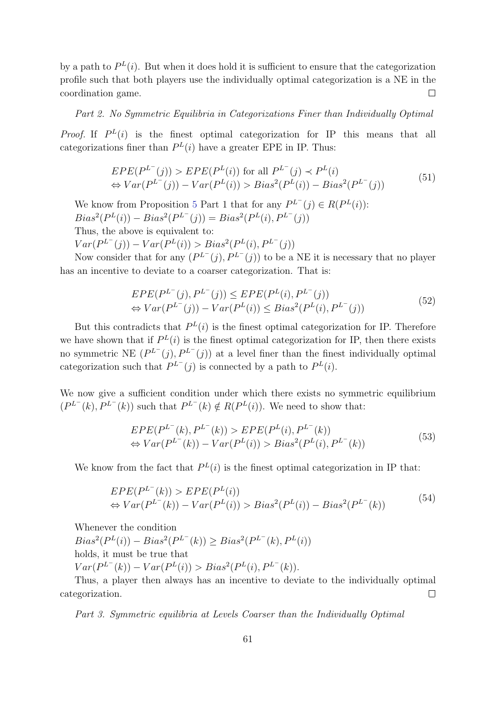by a path to  $P^{L}(i)$ . But when it does hold it is sufficient to ensure that the categorization profile such that both players use the individually optimal categorization is a NE in the coordination game.  $\Box$ 

Part 2. No Symmetric Equilibria in Categorizations Finer than Individually Optimal

*Proof.* If  $P^{L}(i)$  is the finest optimal categorization for IP this means that all categorizations finer than  $P^{L}(i)$  have a greater EPE in IP. Thus:

$$
EPE(P^{L^{-}}(j)) > EPE(P^{L}(i)) \text{ for all } P^{L^{-}}(j) \prec P^{L}(i)
$$
  
\n
$$
\Leftrightarrow Var(P^{L^{-}}(j)) - Var(P^{L}(i)) > Bias^{2}(P^{L}(i)) - Bias^{2}(P^{L^{-}}(j))
$$
\n(51)

We know from Proposition [5](#page-24-0) Part 1 that for any  $P^{L^-}(j) \in R(P^L(i))$ :  $Bias^2(P^L(i)) - Bias^2(P^{L^-}(j)) = Bias^2(P^L(i), P^{L^-}(j))$ Thus, the above is equivalent to:

 $Var(P^{L^{-}}(j)) - Var(P^{L}(i)) > Bias^2(P^{L}(i), P^{L^{-}}(j))$ 

Now consider that for any  $(P^{L^-}(j), P^{L^-}(j))$  to be a NE it is necessary that no player has an incentive to deviate to a coarser categorization. That is:

$$
EPE(P^{L^{-}}(j), P^{L^{-}}(j)) \le EPE(P^{L}(i), P^{L^{-}}(j))
$$
  
\n
$$
\Leftrightarrow Var(P^{L^{-}}(j)) - Var(P^{L}(i)) \le Bias^{2}(P^{L}(i), P^{L^{-}}(j))
$$
\n(52)

But this contradicts that  $P^{L}(i)$  is the finest optimal categorization for IP. Therefore we have shown that if  $P^{L}(i)$  is the finest optimal categorization for IP, then there exists no symmetric NE  $(P^{L^{-}}(j), P^{L^{-}}(j))$  at a level finer than the finest individually optimal categorization such that  $P^{L^-}(j)$  is connected by a path to  $P^{L}(i)$ .

We now give a sufficient condition under which there exists no symmetric equilibrium  $(P^{L^{-}}(k), P^{L^{-}}(k))$  such that  $P^{L^{-}}(k) \notin R(P^{L}(i))$ . We need to show that:

$$
EPE(P^{L^{-}}(k), P^{L^{-}}(k)) > EPE(P^{L}(i), P^{L^{-}}(k))
$$
  
\n
$$
\Leftrightarrow Var(P^{L^{-}}(k)) - Var(P^{L}(i)) > Bias^{2}(P^{L}(i), P^{L^{-}}(k))
$$
\n(53)

We know from the fact that  $P^{L}(i)$  is the finest optimal categorization in IP that:

$$
EPE(P^{L^{-}}(k)) > EPE(P^{L}(i))
$$
  
\n
$$
\Leftrightarrow Var(P^{L^{-}}(k)) - Var(P^{L}(i)) > Bias^{2}(P^{L}(i)) - Bias^{2}(P^{L^{-}}(k))
$$
\n(54)

Whenever the condition

 $Bias^2(P^L(i)) - Bias^2(P^{L^-}(k)) \ge Bias^2(P^{L^-}(k), P^L(i))$ holds, it must be true that  $Var(P^{L^{-}}(k)) - Var(P^{L}(i)) > Bias^2(P^{L}(i), P^{L^{-}}(k)).$ 

Thus, a player then always has an incentive to deviate to the individually optimal categorization.  $\Box$ 

Part 3. Symmetric equilibria at Levels Coarser than the Individually Optimal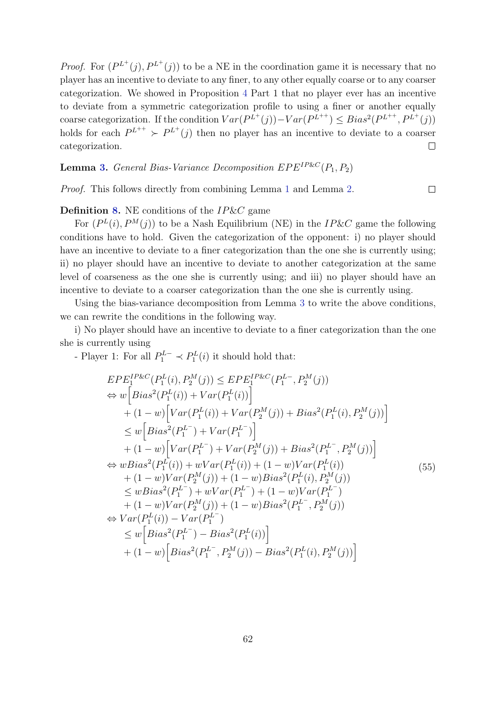*Proof.* For  $(P^{L^+}(j), P^{L^+}(j))$  to be a NE in the coordination game it is necessary that no player has an incentive to deviate to any finer, to any other equally coarse or to any coarser categorization. We showed in Proposition [4](#page-22-0) Part 1 that no player ever has an incentive to deviate from a symmetric categorization profile to using a finer or another equally coarse categorization. If the condition  $Var(P^{L^+}(j)) - Var(P^{L^{++}}) \leq Bias^2(P^{L^{++}}, P^{L^+}(j))$ holds for each  $P^{L^{++}} \succ P^{L^{+}}(j)$  then no player has an incentive to deviate to a coarser categorization.  $\Box$ 

**Lemma [3.](#page-26-0)** General Bias-Variance Decomposition  $EPE^{IP\&C}(P_1, P_2)$ 

Proof. This follows directly from combining Lemma [1](#page-15-0) and Lemma [2.](#page-20-0)

### **Definition [8.](#page-27-0)** NE conditions of the  $IP\&C$  game

For  $(P^{L}(i), P^{M}(j))$  to be a Nash Equilibrium (NE) in the IP&C game the following conditions have to hold. Given the categorization of the opponent: i) no player should have an incentive to deviate to a finer categorization than the one she is currently using; ii) no player should have an incentive to deviate to another categorization at the same level of coarseness as the one she is currently using; and iii) no player should have an incentive to deviate to a coarser categorization than the one she is currently using.

Using the bias-variance decomposition from Lemma [3](#page-26-0) to write the above conditions, we can rewrite the conditions in the following way.

i) No player should have an incentive to deviate to a finer categorization than the one she is currently using

- Player 1: For all  $P_1^{L-} \prec P_1^L(i)$  it should hold that:

$$
EPE_{1}^{IP\&C}(P_{1}^{L}(i), P_{2}^{M}(j)) \leq EPE_{1}^{IP\&C}(P_{1}^{L-}, P_{2}^{M}(j))
$$
  
\n
$$
\Leftrightarrow w\Big[Bias^{2}(P_{1}^{L}(i)) + Var(P_{1}^{L}(i))\Big]
$$
  
\n
$$
+ (1-w)\Big[Var(P_{1}^{L}(i)) + Var(P_{2}^{M}(j)) + Bias^{2}(P_{1}^{L}(i), P_{2}^{M}(j))\Big]
$$
  
\n
$$
\leq w\Big[Bias^{2}(P_{1}^{L-}) + Var(P_{1}^{L-})\Big]
$$
  
\n
$$
+ (1-w)\Big[Var(P_{1}^{L-}) + Var(P_{2}^{M}(j)) + Bias^{2}(P_{1}^{L-}, P_{2}^{M}(j))\Big]
$$
  
\n
$$
\Leftrightarrow wBias^{2}(P_{1}^{L}(i)) + wVar(P_{1}^{L}(i)) + (1-w)Var(P_{1}^{L}(i))
$$
  
\n
$$
+ (1-w)Var(P_{2}^{M}(j)) + (1-w)Bias^{2}(P_{1}^{L}(i), P_{2}^{M}(j))
$$
  
\n
$$
\leq wBias^{2}(P_{1}^{L-}) + wVar(P_{1}^{L-}) + (1-w)Var(P_{1}^{L-})
$$
  
\n
$$
+ (1-w)Var(P_{2}^{M}(j)) + (1-w)Bias^{2}(P_{1}^{L-}, P_{2}^{M}(j))
$$
  
\n
$$
\Leftrightarrow Var(P_{1}^{L}(i)) - Var(P_{1}^{L-})
$$
  
\n
$$
\leq w\Big[Bias^{2}(P_{1}^{L-}) - Bias^{2}(P_{1}^{L}(i))\Big]
$$
  
\n
$$
+ (1-w)\Big[Bias^{2}(P_{1}^{L-}, P_{2}^{M}(j)) - Bias^{2}(P_{1}^{L}(i), P_{2}^{M}(j))\Big]
$$

 $\Box$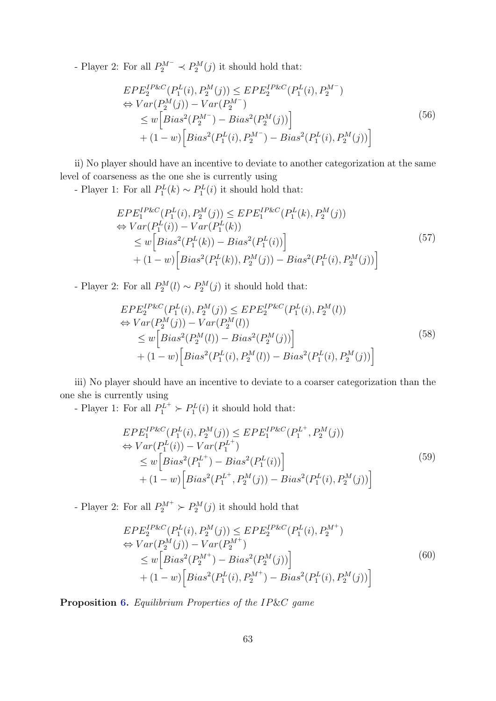- Player 2: For all  $P_2^{M^-} \prec P_2^M(j)$  it should hold that:

$$
EPE_{2}^{IP\&C}(P_{1}^{L}(i), P_{2}^{M}(j)) \leq EPE_{2}^{IP\&C}(P_{1}^{L}(i), P_{2}^{M})
$$
  
\n
$$
\Leftrightarrow Var(P_{2}^{M}(j)) - Var(P_{2}^{M})
$$
  
\n
$$
\leq w \Big[ Bias^{2}(P_{2}^{M}) - Bias^{2}(P_{2}^{M}(j)) \Big] + (1-w) \Big[ Bias^{2}(P_{1}^{L}(i), P_{2}^{M}) - Bias^{2}(P_{1}^{L}(i), P_{2}^{M}(j)) \Big]
$$
\n(56)

ii) No player should have an incentive to deviate to another categorization at the same level of coarseness as the one she is currently using

- Player 1: For all  $P_1^L(k) \sim P_1^L(i)$  it should hold that:

$$
EPE_{1}^{IP\&C}(P_{1}^{L}(i), P_{2}^{M}(j)) \leq EPE_{1}^{IP\&C}(P_{1}^{L}(k), P_{2}^{M}(j))
$$
  
\n
$$
\Leftrightarrow Var(P_{1}^{L}(i)) - Var(P_{1}^{L}(k))
$$
  
\n
$$
\leq w \left[ Bias^{2}(P_{1}^{L}(k)) - Bias^{2}(P_{1}^{L}(i)) \right]
$$
  
\n
$$
+ (1 - w) \left[ Bias^{2}(P_{1}^{L}(k)), P_{2}^{M}(j)) - Bias^{2}(P_{1}^{L}(i), P_{2}^{M}(j)) \right]
$$
\n(57)

- Player 2: For all  $P_2^M(l) \sim P_2^M(j)$  it should hold that:

$$
EPE_{2}^{IP\&C}(P_{1}^{L}(i), P_{2}^{M}(j)) \leq EPE_{2}^{IP\&C}(P_{1}^{L}(i), P_{2}^{M}(l))
$$
  
\n
$$
\Leftrightarrow Var(P_{2}^{M}(j)) - Var(P_{2}^{M}(l))
$$
  
\n
$$
\leq w \Big[ Bias^{2}(P_{2}^{M}(l)) - Bias^{2}(P_{2}^{M}(j)) \Big] + (1 - w) \Big[ Bias^{2}(P_{1}^{L}(i), P_{2}^{M}(l)) - Bias^{2}(P_{1}^{L}(i), P_{2}^{M}(j)) \Big]
$$
\n(58)

iii) No player should have an incentive to deviate to a coarser categorization than the one she is currently using

- Player 1: For all  $P_1^{L^+} \succ P_1^L(i)$  it should hold that:

$$
EPE_{1}^{IP\&C}(P_{1}^{L}(i), P_{2}^{M}(j)) \leq EPE_{1}^{IP\&C}(P_{1}^{L^{+}}, P_{2}^{M}(j))
$$
  
\n
$$
\Leftrightarrow Var(P_{1}^{L}(i)) - Var(P_{1}^{L^{+}})
$$
  
\n
$$
\leq w \Big[ Bias^{2}(P_{1}^{L^{+}}) - Bias^{2}(P_{1}^{L}(i)) \Big] + (1 - w) \Big[ Bias^{2}(P_{1}^{L^{+}}, P_{2}^{M}(j)) - Bias^{2}(P_{1}^{L}(i), P_{2}^{M}(j)) \Big]
$$
\n(59)

- Player 2: For all  $P_2^{M+} \succ P_2^M(j)$  it should hold that

$$
EPE_{2}^{IP\&C}(P_{1}^{L}(i), P_{2}^{M}(j)) \leq EPE_{2}^{IP\&C}(P_{1}^{L}(i), P_{2}^{M^{+}})
$$
  
\n
$$
\Leftrightarrow Var(P_{2}^{M}(j)) - Var(P_{2}^{M^{+}})
$$
  
\n
$$
\leq w\Big[Bias^{2}(P_{2}^{M^{+}}) - Bias^{2}(P_{2}^{M}(j))\Big] + (1-w)\Big[Bias^{2}(P_{1}^{L}(i), P_{2}^{M^{+}}) - Bias^{2}(P_{1}^{L}(i), P_{2}^{M}(j))\Big]
$$
  
\n(60)

Proposition [6.](#page-28-0) Equilibrium Properties of the IP&C game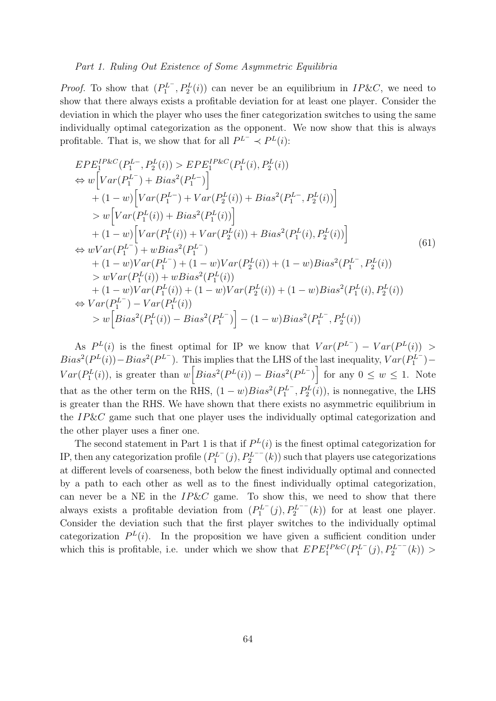#### Part 1. Ruling Out Existence of Some Asymmetric Equilibria

*Proof.* To show that  $(P_1^{L^-}, P_2^L(i))$  can never be an equilibrium in  $IP\&C$ , we need to show that there always exists a profitable deviation for at least one player. Consider the deviation in which the player who uses the finer categorization switches to using the same individually optimal categorization as the opponent. We now show that this is always profitable. That is, we show that for all  $P^{L^-} \prec P^{L}(i)$ :

$$
EPE_{1}^{IP\&C}(P_{1}^{L-}, P_{2}^{L}(i)) > EPE_{1}^{IP\&C}(P_{1}^{L}(i), P_{2}^{L}(i))
$$
  
\n
$$
\Leftrightarrow w \Big[ Var(P_{1}^{L-}) + Bias^{2}(P_{1}^{L-}) \Big] \n+ (1-w) \Big[ Var(P_{1}^{L-}) + Var(P_{2}^{L}(i)) + Bias^{2}(P_{1}^{L-}, P_{2}^{L}(i)) \Big] \n> w \Big[ Var(P_{1}^{L}(i)) + Bias^{2}(P_{1}^{L}(i)) \Big] \n+ (1-w) \Big[ Var(P_{1}^{L}(i)) + Var(P_{2}^{L}(i)) + Bias^{2}(P_{1}^{L}(i), P_{2}^{L}(i)) \Big] \n\Leftrightarrow wVar(P_{1}^{L-}) + wBias^{2}(P_{1}^{L-}) \n+ (1-w)Var(P_{1}^{L-}) + (1-w)Var(P_{2}^{L}(i)) + (1-w)Bias^{2}(P_{1}^{L-}, P_{2}^{L}(i)) \n> wVar(P_{1}^{L}(i)) + wBias^{2}(P_{1}^{L}(i)) \n+ (1-w)Var(P_{1}^{L}(i)) + (1-w)Var(P_{2}^{L}(i)) + (1-w)Bias^{2}(P_{1}^{L}(i), P_{2}^{L}(i)) \n\Leftrightarrow Var(P_{1}^{L-}) - Var(P_{1}^{L}(i)) \n> w \Big[ Bias^{2}(P_{1}^{L}(i)) - Bias^{2}(P_{1}^{L-}) \Big] - (1-w)Bias^{2}(P_{1}^{L-}, P_{2}^{L}(i))
$$

As  $P^{L}(i)$  is the finest optimal for IP we know that  $Var(P^{L}) - Var(P^{L}(i)) >$  $Bias^2(P^L(i)) - Bias^2(P^{L^-})$ . This implies that the LHS of the last inequality,  $Var(P_1^{L^-})$  –  $Var(P_1^L(i))$ , is greater than  $w\left[Bias^2(P^L(i)) - Bias^2(P^{L-})\right]$  for any  $0 \leq w \leq 1$ . Note that as the other term on the RHS,  $(1-w) Bias^2(P_1^{L^-}, P_2^L(i))$ , is nonnegative, the LHS is greater than the RHS. We have shown that there exists no asymmetric equilibrium in the IP&C game such that one player uses the individually optimal categorization and the other player uses a finer one.

The second statement in Part 1 is that if  $P^{L}(i)$  is the finest optimal categorization for IP, then any categorization profile  $(P_1^{L^-}(j), P_2^{L^{--}}(k))$  such that players use categorizations at different levels of coarseness, both below the finest individually optimal and connected by a path to each other as well as to the finest individually optimal categorization, can never be a NE in the  $IP\&C$  game. To show this, we need to show that there always exists a profitable deviation from  $(P_1^{L^-}(j), P_2^{L^{--}}(k))$  for at least one player. Consider the deviation such that the first player switches to the individually optimal categorization  $P^{L}(i)$ . In the proposition we have given a sufficient condition under which this is profitable, i.e. under which we show that  $EPE_1^{IP\&C}(P_1^{L^-}(j), P_2^{L^{--}}(k))$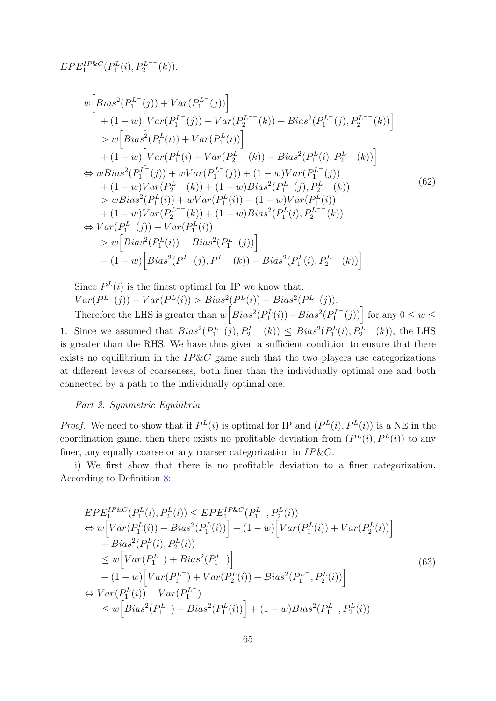$$
EPE_1^{IP\&C}(P_1^L(i), P_2^{L^{--}}(k)).
$$

$$
w\Big[Bias^{2}(P_{1}^{L^{-}}(j)) + Var(P_{1}^{L^{-}}(j))\Big] + (1-w)\Big[Var(P_{1}^{L^{-}}(j)) + Var(P_{2}^{L^{--}}(k)) + Bias^{2}(P_{1}^{L^{-}}(j), P_{2}^{L^{--}}(k))\Big] > w\Big[Bias^{2}(P_{1}^{L}(i)) + Var(P_{1}^{L}(i))\Big] + (1-w)\Big[Var(P_{1}^{L}(i) + Var(P_{2}^{L^{--}}(k)) + Bias^{2}(P_{1}^{L}(i), P_{2}^{L^{--}}(k))\Big] \Leftrightarrow wBias^{2}(P_{1}^{L^{-}}(j)) + wVar(P_{1}^{L^{-}}(j)) + (1-w)Var(P_{1}^{L^{-}}(j)) + (1-w)Var(P_{2}^{L^{--}}(k)) + (1-w)Bias^{2}(P_{1}^{L^{-}}(j), P_{2}^{L^{--}}(k)) > wBias^{2}(P_{1}^{L}(i)) + wVar(P_{1}^{L}(i)) + (1-w)Var(P_{1}^{L}(i)) + (1-w)Var(P_{2}^{L^{--}}(k)) + (1-w)Bias^{2}(P_{1}^{L}(i), P_{2}^{L^{--}}(k)) \Leftrightarrow Var(P_{1}^{L^{-}}(j)) - Var(P_{1}^{L}(i)) > w\Big[Bias^{2}(P_{1}^{L}(i)) - Bias^{2}(P_{1}^{L^{-}}(j))\Big] - (1-w)\Big[Bias^{2}(P_{1}^{L^{-}}(j), P_{2}^{L^{--}}(k)) - Bias^{2}(P_{1}^{L}(i), P_{2}^{L^{--}}(k))\Big]
$$

Since  $P^{L}(i)$  is the finest optimal for IP we know that:  $Var(P^{L^{-}}(j)) - Var(P^{L}(i)) > Bias^2(P^{L}(i)) - Bias^2(P^{L^{-}}(j)).$ Therefore the LHS is greater than  $w\left[Bias^2(P_1^L(i)) - Bias^2(P_1^{L^-}(j))\right]$  for any  $0 \leq w \leq$ 

1. Since we assumed that  $Bias^2(P_1^{L^-}(j), P_2^{L^{--}}(k)) \leq Bias^2(P_1^L(i), P_2^{L^{--}}(k))$ , the LHS is greater than the RHS. We have thus given a sufficient condition to ensure that there exists no equilibrium in the  $IP\&C$  game such that the two players use categorizations at different levels of coarseness, both finer than the individually optimal one and both connected by a path to the individually optimal one.  $\Box$ 

### Part 2. Symmetric Equilibria

*Proof.* We need to show that if  $P^{L}(i)$  is optimal for IP and  $(P^{L}(i), P^{L}(i))$  is a NE in the coordination game, then there exists no profitable deviation from  $(P^{L}(i), P^{L}(i))$  to any finer, any equally coarse or any coarser categorization in  $IP\&C$ .

i) We first show that there is no profitable deviation to a finer categorization. According to Definition [8:](#page-27-0)

$$
EPE_{1}^{IP\&C}(P_{1}^{L}(i), P_{2}^{L}(i)) \leq EPE_{1}^{IP\&C}(P_{1}^{L-}, P_{2}^{L}(i))
$$
  
\n
$$
\Leftrightarrow w \Big[ Var(P_{1}^{L}(i)) + Bias^{2}(P_{1}^{L}(i)) \Big] + (1 - w) \Big[ Var(P_{1}^{L}(i)) + Var(P_{2}^{L}(i)) \Big] + Bias^{2}(P_{1}^{L}(i), P_{2}^{L}(i))
$$
  
\n
$$
\leq w \Big[ Var(P_{1}^{L-}) + Bias^{2}(P_{1}^{L-}) \Big]
$$
  
\n
$$
+ (1 - w) \Big[ Var(P_{1}^{L-}) + Var(P_{2}^{L}(i)) + Bias^{2}(P_{1}^{L-}, P_{2}^{L}(i)) \Big]
$$
  
\n
$$
\Leftrightarrow Var(P_{1}^{L}(i)) - Var(P_{1}^{L-})
$$
  
\n
$$
\leq w \Big[ Bias^{2}(P_{1}^{L-}) - Bias^{2}(P_{1}^{L}(i)) \Big] + (1 - w) Bias^{2}(P_{1}^{L-}, P_{2}^{L}(i))
$$
  
\n(63)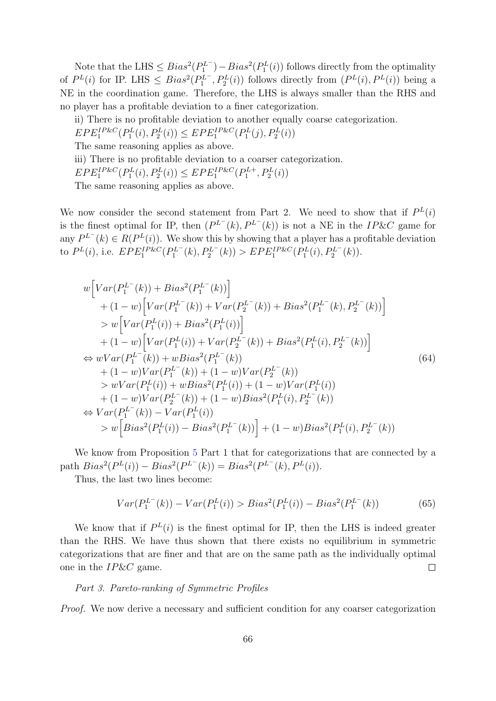Note that the LHS  $\leq Bias^2(P_1^{L^-})-Bias^2(P_1^{L}(i))$  follows directly from the optimality of  $P^{L}(i)$  for IP. LHS  $\leq Bias^2(P_1^{L^-}, P_2^{L}(i))$  follows directly from  $(P^{L}(i), P^{L}(i))$  being a NE in the coordination game. Therefore, the LHS is always smaller than the RHS and no player has a profitable deviation to a finer categorization.

ii) There is no profitable deviation to another equally coarse categorization.  $EPE<sub>1</sub><sup>IP&C</sup>(P<sub>1</sub><sup>L</sup>(i), P<sub>2</sub><sup>L</sup>(i)) \leq EPE<sub>1</sub><sup>IP&C</sup>(P<sub>1</sub><sup>L</sup>(j), P<sub>2</sub><sup>L</sup>(i))$ The same reasoning applies as above. iii) There is no profitable deviation to a coarser categorization.  $EPE<sub>1</sub><sup>IP&C</sup>(P<sub>1</sub><sup>L</sup>(i), P<sub>2</sub><sup>L</sup>(i)) \leq EPE<sub>1</sub><sup>IP&C</sup>(P<sub>1</sub><sup>L+</sup>, P<sub>2</sub><sup>L</sup>(i))$ The same reasoning applies as above.

We now consider the second statement from Part 2. We need to show that if  $P^{L}(i)$ is the finest optimal for IP, then  $(P^{L^-}(k), P^{L^-}(k))$  is not a NE in the IP&C game for any  $P^{L^-}(k) \in R(P^L(i))$ . We show this by showing that a player has a profitable deviation to  $P^{L}(i)$ , i.e.  $EPE_{1}^{IP\&C}(P_{1}^{L-}(k), P_{2}^{L-}(k)) > EPE_{1}^{IP\&C}(P_{1}^{L}(i), P_{2}^{L-}(k)).$ 

$$
w\Big[Var(P_1^{L^-}(k)) + Bias^2(P_1^{L^-}(k))\Big] + (1-w)\Big[Var(P_1^{L^-}(k)) + Var(P_2^{L^-}(k)) + Bias^2(P_1^{L^-}(k), P_2^{L^-}(k))\Big] > w\Big[Var(P_1^{L}(i)) + Bias^2(P_1^{L}(i))\Big] + (1-w)\Big[Var(P_1^{L}(i)) + Var(P_2^{L^-}(k)) + Bias^2(P_1^{L}(i), P_2^{L^-}(k))\Big] \Leftrightarrow wVar(P_1^{L^-}(k)) + wBias^2(P_1^{L^-}(k)) + (1-w)Var(P_1^{L^-}(k)) + (1-w)Var(P_2^{L^-}(k)) > wVar(P_1^{L}(i)) + wBias^2(P_1^{L}(i)) + (1-w)Var(P_1^{L}(i)) + (1-w)Var(P_2^{L^-}(k)) + (1-w)Bias^2(P_1^{L}(i), P_2^{L^-}(k)) \Leftrightarrow Var(P_1^{L^-}(k)) - Var(P_1^{L}(i)) > w\Big[ Bias^2(P_1^{L}(i)) - Bias^2(P_1^{L^-}(k))\Big] + (1-w)Bias^2(P_1^{L}(i), P_2^{L^-}(k))
$$

We know from Proposition [5](#page-24-0) Part 1 that for categorizations that are connected by a path  $Bias^2(P^L(i)) - Bias^2(P^{L^-}(k)) = Bias^2(P^{L^-}(k), P^L(i)).$ 

Thus, the last two lines become:

$$
Var(P_1^{L^-}(k)) - Var(P_1^L(i)) > Bias^2(P_1^L(i)) - Bias^2(P_1^{L^-}(k))
$$
\n(65)

We know that if  $P^{L}(i)$  is the finest optimal for IP, then the LHS is indeed greater than the RHS. We have thus shown that there exists no equilibrium in symmetric categorizations that are finer and that are on the same path as the individually optimal one in the IP&C game.  $\Box$ 

#### Part 3. Pareto-ranking of Symmetric Profiles

Proof. We now derive a necessary and sufficient condition for any coarser categorization